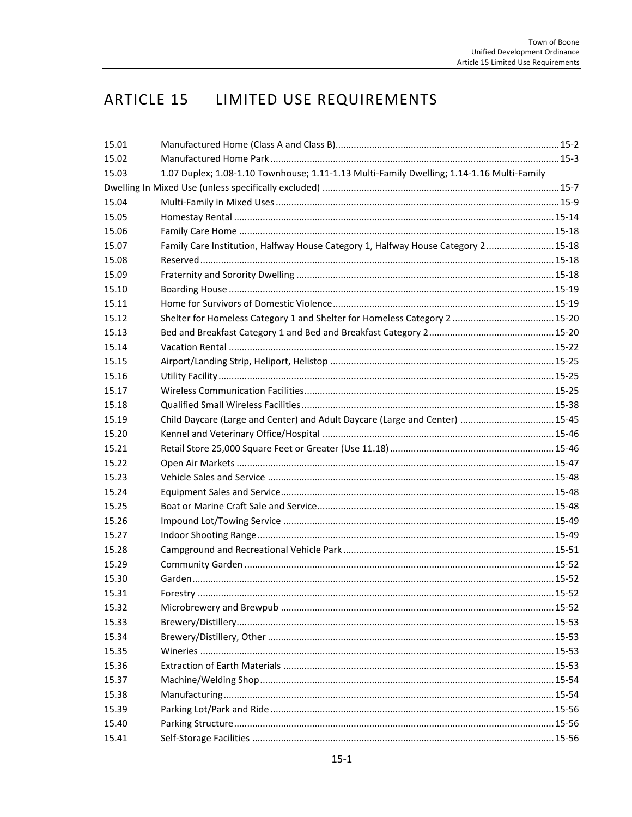# ARTICLE 15 LIMITED USE REQUIREMENTS

| 15.01 |                                                                                           |  |  |
|-------|-------------------------------------------------------------------------------------------|--|--|
| 15.02 |                                                                                           |  |  |
| 15.03 | 1.07 Duplex; 1.08-1.10 Townhouse; 1.11-1.13 Multi-Family Dwelling; 1.14-1.16 Multi-Family |  |  |
|       |                                                                                           |  |  |
| 15.04 |                                                                                           |  |  |
| 15.05 |                                                                                           |  |  |
| 15.06 |                                                                                           |  |  |
| 15.07 | Family Care Institution, Halfway House Category 1, Halfway House Category 2 15-18         |  |  |
| 15.08 |                                                                                           |  |  |
| 15.09 |                                                                                           |  |  |
| 15.10 |                                                                                           |  |  |
| 15.11 |                                                                                           |  |  |
| 15.12 |                                                                                           |  |  |
| 15.13 |                                                                                           |  |  |
| 15.14 |                                                                                           |  |  |
| 15.15 |                                                                                           |  |  |
| 15.16 |                                                                                           |  |  |
| 15.17 |                                                                                           |  |  |
| 15.18 |                                                                                           |  |  |
| 15.19 | Child Daycare (Large and Center) and Adult Daycare (Large and Center)  15-45              |  |  |
| 15.20 |                                                                                           |  |  |
| 15.21 |                                                                                           |  |  |
| 15.22 |                                                                                           |  |  |
| 15.23 |                                                                                           |  |  |
| 15.24 |                                                                                           |  |  |
| 15.25 |                                                                                           |  |  |
| 15.26 |                                                                                           |  |  |
| 15.27 |                                                                                           |  |  |
| 15.28 |                                                                                           |  |  |
| 15.29 |                                                                                           |  |  |
| 15.30 |                                                                                           |  |  |
| 15.31 |                                                                                           |  |  |
| 15.32 |                                                                                           |  |  |
| 15.33 |                                                                                           |  |  |
| 15.34 |                                                                                           |  |  |
| 15.35 |                                                                                           |  |  |
| 15.36 |                                                                                           |  |  |
| 15.37 |                                                                                           |  |  |
| 15.38 |                                                                                           |  |  |
| 15.39 |                                                                                           |  |  |
| 15.40 |                                                                                           |  |  |
| 15.41 |                                                                                           |  |  |
|       |                                                                                           |  |  |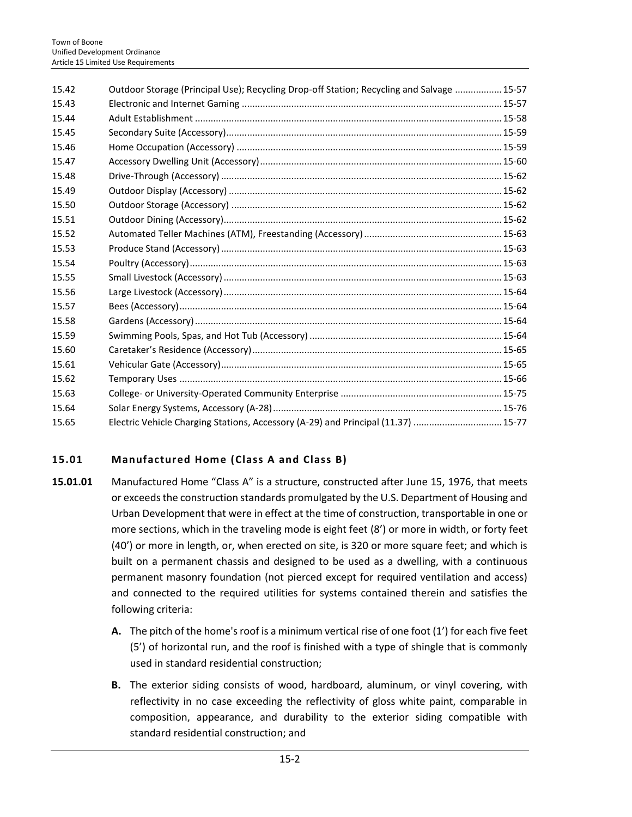| 15.42 | Outdoor Storage (Principal Use); Recycling Drop-off Station; Recycling and Salvage  15-57 |  |
|-------|-------------------------------------------------------------------------------------------|--|
| 15.43 |                                                                                           |  |
| 15.44 |                                                                                           |  |
| 15.45 |                                                                                           |  |
| 15.46 |                                                                                           |  |
| 15.47 |                                                                                           |  |
| 15.48 |                                                                                           |  |
| 15.49 |                                                                                           |  |
| 15.50 |                                                                                           |  |
| 15.51 |                                                                                           |  |
| 15.52 |                                                                                           |  |
| 15.53 |                                                                                           |  |
| 15.54 |                                                                                           |  |
| 15.55 |                                                                                           |  |
| 15.56 |                                                                                           |  |
| 15.57 |                                                                                           |  |
| 15.58 |                                                                                           |  |
| 15.59 |                                                                                           |  |
| 15.60 |                                                                                           |  |
| 15.61 |                                                                                           |  |
| 15.62 |                                                                                           |  |
| 15.63 |                                                                                           |  |
| 15.64 |                                                                                           |  |
| 15.65 | Electric Vehicle Charging Stations, Accessory (A-29) and Principal (11.37)  15-77         |  |

# <span id="page-1-0"></span>**15.01 Manufactured Home (Class A and Class B)**

- **15.01.01** Manufactured Home "Class A" is a structure, constructed after June 15, 1976, that meets or exceeds the construction standards promulgated by the U.S. Department of Housing and Urban Development that were in effect at the time of construction, transportable in one or more sections, which in the traveling mode is eight feet (8') or more in width, or forty feet (40') or more in length, or, when erected on site, is 320 or more square feet; and which is built on a permanent chassis and designed to be used as a dwelling, with a continuous permanent masonry foundation (not pierced except for required ventilation and access) and connected to the required utilities for systems contained therein and satisfies the following criteria:
	- **A.** The pitch of the home's roof is a minimum vertical rise of one foot (1') for each five feet (5') of horizontal run, and the roof is finished with a type of shingle that is commonly used in standard residential construction;
	- **B.** The exterior siding consists of wood, hardboard, aluminum, or vinyl covering, with reflectivity in no case exceeding the reflectivity of gloss white paint, comparable in composition, appearance, and durability to the exterior siding compatible with standard residential construction; and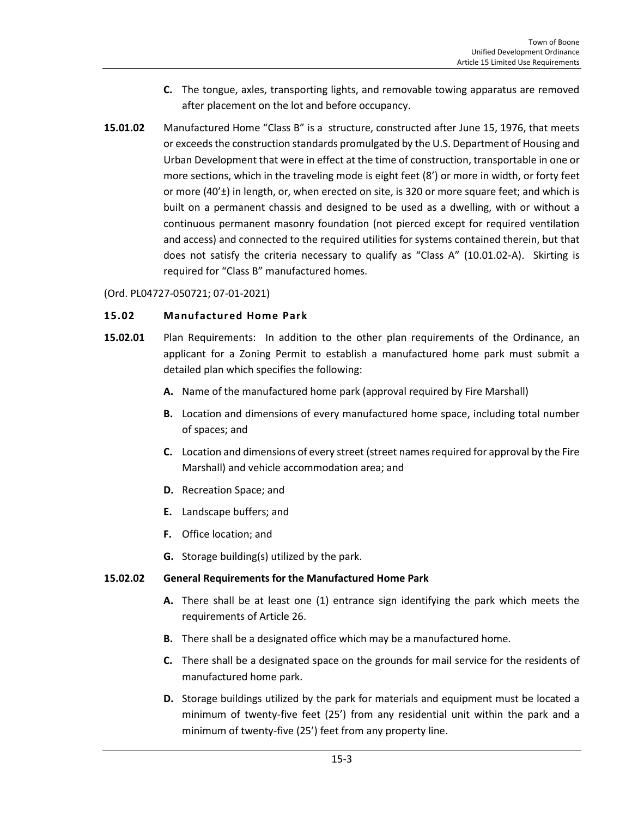- **C.** The tongue, axles, transporting lights, and removable towing apparatus are removed after placement on the lot and before occupancy.
- **15.01.02** Manufactured Home "Class B" is a structure, constructed after June 15, 1976, that meets or exceeds the construction standards promulgated by the U.S. Department of Housing and Urban Development that were in effect at the time of construction, transportable in one or more sections, which in the traveling mode is eight feet (8') or more in width, or forty feet or more (40'±) in length, or, when erected on site, is 320 or more square feet; and which is built on a permanent chassis and designed to be used as a dwelling, with or without a continuous permanent masonry foundation (not pierced except for required ventilation and access) and connected to the required utilities for systems contained therein, but that does not satisfy the criteria necessary to qualify as "Class A" (10.01.02-A). Skirting is required for "Class B" manufactured homes.

#### (Ord. PL04727-050721; 07-01-2021)

#### <span id="page-2-0"></span>**15.02 Manufactured Home Park**

- **15.02.01** Plan Requirements: In addition to the other plan requirements of the Ordinance, an applicant for a Zoning Permit to establish a manufactured home park must submit a detailed plan which specifies the following:
	- **A.** Name of the manufactured home park (approval required by Fire Marshall)
	- **B.** Location and dimensions of every manufactured home space, including total number of spaces; and
	- **C.** Location and dimensions of every street (street names required for approval by the Fire Marshall) and vehicle accommodation area; and
	- **D.** Recreation Space; and
	- **E.** Landscape buffers; and
	- **F.** Office location; and
	- **G.** Storage building(s) utilized by the park.

## **15.02.02 General Requirements for the Manufactured Home Park**

- **A.** There shall be at least one (1) entrance sign identifying the park which meets the requirements of Article 26.
- **B.** There shall be a designated office which may be a manufactured home.
- **C.** There shall be a designated space on the grounds for mail service for the residents of manufactured home park.
- **D.** Storage buildings utilized by the park for materials and equipment must be located a minimum of twenty-five feet (25') from any residential unit within the park and a minimum of twenty-five (25') feet from any property line.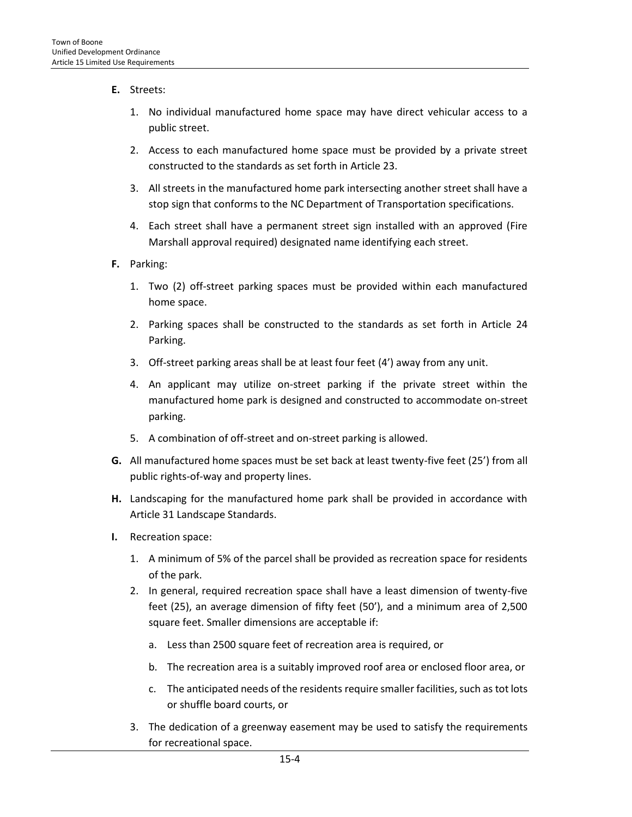- **E.** Streets:
	- 1. No individual manufactured home space may have direct vehicular access to a public street.
	- 2. Access to each manufactured home space must be provided by a private street constructed to the standards as set forth in Article 23.
	- 3. All streets in the manufactured home park intersecting another street shall have a stop sign that conforms to the NC Department of Transportation specifications.
	- 4. Each street shall have a permanent street sign installed with an approved (Fire Marshall approval required) designated name identifying each street.
- **F.** Parking:
	- 1. Two (2) off-street parking spaces must be provided within each manufactured home space.
	- 2. Parking spaces shall be constructed to the standards as set forth in Article 24 Parking.
	- 3. Off-street parking areas shall be at least four feet (4') away from any unit.
	- 4. An applicant may utilize on-street parking if the private street within the manufactured home park is designed and constructed to accommodate on-street parking.
	- 5. A combination of off-street and on-street parking is allowed.
- **G.** All manufactured home spaces must be set back at least twenty-five feet (25') from all public rights-of-way and property lines.
- **H.** Landscaping for the manufactured home park shall be provided in accordance with Article 31 Landscape Standards.
- **I.** Recreation space:
	- 1. A minimum of 5% of the parcel shall be provided as recreation space for residents of the park.
	- 2. In general, required recreation space shall have a least dimension of twenty-five feet (25), an average dimension of fifty feet (50'), and a minimum area of 2,500 square feet. Smaller dimensions are acceptable if:
		- a. Less than 2500 square feet of recreation area is required, or
		- b. The recreation area is a suitably improved roof area or enclosed floor area, or
		- c. The anticipated needs of the residents require smaller facilities, such as tot lots or shuffle board courts, or
	- 3. The dedication of a greenway easement may be used to satisfy the requirements for recreational space.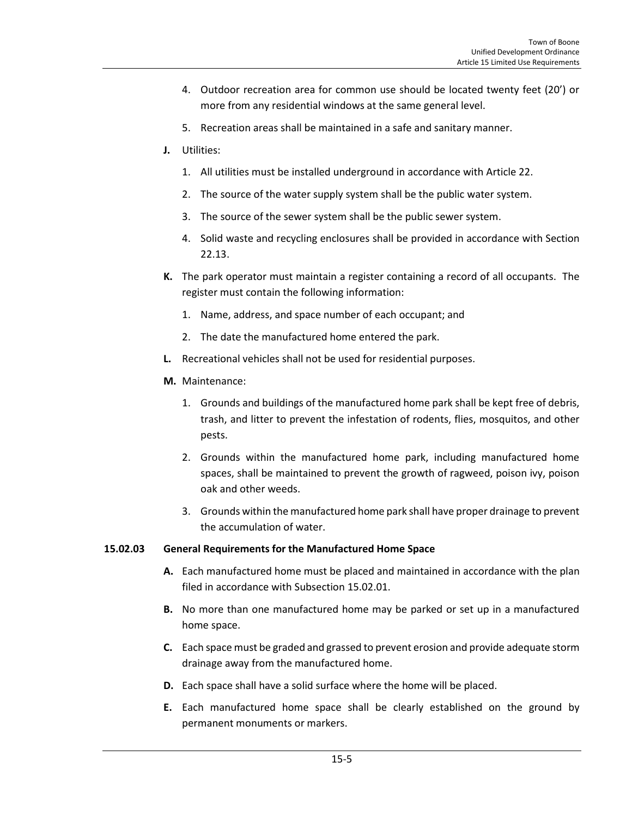- 4. Outdoor recreation area for common use should be located twenty feet (20') or more from any residential windows at the same general level.
- 5. Recreation areas shall be maintained in a safe and sanitary manner.
- **J.** Utilities:
	- 1. All utilities must be installed underground in accordance with Article 22.
	- 2. The source of the water supply system shall be the public water system.
	- 3. The source of the sewer system shall be the public sewer system.
	- 4. Solid waste and recycling enclosures shall be provided in accordance with Section 22.13.
- **K.** The park operator must maintain a register containing a record of all occupants. The register must contain the following information:
	- 1. Name, address, and space number of each occupant; and
	- 2. The date the manufactured home entered the park.
- **L.** Recreational vehicles shall not be used for residential purposes.
- **M.** Maintenance:
	- 1. Grounds and buildings of the manufactured home park shall be kept free of debris, trash, and litter to prevent the infestation of rodents, flies, mosquitos, and other pests.
	- 2. Grounds within the manufactured home park, including manufactured home spaces, shall be maintained to prevent the growth of ragweed, poison ivy, poison oak and other weeds.
	- 3. Grounds within the manufactured home park shall have proper drainage to prevent the accumulation of water.

#### **15.02.03 General Requirements for the Manufactured Home Space**

- **A.** Each manufactured home must be placed and maintained in accordance with the plan filed in accordance with Subsection 15.02.01.
- **B.** No more than one manufactured home may be parked or set up in a manufactured home space.
- **C.** Each space must be graded and grassed to prevent erosion and provide adequate storm drainage away from the manufactured home.
- **D.** Each space shall have a solid surface where the home will be placed.
- **E.** Each manufactured home space shall be clearly established on the ground by permanent monuments or markers.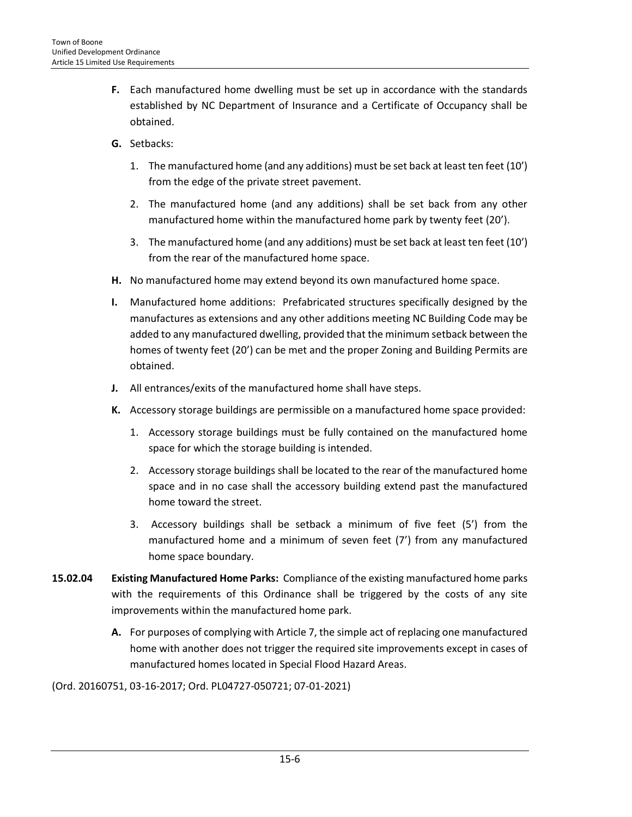- **F.** Each manufactured home dwelling must be set up in accordance with the standards established by NC Department of Insurance and a Certificate of Occupancy shall be obtained.
- **G.** Setbacks:
	- 1. The manufactured home (and any additions) must be set back at least ten feet (10') from the edge of the private street pavement.
	- 2. The manufactured home (and any additions) shall be set back from any other manufactured home within the manufactured home park by twenty feet (20').
	- 3. The manufactured home (and any additions) must be set back at least ten feet (10') from the rear of the manufactured home space.
- **H.** No manufactured home may extend beyond its own manufactured home space.
- **I.** Manufactured home additions: Prefabricated structures specifically designed by the manufactures as extensions and any other additions meeting NC Building Code may be added to any manufactured dwelling, provided that the minimum setback between the homes of twenty feet (20') can be met and the proper Zoning and Building Permits are obtained.
- **J.** All entrances/exits of the manufactured home shall have steps.
- **K.** Accessory storage buildings are permissible on a manufactured home space provided:
	- 1. Accessory storage buildings must be fully contained on the manufactured home space for which the storage building is intended.
	- 2. Accessory storage buildings shall be located to the rear of the manufactured home space and in no case shall the accessory building extend past the manufactured home toward the street.
	- 3. Accessory buildings shall be setback a minimum of five feet (5') from the manufactured home and a minimum of seven feet (7') from any manufactured home space boundary.
- **15.02.04 Existing Manufactured Home Parks:** Compliance of the existing manufactured home parks with the requirements of this Ordinance shall be triggered by the costs of any site improvements within the manufactured home park.
	- **A.** For purposes of complying with Article 7, the simple act of replacing one manufactured home with another does not trigger the required site improvements except in cases of manufactured homes located in Special Flood Hazard Areas.

(Ord. 20160751, 03-16-2017; Ord. PL04727-050721; 07-01-2021)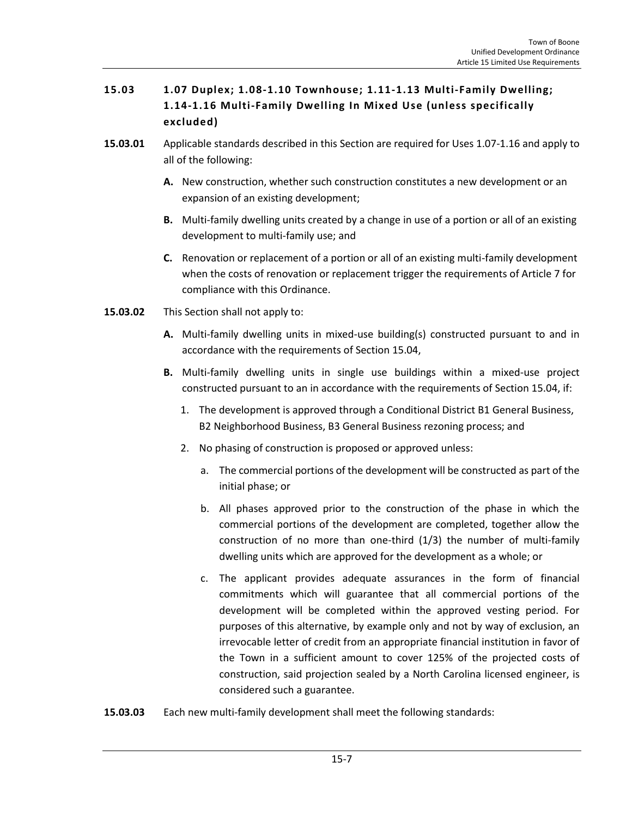# <span id="page-6-0"></span>**15.03 1.07 Duplex; 1.08-1.10 Townhouse; 1.11-1.13 Multi-Family Dwelling; 1.14-1.16 Multi-Family Dwelling In Mixed Use (unless specifically excluded)**

- **15.03.01** Applicable standards described in this Section are required for Uses 1.07-1.16 and apply to all of the following:
	- **A.** New construction, whether such construction constitutes a new development or an expansion of an existing development;
	- **B.** Multi-family dwelling units created by a change in use of a portion or all of an existing development to multi-family use; and
	- **C.** Renovation or replacement of a portion or all of an existing multi-family development when the costs of renovation or replacement trigger the requirements of Article 7 for compliance with this Ordinance.
- **15.03.02** This Section shall not apply to:
	- **A.** Multi-family dwelling units in mixed-use building(s) constructed pursuant to and in accordance with the requirements of Section 15.04,
	- **B.** Multi-family dwelling units in single use buildings within a mixed-use project constructed pursuant to an in accordance with the requirements of Section 15.04, if:
		- 1. The development is approved through a Conditional District B1 General Business, B2 Neighborhood Business, B3 General Business rezoning process; and
		- 2. No phasing of construction is proposed or approved unless:
			- a. The commercial portions of the development will be constructed as part of the initial phase; or
			- b. All phases approved prior to the construction of the phase in which the commercial portions of the development are completed, together allow the construction of no more than one-third (1/3) the number of multi-family dwelling units which are approved for the development as a whole; or
			- c. The applicant provides adequate assurances in the form of financial commitments which will guarantee that all commercial portions of the development will be completed within the approved vesting period. For purposes of this alternative, by example only and not by way of exclusion, an irrevocable letter of credit from an appropriate financial institution in favor of the Town in a sufficient amount to cover 125% of the projected costs of construction, said projection sealed by a North Carolina licensed engineer, is considered such a guarantee.
- **15.03.03** Each new multi-family development shall meet the following standards: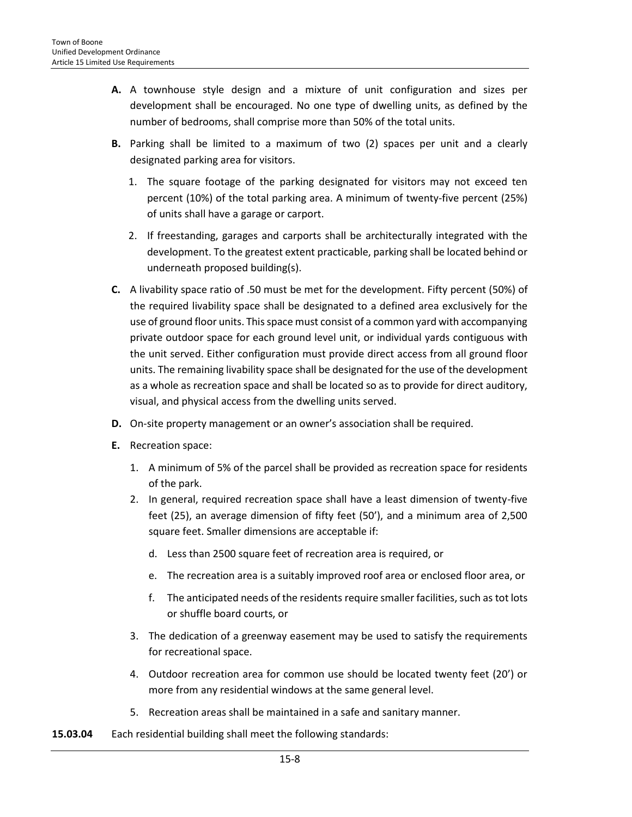- **A.** A townhouse style design and a mixture of unit configuration and sizes per development shall be encouraged. No one type of dwelling units, as defined by the number of bedrooms, shall comprise more than 50% of the total units.
- **B.** Parking shall be limited to a maximum of two (2) spaces per unit and a clearly designated parking area for visitors.
	- 1. The square footage of the parking designated for visitors may not exceed ten percent (10%) of the total parking area. A minimum of twenty-five percent (25%) of units shall have a garage or carport.
	- 2. If freestanding, garages and carports shall be architecturally integrated with the development. To the greatest extent practicable, parking shall be located behind or underneath proposed building(s).
- **C.** A livability space ratio of .50 must be met for the development. Fifty percent (50%) of the required livability space shall be designated to a defined area exclusively for the use of ground floor units. This space must consist of a common yard with accompanying private outdoor space for each ground level unit, or individual yards contiguous with the unit served. Either configuration must provide direct access from all ground floor units. The remaining livability space shall be designated for the use of the development as a whole as recreation space and shall be located so as to provide for direct auditory, visual, and physical access from the dwelling units served.
- **D.** On-site property management or an owner's association shall be required.
- **E.** Recreation space:
	- 1. A minimum of 5% of the parcel shall be provided as recreation space for residents of the park.
	- 2. In general, required recreation space shall have a least dimension of twenty-five feet (25), an average dimension of fifty feet (50'), and a minimum area of 2,500 square feet. Smaller dimensions are acceptable if:
		- d. Less than 2500 square feet of recreation area is required, or
		- e. The recreation area is a suitably improved roof area or enclosed floor area, or
		- f. The anticipated needs of the residents require smaller facilities, such as tot lots or shuffle board courts, or
	- 3. The dedication of a greenway easement may be used to satisfy the requirements for recreational space.
	- 4. Outdoor recreation area for common use should be located twenty feet (20') or more from any residential windows at the same general level.
	- 5. Recreation areas shall be maintained in a safe and sanitary manner.
- **15.03.04** Each residential building shall meet the following standards: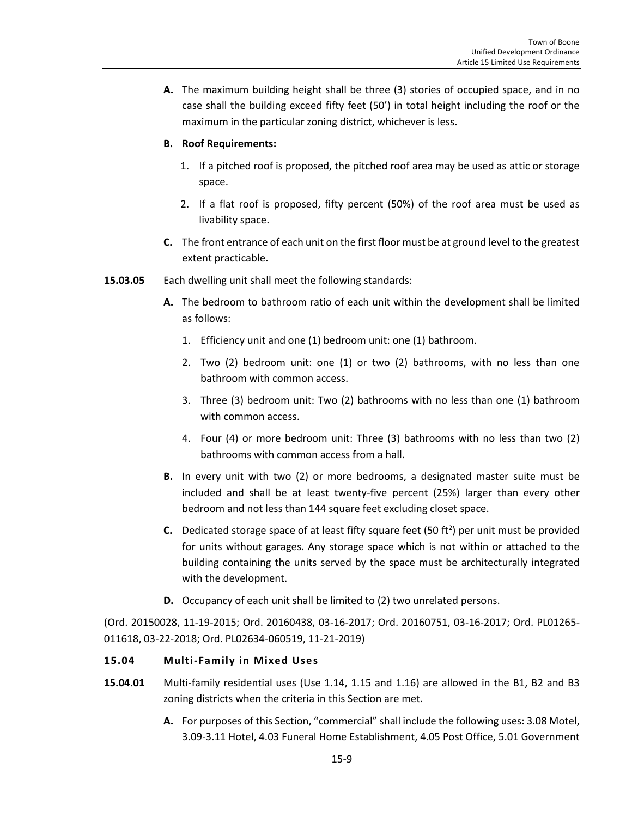**A.** The maximum building height shall be three (3) stories of occupied space, and in no case shall the building exceed fifty feet (50') in total height including the roof or the maximum in the particular zoning district, whichever is less.

# **B. Roof Requirements:**

- 1. If a pitched roof is proposed, the pitched roof area may be used as attic or storage space.
- 2. If a flat roof is proposed, fifty percent (50%) of the roof area must be used as livability space.
- **C.** The front entrance of each unit on the first floor must be at ground level to the greatest extent practicable.
- **15.03.05** Each dwelling unit shall meet the following standards:
	- **A.** The bedroom to bathroom ratio of each unit within the development shall be limited as follows:
		- 1. Efficiency unit and one (1) bedroom unit: one (1) bathroom.
		- 2. Two (2) bedroom unit: one (1) or two (2) bathrooms, with no less than one bathroom with common access.
		- 3. Three (3) bedroom unit: Two (2) bathrooms with no less than one (1) bathroom with common access.
		- 4. Four (4) or more bedroom unit: Three (3) bathrooms with no less than two (2) bathrooms with common access from a hall.
	- **B.** In every unit with two (2) or more bedrooms, a designated master suite must be included and shall be at least twenty-five percent (25%) larger than every other bedroom and not less than 144 square feet excluding closet space.
	- **C.** Dedicated storage space of at least fifty square feet (50 ft<sup>2</sup>) per unit must be provided for units without garages. Any storage space which is not within or attached to the building containing the units served by the space must be architecturally integrated with the development.
	- **D.** Occupancy of each unit shall be limited to (2) two unrelated persons.

(Ord. 20150028, 11-19-2015; Ord. 20160438, 03-16-2017; Ord. 20160751, 03-16-2017; Ord. PL01265- 011618, 03-22-2018; Ord. PL02634-060519, 11-21-2019)

# <span id="page-8-0"></span>**15.04 Multi-Family in Mixed Uses**

- **15.04.01** Multi-family residential uses (Use 1.14, 1.15 and 1.16) are allowed in the B1, B2 and B3 zoning districts when the criteria in this Section are met.
	- **A.** For purposes of this Section, "commercial" shall include the following uses: 3.08 Motel, 3.09-3.11 Hotel, 4.03 Funeral Home Establishment, 4.05 Post Office, 5.01 Government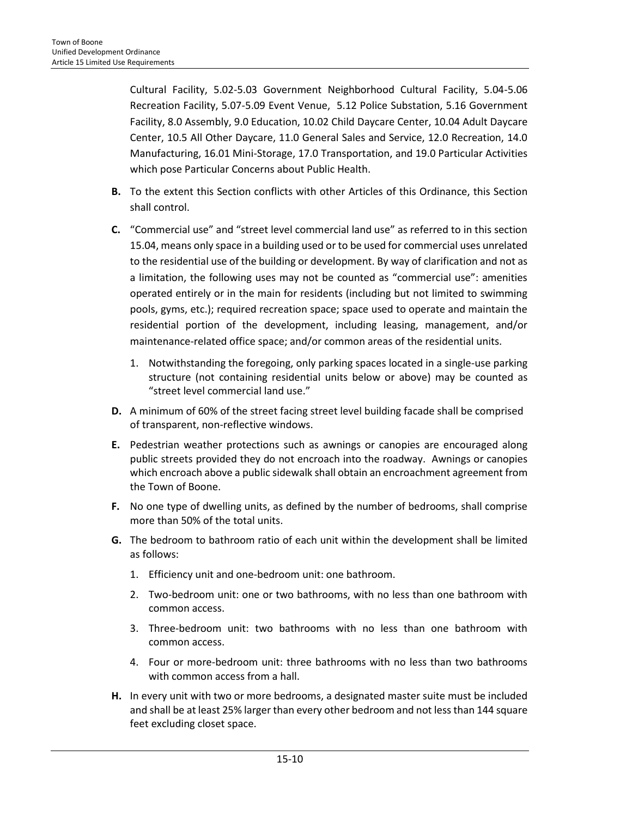Cultural Facility, 5.02-5.03 Government Neighborhood Cultural Facility, 5.04-5.06 Recreation Facility, 5.07-5.09 Event Venue, 5.12 Police Substation, 5.16 Government Facility, 8.0 Assembly, 9.0 Education, 10.02 Child Daycare Center, 10.04 Adult Daycare Center, 10.5 All Other Daycare, 11.0 General Sales and Service, 12.0 Recreation, 14.0 Manufacturing, 16.01 Mini-Storage, 17.0 Transportation, and 19.0 Particular Activities which pose Particular Concerns about Public Health.

- **B.** To the extent this Section conflicts with other Articles of this Ordinance, this Section shall control.
- **C.** "Commercial use" and "street level commercial land use" as referred to in this section 15.04, means only space in a building used or to be used for commercial uses unrelated to the residential use of the building or development. By way of clarification and not as a limitation, the following uses may not be counted as "commercial use": amenities operated entirely or in the main for residents (including but not limited to swimming pools, gyms, etc.); required recreation space; space used to operate and maintain the residential portion of the development, including leasing, management, and/or maintenance-related office space; and/or common areas of the residential units.
	- 1. Notwithstanding the foregoing, only parking spaces located in a single-use parking structure (not containing residential units below or above) may be counted as "street level commercial land use."
- **D.** A minimum of 60% of the street facing street level building facade shall be comprised of transparent, non-reflective windows.
- **E.** Pedestrian weather protections such as awnings or canopies are encouraged along public streets provided they do not encroach into the roadway. Awnings or canopies which encroach above a public sidewalk shall obtain an encroachment agreement from the Town of Boone.
- **F.** No one type of dwelling units, as defined by the number of bedrooms, shall comprise more than 50% of the total units.
- **G.** The bedroom to bathroom ratio of each unit within the development shall be limited as follows:
	- 1. Efficiency unit and one-bedroom unit: one bathroom.
	- 2. Two-bedroom unit: one or two bathrooms, with no less than one bathroom with common access.
	- 3. Three-bedroom unit: two bathrooms with no less than one bathroom with common access.
	- 4. Four or more-bedroom unit: three bathrooms with no less than two bathrooms with common access from a hall.
- **H.** In every unit with two or more bedrooms, a designated master suite must be included and shall be at least 25% larger than every other bedroom and not less than 144 square feet excluding closet space.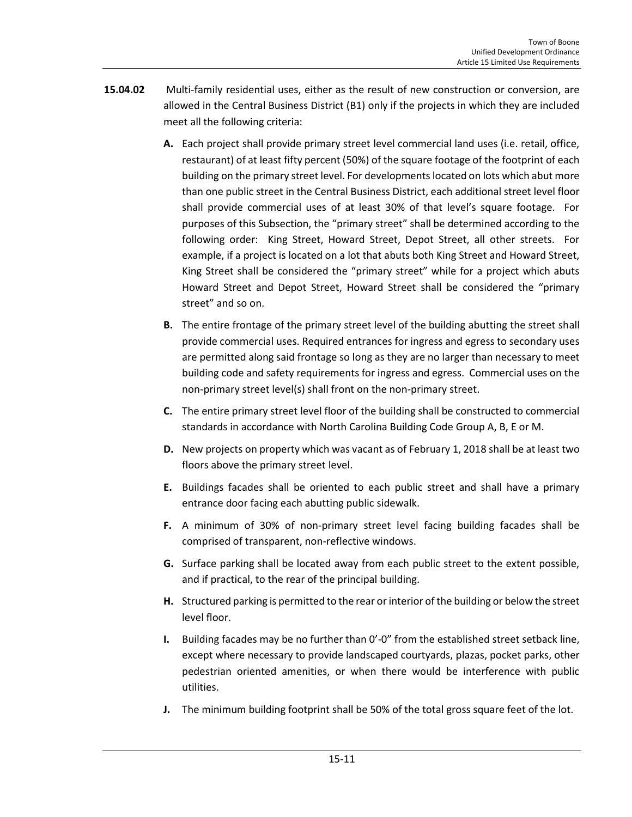- **15.04.02** Multi-family residential uses, either as the result of new construction or conversion, are allowed in the Central Business District (B1) only if the projects in which they are included meet all the following criteria:
	- **A.** Each project shall provide primary street level commercial land uses (i.e. retail, office, restaurant) of at least fifty percent (50%) of the square footage of the footprint of each building on the primary street level. For developments located on lots which abut more than one public street in the Central Business District, each additional street level floor shall provide commercial uses of at least 30% of that level's square footage. For purposes of this Subsection, the "primary street" shall be determined according to the following order: King Street, Howard Street, Depot Street, all other streets. For example, if a project is located on a lot that abuts both King Street and Howard Street, King Street shall be considered the "primary street" while for a project which abuts Howard Street and Depot Street, Howard Street shall be considered the "primary street" and so on.
	- **B.** The entire frontage of the primary street level of the building abutting the street shall provide commercial uses. Required entrances for ingress and egress to secondary uses are permitted along said frontage so long as they are no larger than necessary to meet building code and safety requirements for ingress and egress. Commercial uses on the non-primary street level(s) shall front on the non-primary street.
	- **C.** The entire primary street level floor of the building shall be constructed to commercial standards in accordance with North Carolina Building Code Group A, B, E or M.
	- **D.** New projects on property which was vacant as of February 1, 2018 shall be at least two floors above the primary street level.
	- **E.** Buildings facades shall be oriented to each public street and shall have a primary entrance door facing each abutting public sidewalk.
	- **F.** A minimum of 30% of non-primary street level facing building facades shall be comprised of transparent, non-reflective windows.
	- **G.** Surface parking shall be located away from each public street to the extent possible, and if practical, to the rear of the principal building.
	- **H.** Structured parking is permitted to the rear or interior of the building or below the street level floor.
	- **I.** Building facades may be no further than 0'-0" from the established street setback line, except where necessary to provide landscaped courtyards, plazas, pocket parks, other pedestrian oriented amenities, or when there would be interference with public utilities.
	- **J.** The minimum building footprint shall be 50% of the total gross square feet of the lot.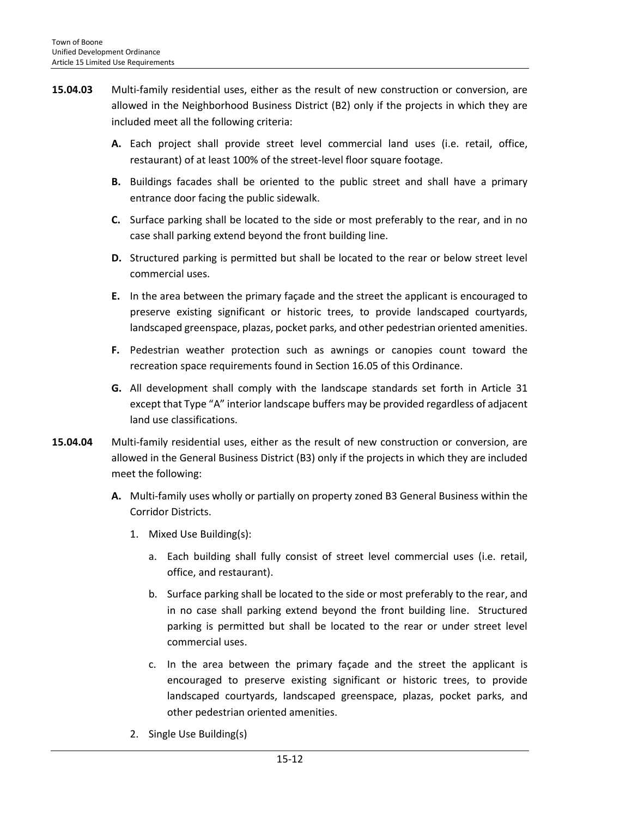- **15.04.03** Multi-family residential uses, either as the result of new construction or conversion, are allowed in the Neighborhood Business District (B2) only if the projects in which they are included meet all the following criteria:
	- **A.** Each project shall provide street level commercial land uses (i.e. retail, office, restaurant) of at least 100% of the street-level floor square footage.
	- **B.** Buildings facades shall be oriented to the public street and shall have a primary entrance door facing the public sidewalk.
	- **C.** Surface parking shall be located to the side or most preferably to the rear, and in no case shall parking extend beyond the front building line.
	- **D.** Structured parking is permitted but shall be located to the rear or below street level commercial uses.
	- **E.** In the area between the primary façade and the street the applicant is encouraged to preserve existing significant or historic trees, to provide landscaped courtyards, landscaped greenspace, plazas, pocket parks, and other pedestrian oriented amenities.
	- **F.** Pedestrian weather protection such as awnings or canopies count toward the recreation space requirements found in Section 16.05 of this Ordinance.
	- **G.** All development shall comply with the landscape standards set forth in Article 31 except that Type "A" interior landscape buffers may be provided regardless of adjacent land use classifications.
- **15.04.04** Multi-family residential uses, either as the result of new construction or conversion, are allowed in the General Business District (B3) only if the projects in which they are included meet the following:
	- **A.** Multi-family uses wholly or partially on property zoned B3 General Business within the Corridor Districts.
		- 1. Mixed Use Building(s):
			- a. Each building shall fully consist of street level commercial uses (i.e. retail, office, and restaurant).
			- b. Surface parking shall be located to the side or most preferably to the rear, and in no case shall parking extend beyond the front building line. Structured parking is permitted but shall be located to the rear or under street level commercial uses.
			- c. In the area between the primary façade and the street the applicant is encouraged to preserve existing significant or historic trees, to provide landscaped courtyards, landscaped greenspace, plazas, pocket parks, and other pedestrian oriented amenities.
		- 2. Single Use Building(s)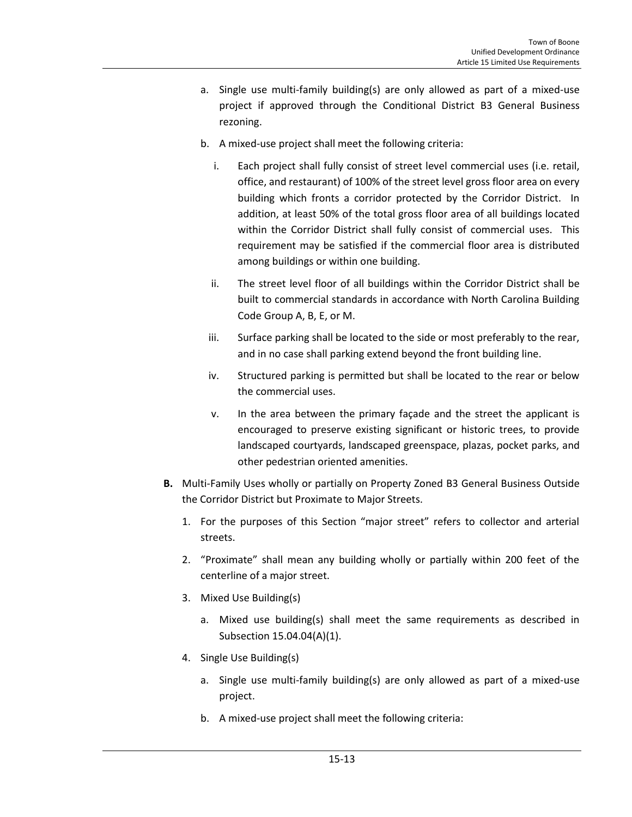- a. Single use multi-family building(s) are only allowed as part of a mixed-use project if approved through the Conditional District B3 General Business rezoning.
- b. A mixed-use project shall meet the following criteria:
	- i. Each project shall fully consist of street level commercial uses (i.e. retail, office, and restaurant) of 100% of the street level gross floor area on every building which fronts a corridor protected by the Corridor District. In addition, at least 50% of the total gross floor area of all buildings located within the Corridor District shall fully consist of commercial uses. This requirement may be satisfied if the commercial floor area is distributed among buildings or within one building.
	- ii. The street level floor of all buildings within the Corridor District shall be built to commercial standards in accordance with North Carolina Building Code Group A, B, E, or M.
	- iii. Surface parking shall be located to the side or most preferably to the rear, and in no case shall parking extend beyond the front building line.
	- iv. Structured parking is permitted but shall be located to the rear or below the commercial uses.
	- v. In the area between the primary façade and the street the applicant is encouraged to preserve existing significant or historic trees, to provide landscaped courtyards, landscaped greenspace, plazas, pocket parks, and other pedestrian oriented amenities.
- **B.** Multi-Family Uses wholly or partially on Property Zoned B3 General Business Outside the Corridor District but Proximate to Major Streets.
	- 1. For the purposes of this Section "major street" refers to collector and arterial streets.
	- 2. "Proximate" shall mean any building wholly or partially within 200 feet of the centerline of a major street.
	- 3. Mixed Use Building(s)
		- a. Mixed use building(s) shall meet the same requirements as described in Subsection 15.04.04(A)(1).
	- 4. Single Use Building(s)
		- a. Single use multi-family building(s) are only allowed as part of a mixed-use project.
		- b. A mixed-use project shall meet the following criteria: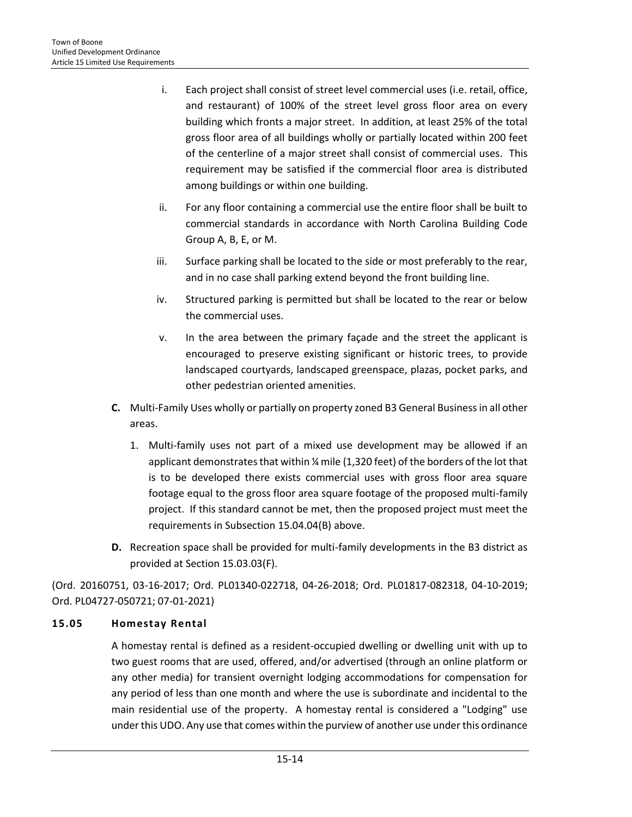- i. Each project shall consist of street level commercial uses (i.e. retail, office, and restaurant) of 100% of the street level gross floor area on every building which fronts a major street. In addition, at least 25% of the total gross floor area of all buildings wholly or partially located within 200 feet of the centerline of a major street shall consist of commercial uses. This requirement may be satisfied if the commercial floor area is distributed among buildings or within one building.
- ii. For any floor containing a commercial use the entire floor shall be built to commercial standards in accordance with North Carolina Building Code Group A, B, E, or M.
- iii. Surface parking shall be located to the side or most preferably to the rear, and in no case shall parking extend beyond the front building line.
- iv. Structured parking is permitted but shall be located to the rear or below the commercial uses.
- v. In the area between the primary façade and the street the applicant is encouraged to preserve existing significant or historic trees, to provide landscaped courtyards, landscaped greenspace, plazas, pocket parks, and other pedestrian oriented amenities.
- **C.** Multi-Family Uses wholly or partially on property zoned B3 General Business in all other areas.
	- 1. Multi-family uses not part of a mixed use development may be allowed if an applicant demonstrates that within ¼ mile (1,320 feet) of the borders of the lot that is to be developed there exists commercial uses with gross floor area square footage equal to the gross floor area square footage of the proposed multi-family project. If this standard cannot be met, then the proposed project must meet the requirements in Subsection 15.04.04(B) above.
- **D.** Recreation space shall be provided for multi-family developments in the B3 district as provided at Section 15.03.03(F).

(Ord. 20160751, 03-16-2017; Ord. PL01340-022718, 04-26-2018; Ord. PL01817-082318, 04-10-2019; Ord. PL04727-050721; 07-01-2021)

# <span id="page-13-0"></span>**15.05 Homestay Rental**

A homestay rental is defined as a resident-occupied dwelling or dwelling unit with up to two guest rooms that are used, offered, and/or advertised (through an online platform or any other media) for transient overnight lodging accommodations for compensation for any period of less than one month and where the use is subordinate and incidental to the main residential use of the property. A homestay rental is considered a "Lodging" use under this UDO. Any use that comes within the purview of another use under this ordinance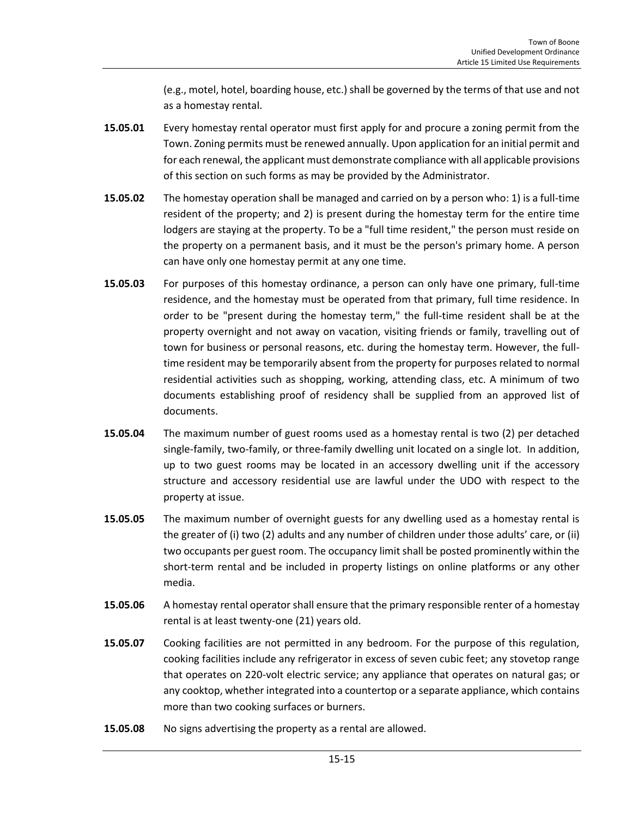(e.g., motel, hotel, boarding house, etc.) shall be governed by the terms of that use and not as a homestay rental.

- **15.05.01** Every homestay rental operator must first apply for and procure a zoning permit from the Town. Zoning permits must be renewed annually. Upon application for an initial permit and for each renewal, the applicant must demonstrate compliance with all applicable provisions of this section on such forms as may be provided by the Administrator.
- **15.05.02** The homestay operation shall be managed and carried on by a person who: 1) is a full-time resident of the property; and 2) is present during the homestay term for the entire time lodgers are staying at the property. To be a "full time resident," the person must reside on the property on a permanent basis, and it must be the person's primary home. A person can have only one homestay permit at any one time.
- **15.05.03** For purposes of this homestay ordinance, a person can only have one primary, full-time residence, and the homestay must be operated from that primary, full time residence. In order to be "present during the homestay term," the full-time resident shall be at the property overnight and not away on vacation, visiting friends or family, travelling out of town for business or personal reasons, etc. during the homestay term. However, the fulltime resident may be temporarily absent from the property for purposes related to normal residential activities such as shopping, working, attending class, etc. A minimum of two documents establishing proof of residency shall be supplied from an approved list of documents.
- **15.05.04** The maximum number of guest rooms used as a homestay rental is two (2) per detached single-family, two-family, or three-family dwelling unit located on a single lot. In addition, up to two guest rooms may be located in an accessory dwelling unit if the accessory structure and accessory residential use are lawful under the UDO with respect to the property at issue.
- **15.05.05** The maximum number of overnight guests for any dwelling used as a homestay rental is the greater of (i) two (2) adults and any number of children under those adults' care, or (ii) two occupants per guest room. The occupancy limit shall be posted prominently within the short-term rental and be included in property listings on online platforms or any other media.
- **15.05.06** A homestay rental operator shall ensure that the primary responsible renter of a homestay rental is at least twenty-one (21) years old.
- **15.05.07** Cooking facilities are not permitted in any bedroom. For the purpose of this regulation, cooking facilities include any refrigerator in excess of seven cubic feet; any stovetop range that operates on 220-volt electric service; any appliance that operates on natural gas; or any cooktop, whether integrated into a countertop or a separate appliance, which contains more than two cooking surfaces or burners.
- **15.05.08** No signs advertising the property as a rental are allowed.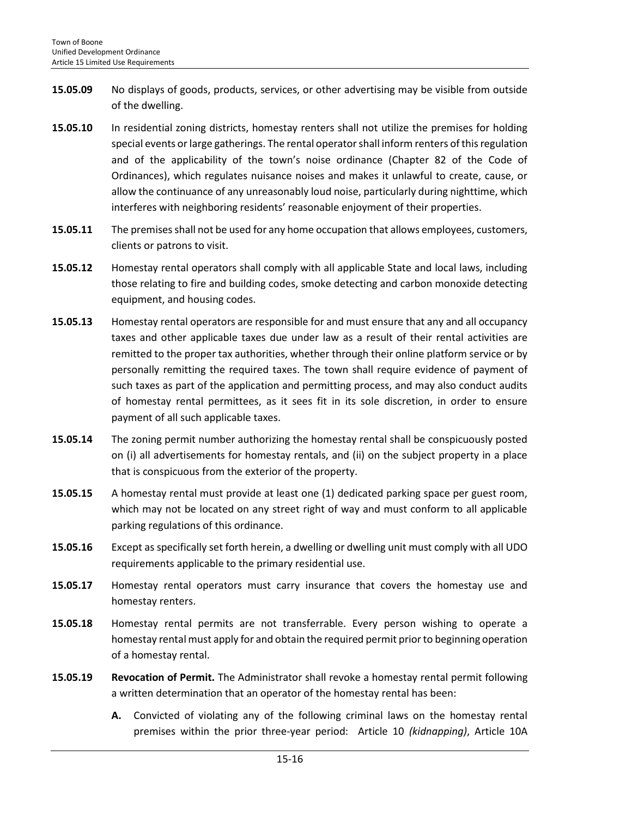- **15.05.09** No displays of goods, products, services, or other advertising may be visible from outside of the dwelling.
- **15.05.10** In residential zoning districts, homestay renters shall not utilize the premises for holding special events or large gatherings. The rental operator shall inform renters of this regulation and of the applicability of the town's noise ordinance (Chapter 82 of the Code of Ordinances), which regulates nuisance noises and makes it unlawful to create, cause, or allow the continuance of any unreasonably loud noise, particularly during nighttime, which interferes with neighboring residents' reasonable enjoyment of their properties.
- **15.05.11** The premises shall not be used for any home occupation that allows employees, customers, clients or patrons to visit.
- **15.05.12** Homestay rental operators shall comply with all applicable State and local laws, including those relating to fire and building codes, smoke detecting and carbon monoxide detecting equipment, and housing codes.
- **15.05.13** Homestay rental operators are responsible for and must ensure that any and all occupancy taxes and other applicable taxes due under law as a result of their rental activities are remitted to the proper tax authorities, whether through their online platform service or by personally remitting the required taxes. The town shall require evidence of payment of such taxes as part of the application and permitting process, and may also conduct audits of homestay rental permittees, as it sees fit in its sole discretion, in order to ensure payment of all such applicable taxes.
- **15.05.14** The zoning permit number authorizing the homestay rental shall be conspicuously posted on (i) all advertisements for homestay rentals, and (ii) on the subject property in a place that is conspicuous from the exterior of the property.
- **15.05.15** A homestay rental must provide at least one (1) dedicated parking space per guest room, which may not be located on any street right of way and must conform to all applicable parking regulations of this ordinance.
- **15.05.16** Except as specifically set forth herein, a dwelling or dwelling unit must comply with all UDO requirements applicable to the primary residential use.
- **15.05.17** Homestay rental operators must carry insurance that covers the homestay use and homestay renters.
- **15.05.18** Homestay rental permits are not transferrable. Every person wishing to operate a homestay rental must apply for and obtain the required permit prior to beginning operation of a homestay rental.
- **15.05.19 Revocation of Permit.** The Administrator shall revoke a homestay rental permit following a written determination that an operator of the homestay rental has been:
	- **A.** Convicted of violating any of the following criminal laws on the homestay rental premises within the prior three-year period: Article 10 *(kidnapping)*, Article 10A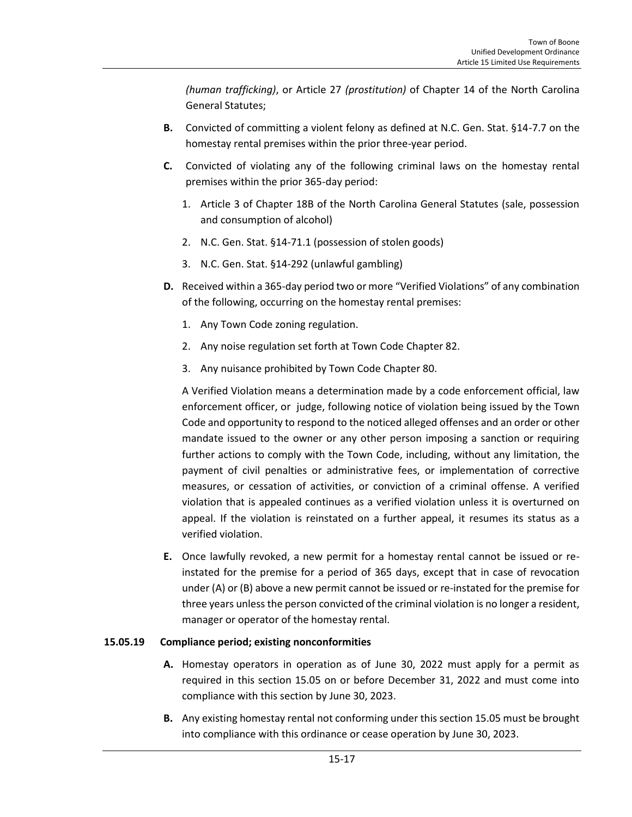*(human trafficking)*, or Article 27 *(prostitution)* of Chapter 14 of the North Carolina General Statutes;

- **B.** Convicted of committing a violent felony as defined at N.C. Gen. Stat. §14-7.7 on the homestay rental premises within the prior three-year period.
- **C.** Convicted of violating any of the following criminal laws on the homestay rental premises within the prior 365-day period:
	- 1. Article 3 of Chapter 18B of the North Carolina General Statutes (sale, possession and consumption of alcohol)
	- 2. N.C. Gen. Stat. §14-71.1 (possession of stolen goods)
	- 3. N.C. Gen. Stat. §14-292 (unlawful gambling)
- **D.** Received within a 365-day period two or more "Verified Violations" of any combination of the following, occurring on the homestay rental premises:
	- 1. Any Town Code zoning regulation.
	- 2. Any noise regulation set forth at Town Code Chapter 82.
	- 3. Any nuisance prohibited by Town Code Chapter 80.

A Verified Violation means a determination made by a code enforcement official, law enforcement officer, or judge, following notice of violation being issued by the Town Code and opportunity to respond to the noticed alleged offenses and an order or other mandate issued to the owner or any other person imposing a sanction or requiring further actions to comply with the Town Code, including, without any limitation, the payment of civil penalties or administrative fees, or implementation of corrective measures, or cessation of activities, or conviction of a criminal offense. A verified violation that is appealed continues as a verified violation unless it is overturned on appeal. If the violation is reinstated on a further appeal, it resumes its status as a verified violation.

**E.** Once lawfully revoked, a new permit for a homestay rental cannot be issued or reinstated for the premise for a period of 365 days, except that in case of revocation under (A) or (B) above a new permit cannot be issued or re-instated for the premise for three years unless the person convicted of the criminal violation is no longer a resident, manager or operator of the homestay rental.

## **15.05.19 Compliance period; existing nonconformities**

- **A.** Homestay operators in operation as of June 30, 2022 must apply for a permit as required in this section 15.05 on or before December 31, 2022 and must come into compliance with this section by June 30, 2023.
- **B.** Any existing homestay rental not conforming under this section 15.05 must be brought into compliance with this ordinance or cease operation by June 30, 2023.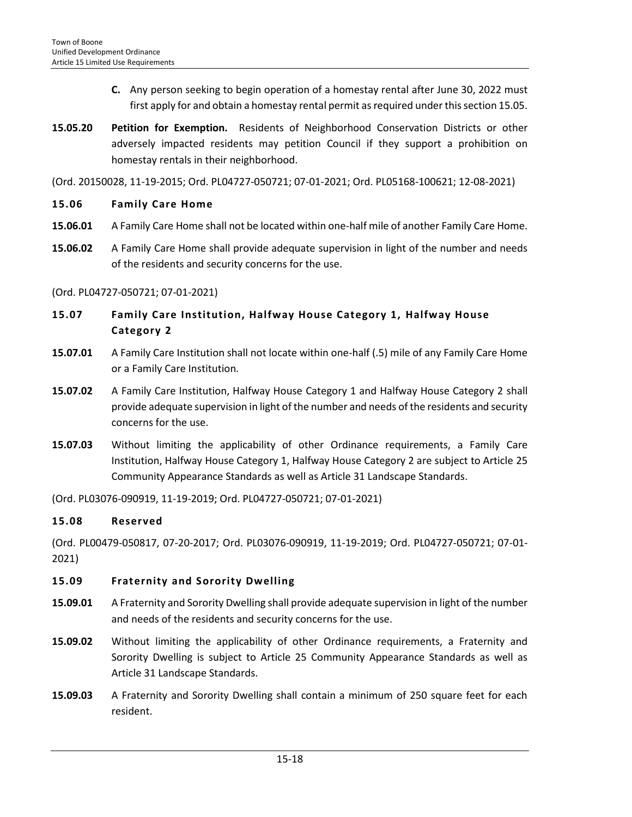- **C.** Any person seeking to begin operation of a homestay rental after June 30, 2022 must first apply for and obtain a homestay rental permit as required under this section 15.05.
- **15.05.20 Petition for Exemption.** Residents of Neighborhood Conservation Districts or other adversely impacted residents may petition Council if they support a prohibition on homestay rentals in their neighborhood.

(Ord. 20150028, 11-19-2015; Ord. PL04727-050721; 07-01-2021; Ord. PL05168-100621; 12-08-2021)

#### <span id="page-17-0"></span>**15.06 Family Care Home**

- **15.06.01** A Family Care Home shall not be located within one-half mile of another Family Care Home.
- **15.06.02** A Family Care Home shall provide adequate supervision in light of the number and needs of the residents and security concerns for the use.

#### (Ord. PL04727-050721; 07-01-2021)

- <span id="page-17-1"></span>**15.07 Family Care Institution, Halfway House Category 1, Halfway House Category 2**
- **15.07.01** A Family Care Institution shall not locate within one-half (.5) mile of any Family Care Home or a Family Care Institution.
- **15.07.02** A Family Care Institution, Halfway House Category 1 and Halfway House Category 2 shall provide adequate supervision in light of the number and needs of the residents and security concerns for the use.
- **15.07.03** Without limiting the applicability of other Ordinance requirements, a Family Care Institution, Halfway House Category 1, Halfway House Category 2 are subject to Article 25 Community Appearance Standards as well as Article 31 Landscape Standards.

(Ord. PL03076-090919, 11-19-2019; Ord. PL04727-050721; 07-01-2021)

## <span id="page-17-2"></span>**15.08 Reserved**

(Ord. PL00479-050817, 07-20-2017; Ord. PL03076-090919, 11-19-2019; Ord. PL04727-050721; 07-01- 2021)

## <span id="page-17-3"></span>**15.09 Fraternity and Sorority Dwelling**

- **15.09.01** A Fraternity and Sorority Dwelling shall provide adequate supervision in light of the number and needs of the residents and security concerns for the use.
- **15.09.02** Without limiting the applicability of other Ordinance requirements, a Fraternity and Sorority Dwelling is subject to Article 25 Community Appearance Standards as well as Article 31 Landscape Standards.
- **15.09.03** A Fraternity and Sorority Dwelling shall contain a minimum of 250 square feet for each resident.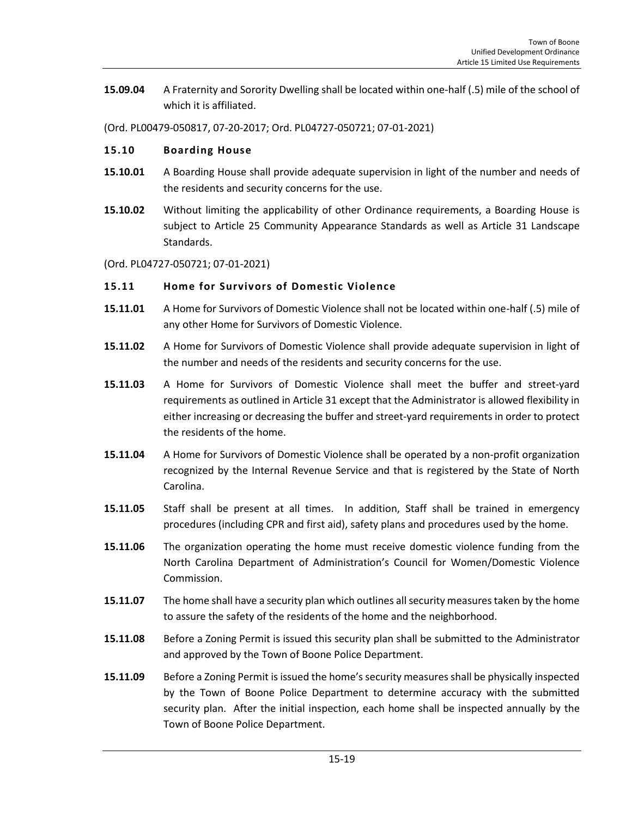**15.09.04** A Fraternity and Sorority Dwelling shall be located within one-half (.5) mile of the school of which it is affiliated.

(Ord. PL00479-050817, 07-20-2017; Ord. PL04727-050721; 07-01-2021)

#### <span id="page-18-0"></span>**15.10 Boarding House**

- **15.10.01** A Boarding House shall provide adequate supervision in light of the number and needs of the residents and security concerns for the use.
- **15.10.02** Without limiting the applicability of other Ordinance requirements, a Boarding House is subject to Article 25 Community Appearance Standards as well as Article 31 Landscape Standards.
- (Ord. PL04727-050721; 07-01-2021)

#### <span id="page-18-1"></span>**15.11 Home for Survivors of Domestic Violence**

- **15.11.01** A Home for Survivors of Domestic Violence shall not be located within one-half (.5) mile of any other Home for Survivors of Domestic Violence.
- **15.11.02** A Home for Survivors of Domestic Violence shall provide adequate supervision in light of the number and needs of the residents and security concerns for the use.
- **15.11.03** A Home for Survivors of Domestic Violence shall meet the buffer and street-yard requirements as outlined in Article 31 except that the Administrator is allowed flexibility in either increasing or decreasing the buffer and street-yard requirements in order to protect the residents of the home.
- **15.11.04** A Home for Survivors of Domestic Violence shall be operated by a non-profit organization recognized by the Internal Revenue Service and that is registered by the State of North Carolina.
- **15.11.05** Staff shall be present at all times. In addition, Staff shall be trained in emergency procedures (including CPR and first aid), safety plans and procedures used by the home.
- **15.11.06** The organization operating the home must receive domestic violence funding from the North Carolina Department of Administration's Council for Women/Domestic Violence Commission.
- **15.11.07** The home shall have a security plan which outlines all security measures taken by the home to assure the safety of the residents of the home and the neighborhood.
- **15.11.08** Before a Zoning Permit is issued this security plan shall be submitted to the Administrator and approved by the Town of Boone Police Department.
- **15.11.09** Before a Zoning Permit is issued the home's security measures shall be physically inspected by the Town of Boone Police Department to determine accuracy with the submitted security plan. After the initial inspection, each home shall be inspected annually by the Town of Boone Police Department.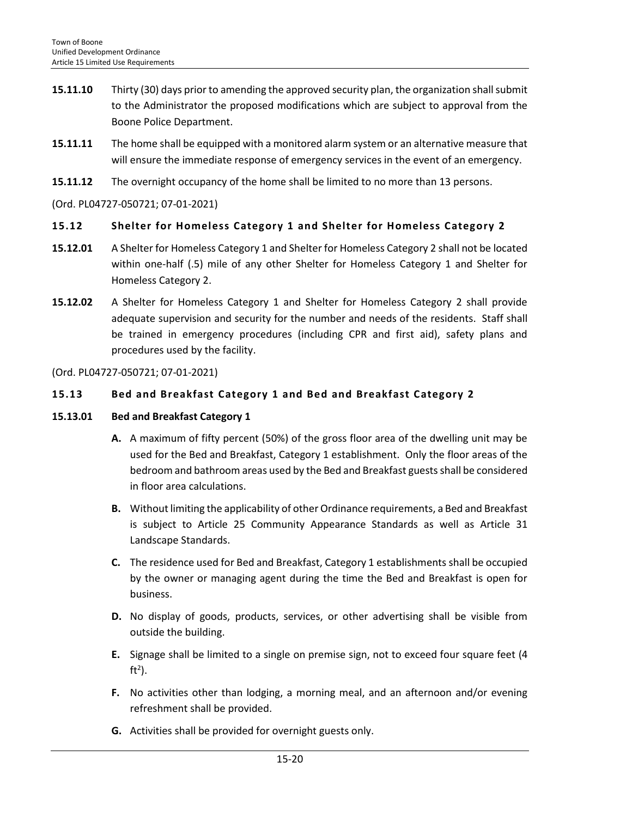- **15.11.10** Thirty (30) days prior to amending the approved security plan, the organization shall submit to the Administrator the proposed modifications which are subject to approval from the Boone Police Department.
- **15.11.11** The home shall be equipped with a monitored alarm system or an alternative measure that will ensure the immediate response of emergency services in the event of an emergency.
- **15.11.12** The overnight occupancy of the home shall be limited to no more than 13 persons.

(Ord. PL04727-050721; 07-01-2021)

# <span id="page-19-0"></span>**15.12 Shelter for Homeless Category 1 and Shelter for Homeless Category 2**

- **15.12.01** A Shelter for Homeless Category 1 and Shelter for Homeless Category 2 shall not be located within one-half (.5) mile of any other Shelter for Homeless Category 1 and Shelter for Homeless Category 2.
- **15.12.02** A Shelter for Homeless Category 1 and Shelter for Homeless Category 2 shall provide adequate supervision and security for the number and needs of the residents. Staff shall be trained in emergency procedures (including CPR and first aid), safety plans and procedures used by the facility.

(Ord. PL04727-050721; 07-01-2021)

# <span id="page-19-1"></span>**15.13 Bed and Breakfast Category 1 and Bed and Breakfast Category 2**

#### **15.13.01 Bed and Breakfast Category 1**

- **A.** A maximum of fifty percent (50%) of the gross floor area of the dwelling unit may be used for the Bed and Breakfast, Category 1 establishment. Only the floor areas of the bedroom and bathroom areas used by the Bed and Breakfast guests shall be considered in floor area calculations.
- **B.** Without limiting the applicability of other Ordinance requirements, a Bed and Breakfast is subject to Article 25 Community Appearance Standards as well as Article 31 Landscape Standards.
- **C.** The residence used for Bed and Breakfast, Category 1 establishments shall be occupied by the owner or managing agent during the time the Bed and Breakfast is open for business.
- **D.** No display of goods, products, services, or other advertising shall be visible from outside the building.
- **E.** Signage shall be limited to a single on premise sign, not to exceed four square feet (4 ft<sup>2</sup>).
- **F.** No activities other than lodging, a morning meal, and an afternoon and/or evening refreshment shall be provided.
- **G.** Activities shall be provided for overnight guests only.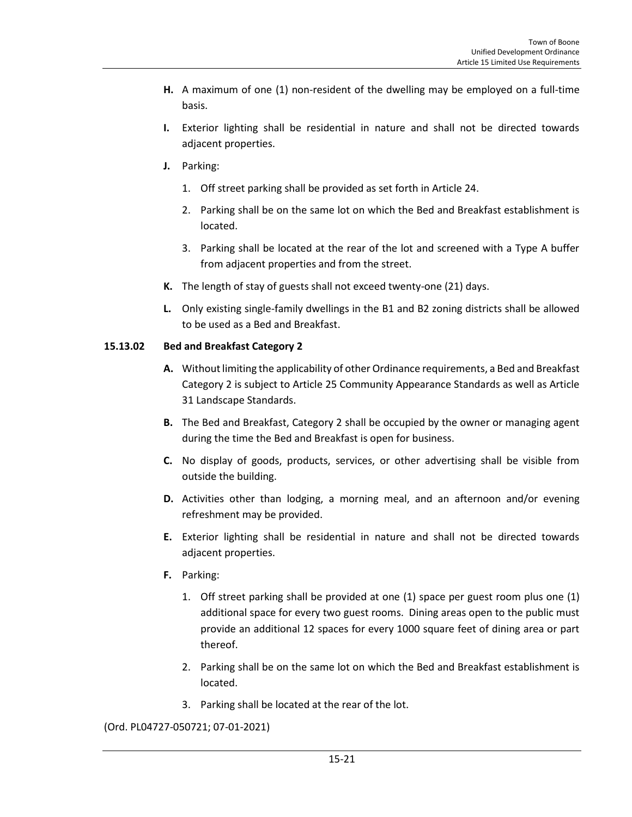- **H.** A maximum of one (1) non-resident of the dwelling may be employed on a full-time basis.
- **I.** Exterior lighting shall be residential in nature and shall not be directed towards adjacent properties.
- **J.** Parking:
	- 1. Off street parking shall be provided as set forth in Article 24.
	- 2. Parking shall be on the same lot on which the Bed and Breakfast establishment is located.
	- 3. Parking shall be located at the rear of the lot and screened with a Type A buffer from adjacent properties and from the street.
- **K.** The length of stay of guests shall not exceed twenty-one (21) days.
- **L.** Only existing single-family dwellings in the B1 and B2 zoning districts shall be allowed to be used as a Bed and Breakfast.

## **15.13.02 Bed and Breakfast Category 2**

- **A.** Without limiting the applicability of other Ordinance requirements, a Bed and Breakfast Category 2 is subject to Article 25 Community Appearance Standards as well as Article 31 Landscape Standards.
- **B.** The Bed and Breakfast, Category 2 shall be occupied by the owner or managing agent during the time the Bed and Breakfast is open for business.
- **C.** No display of goods, products, services, or other advertising shall be visible from outside the building.
- **D.** Activities other than lodging, a morning meal, and an afternoon and/or evening refreshment may be provided.
- **E.** Exterior lighting shall be residential in nature and shall not be directed towards adjacent properties.
- **F.** Parking:
	- 1. Off street parking shall be provided at one (1) space per guest room plus one (1) additional space for every two guest rooms. Dining areas open to the public must provide an additional 12 spaces for every 1000 square feet of dining area or part thereof.
	- 2. Parking shall be on the same lot on which the Bed and Breakfast establishment is located.
	- 3. Parking shall be located at the rear of the lot.

(Ord. PL04727-050721; 07-01-2021)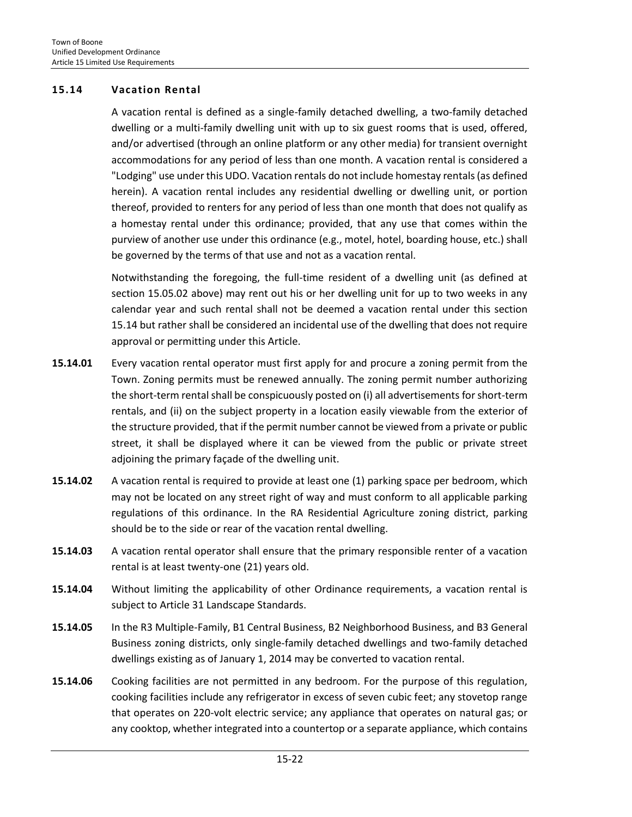#### <span id="page-21-0"></span>**15.14 Vacation Rental**

A vacation rental is defined as a single-family detached dwelling, a two-family detached dwelling or a multi-family dwelling unit with up to six guest rooms that is used, offered, and/or advertised (through an online platform or any other media) for transient overnight accommodations for any period of less than one month. A vacation rental is considered a "Lodging" use under this UDO. Vacation rentals do not include homestay rentals (as defined herein). A vacation rental includes any residential dwelling or dwelling unit, or portion thereof, provided to renters for any period of less than one month that does not qualify as a homestay rental under this ordinance; provided, that any use that comes within the purview of another use under this ordinance (e.g., motel, hotel, boarding house, etc.) shall be governed by the terms of that use and not as a vacation rental.

Notwithstanding the foregoing, the full-time resident of a dwelling unit (as defined at section 15.05.02 above) may rent out his or her dwelling unit for up to two weeks in any calendar year and such rental shall not be deemed a vacation rental under this section 15.14 but rather shall be considered an incidental use of the dwelling that does not require approval or permitting under this Article.

- **15.14.01** Every vacation rental operator must first apply for and procure a zoning permit from the Town. Zoning permits must be renewed annually. The zoning permit number authorizing the short-term rental shall be conspicuously posted on (i) all advertisements for short-term rentals, and (ii) on the subject property in a location easily viewable from the exterior of the structure provided, that if the permit number cannot be viewed from a private or public street, it shall be displayed where it can be viewed from the public or private street adjoining the primary façade of the dwelling unit.
- **15.14.02** A vacation rental is required to provide at least one (1) parking space per bedroom, which may not be located on any street right of way and must conform to all applicable parking regulations of this ordinance. In the RA Residential Agriculture zoning district, parking should be to the side or rear of the vacation rental dwelling.
- **15.14.03** A vacation rental operator shall ensure that the primary responsible renter of a vacation rental is at least twenty-one (21) years old.
- **15.14.04** Without limiting the applicability of other Ordinance requirements, a vacation rental is subject to Article 31 Landscape Standards.
- **15.14.05** In the R3 Multiple-Family, B1 Central Business, B2 Neighborhood Business, and B3 General Business zoning districts, only single-family detached dwellings and two-family detached dwellings existing as of January 1, 2014 may be converted to vacation rental.
- **15.14.06** Cooking facilities are not permitted in any bedroom. For the purpose of this regulation, cooking facilities include any refrigerator in excess of seven cubic feet; any stovetop range that operates on 220-volt electric service; any appliance that operates on natural gas; or any cooktop, whether integrated into a countertop or a separate appliance, which contains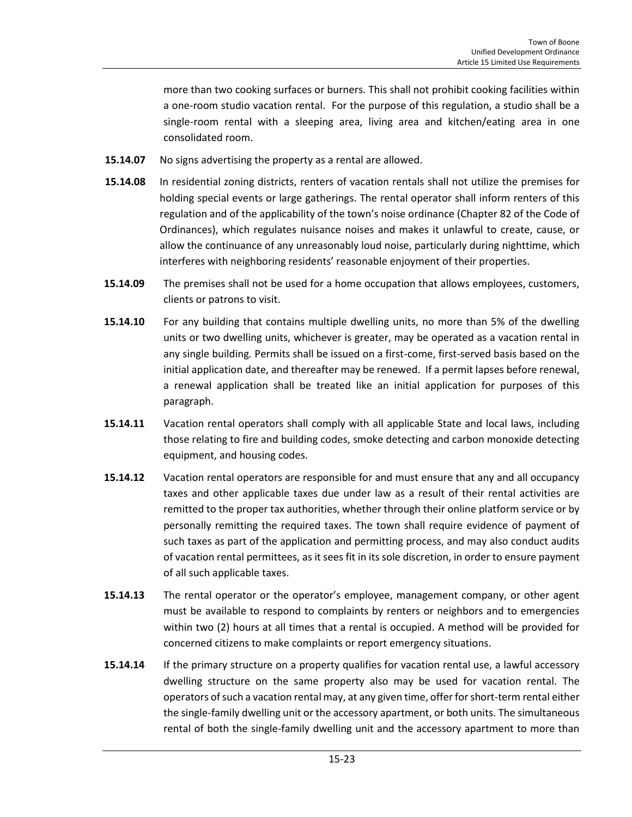more than two cooking surfaces or burners. This shall not prohibit cooking facilities within a one-room studio vacation rental. For the purpose of this regulation, a studio shall be a single-room rental with a sleeping area, living area and kitchen/eating area in one consolidated room.

- **15.14.07** No signs advertising the property as a rental are allowed.
- **15.14.08** In residential zoning districts, renters of vacation rentals shall not utilize the premises for holding special events or large gatherings. The rental operator shall inform renters of this regulation and of the applicability of the town's noise ordinance (Chapter 82 of the Code of Ordinances), which regulates nuisance noises and makes it unlawful to create, cause, or allow the continuance of any unreasonably loud noise, particularly during nighttime, which interferes with neighboring residents' reasonable enjoyment of their properties.
- **15.14.09** The premises shall not be used for a home occupation that allows employees, customers, clients or patrons to visit.
- **15.14.10** For any building that contains multiple dwelling units, no more than 5% of the dwelling units or two dwelling units, whichever is greater, may be operated as a vacation rental in any single building*.* Permits shall be issued on a first-come, first-served basis based on the initial application date, and thereafter may be renewed. If a permit lapses before renewal, a renewal application shall be treated like an initial application for purposes of this paragraph.
- **15.14.11** Vacation rental operators shall comply with all applicable State and local laws, including those relating to fire and building codes, smoke detecting and carbon monoxide detecting equipment, and housing codes.
- **15.14.12** Vacation rental operators are responsible for and must ensure that any and all occupancy taxes and other applicable taxes due under law as a result of their rental activities are remitted to the proper tax authorities, whether through their online platform service or by personally remitting the required taxes. The town shall require evidence of payment of such taxes as part of the application and permitting process, and may also conduct audits of vacation rental permittees, as it sees fit in its sole discretion, in order to ensure payment of all such applicable taxes.
- **15.14.13** The rental operator or the operator's employee, management company, or other agent must be available to respond to complaints by renters or neighbors and to emergencies within two (2) hours at all times that a rental is occupied. A method will be provided for concerned citizens to make complaints or report emergency situations.
- **15.14.14** If the primary structure on a property qualifies for vacation rental use, a lawful accessory dwelling structure on the same property also may be used for vacation rental. The operators of such a vacation rental may, at any given time, offer for short-term rental either the single-family dwelling unit or the accessory apartment, or both units. The simultaneous rental of both the single-family dwelling unit and the accessory apartment to more than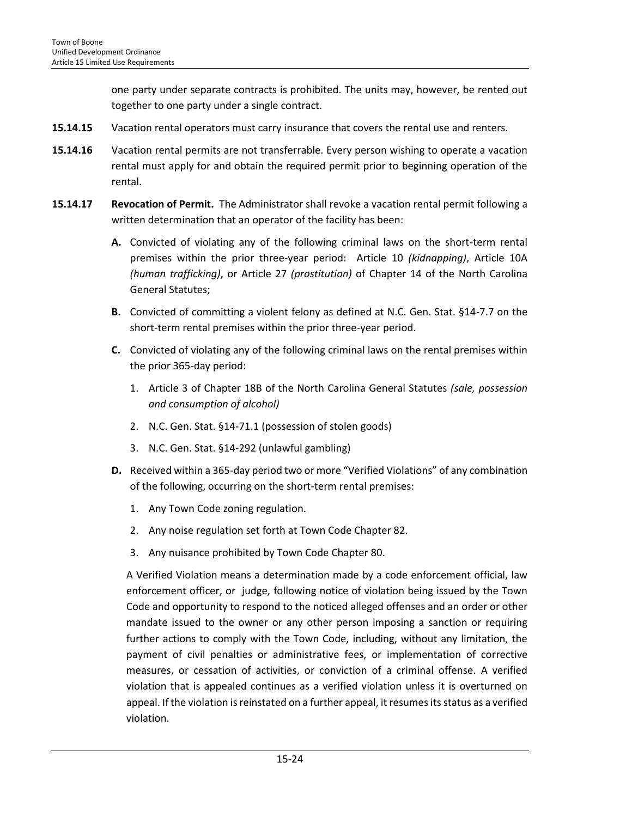one party under separate contracts is prohibited. The units may, however, be rented out together to one party under a single contract.

- **15.14.15** Vacation rental operators must carry insurance that covers the rental use and renters.
- **15.14.16** Vacation rental permits are not transferrable. Every person wishing to operate a vacation rental must apply for and obtain the required permit prior to beginning operation of the rental.
- **15.14.17 Revocation of Permit.** The Administrator shall revoke a vacation rental permit following a written determination that an operator of the facility has been:
	- **A.** Convicted of violating any of the following criminal laws on the short-term rental premises within the prior three-year period: Article 10 *(kidnapping)*, Article 10A *(human trafficking)*, or Article 27 *(prostitution)* of Chapter 14 of the North Carolina General Statutes;
	- **B.** Convicted of committing a violent felony as defined at N.C. Gen. Stat. §14-7.7 on the short-term rental premises within the prior three-year period.
	- **C.** Convicted of violating any of the following criminal laws on the rental premises within the prior 365-day period:
		- 1. Article 3 of Chapter 18B of the North Carolina General Statutes *(sale, possession and consumption of alcohol)*
		- 2. N.C. Gen. Stat. §14-71.1 (possession of stolen goods)
		- 3. N.C. Gen. Stat. §14-292 (unlawful gambling)
	- **D.** Received within a 365-day period two or more "Verified Violations" of any combination of the following, occurring on the short-term rental premises:
		- 1. Any Town Code zoning regulation.
		- 2. Any noise regulation set forth at Town Code Chapter 82.
		- 3. Any nuisance prohibited by Town Code Chapter 80.

A Verified Violation means a determination made by a code enforcement official, law enforcement officer, or judge, following notice of violation being issued by the Town Code and opportunity to respond to the noticed alleged offenses and an order or other mandate issued to the owner or any other person imposing a sanction or requiring further actions to comply with the Town Code, including, without any limitation, the payment of civil penalties or administrative fees, or implementation of corrective measures, or cessation of activities, or conviction of a criminal offense. A verified violation that is appealed continues as a verified violation unless it is overturned on appeal. If the violation is reinstated on a further appeal, it resumes its status as a verified violation.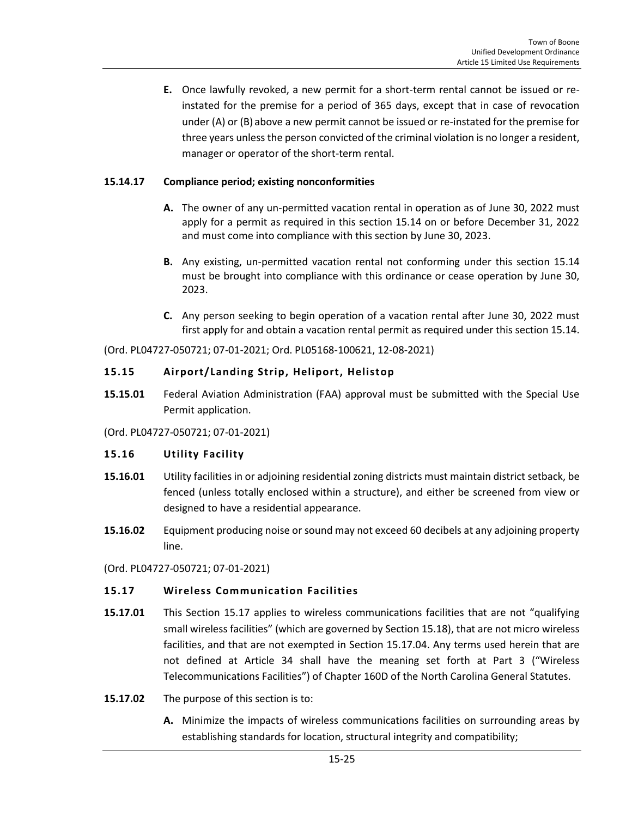**E.** Once lawfully revoked, a new permit for a short-term rental cannot be issued or reinstated for the premise for a period of 365 days, except that in case of revocation under (A) or (B) above a new permit cannot be issued or re-instated for the premise for three years unless the person convicted of the criminal violation is no longer a resident, manager or operator of the short-term rental.

## **15.14.17 Compliance period; existing nonconformities**

- **A.** The owner of any un-permitted vacation rental in operation as of June 30, 2022 must apply for a permit as required in this section 15.14 on or before December 31, 2022 and must come into compliance with this section by June 30, 2023.
- **B.** Any existing, un-permitted vacation rental not conforming under this section 15.14 must be brought into compliance with this ordinance or cease operation by June 30, 2023.
- **C.** Any person seeking to begin operation of a vacation rental after June 30, 2022 must first apply for and obtain a vacation rental permit as required under this section 15.14.

(Ord. PL04727-050721; 07-01-2021; Ord. PL05168-100621, 12-08-2021)

#### <span id="page-24-0"></span>**15.15 Airport/Landing Strip, Heliport, Helistop**

**15.15.01** Federal Aviation Administration (FAA) approval must be submitted with the Special Use Permit application.

(Ord. PL04727-050721; 07-01-2021)

## <span id="page-24-1"></span>**15.16 Utility Facility**

- **15.16.01** Utility facilities in or adjoining residential zoning districts must maintain district setback, be fenced (unless totally enclosed within a structure), and either be screened from view or designed to have a residential appearance.
- **15.16.02** Equipment producing noise or sound may not exceed 60 decibels at any adjoining property line.

(Ord. PL04727-050721; 07-01-2021)

## <span id="page-24-2"></span>**15.17 Wireless Communication Facilities**

- **15.17.01**This Section 15.17 applies to wireless communications facilities that are not "qualifying small wireless facilities" (which are governed by Section 15.18), that are not micro wireless facilities, and that are not exempted in Section 15.17.04. Any terms used herein that are not defined at Article 34 shall have the meaning set forth at Part 3 ("Wireless Telecommunications Facilities") of Chapter 160D of the North Carolina General Statutes.
- **15.17.02** The purpose of this section is to:
	- **A.** Minimize the impacts of wireless communications facilities on surrounding areas by establishing standards for location, structural integrity and compatibility;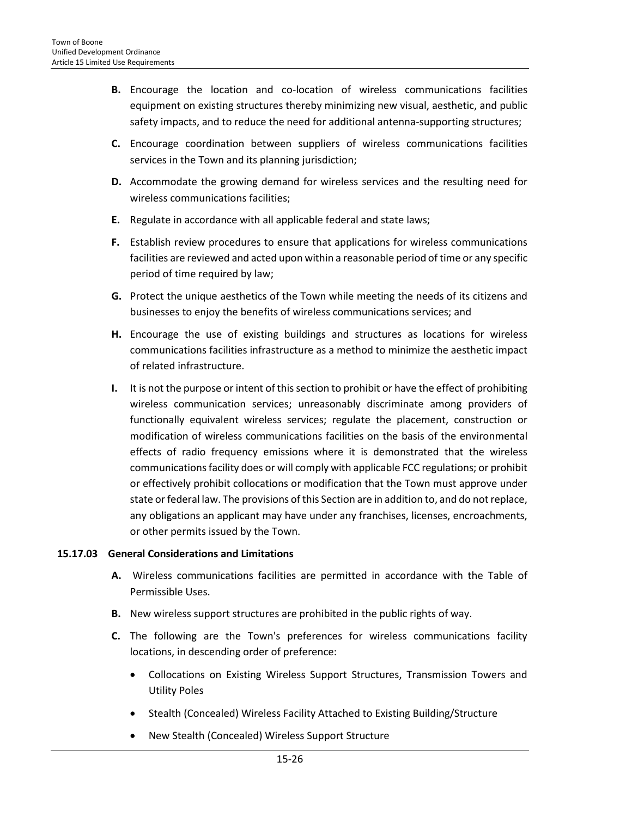- **B.** Encourage the location and co-location of wireless communications facilities equipment on existing structures thereby minimizing new visual, aesthetic, and public safety impacts, and to reduce the need for additional antenna-supporting structures;
- **C.** Encourage coordination between suppliers of wireless communications facilities services in the Town and its planning jurisdiction;
- **D.** Accommodate the growing demand for wireless services and the resulting need for wireless communications facilities;
- **E.** Regulate in accordance with all applicable federal and state laws;
- **F.** Establish review procedures to ensure that applications for wireless communications facilities are reviewed and acted upon within a reasonable period of time or any specific period of time required by law;
- **G.** Protect the unique aesthetics of the Town while meeting the needs of its citizens and businesses to enjoy the benefits of wireless communications services; and
- **H.** Encourage the use of existing buildings and structures as locations for wireless communications facilities infrastructure as a method to minimize the aesthetic impact of related infrastructure.
- **I.** It is not the purpose or intent of this section to prohibit or have the effect of prohibiting wireless communication services; unreasonably discriminate among providers of functionally equivalent wireless services; regulate the placement, construction or modification of wireless communications facilities on the basis of the environmental effects of radio frequency emissions where it is demonstrated that the wireless communications facility does or will comply with applicable FCC regulations; or prohibit or effectively prohibit collocations or modification that the Town must approve under state or federal law. The provisions of this Section are in addition to, and do not replace, any obligations an applicant may have under any franchises, licenses, encroachments, or other permits issued by the Town.

## **15.17.03 General Considerations and Limitations**

- **A.** Wireless communications facilities are permitted in accordance with the Table of Permissible Uses.
- **B.** New wireless support structures are prohibited in the public rights of way.
- **C.** The following are the Town's preferences for wireless communications facility locations, in descending order of preference:
	- Collocations on Existing Wireless Support Structures, Transmission Towers and Utility Poles
	- Stealth (Concealed) Wireless Facility Attached to Existing Building/Structure
	- New Stealth (Concealed) Wireless Support Structure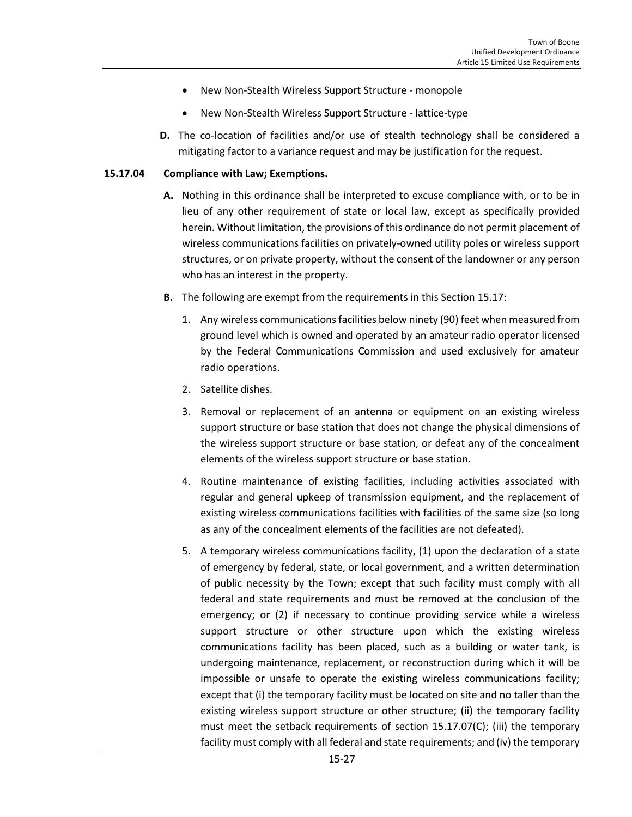- New Non-Stealth Wireless Support Structure monopole
- New Non-Stealth Wireless Support Structure lattice-type
- **D.** The co-location of facilities and/or use of stealth technology shall be considered a mitigating factor to a variance request and may be justification for the request.

#### **15.17.04 Compliance with Law; Exemptions.**

- **A.** Nothing in this ordinance shall be interpreted to excuse compliance with, or to be in lieu of any other requirement of state or local law, except as specifically provided herein. Without limitation, the provisions of this ordinance do not permit placement of wireless communications facilities on privately-owned utility poles or wireless support structures, or on private property, without the consent of the landowner or any person who has an interest in the property.
- **B.** The following are exempt from the requirements in this Section 15.17:
	- 1. Any wireless communications facilities below ninety (90) feet when measured from ground level which is owned and operated by an amateur radio operator licensed by the Federal Communications Commission and used exclusively for amateur radio operations.
	- 2. Satellite dishes.
	- 3. Removal or replacement of an antenna or equipment on an existing wireless support structure or base station that does not change the physical dimensions of the wireless support structure or base station, or defeat any of the concealment elements of the wireless support structure or base station.
	- 4. Routine maintenance of existing facilities, including activities associated with regular and general upkeep of transmission equipment, and the replacement of existing wireless communications facilities with facilities of the same size (so long as any of the concealment elements of the facilities are not defeated).
	- 5. A temporary wireless communications facility, (1) upon the declaration of a state of emergency by federal, state, or local government, and a written determination of public necessity by the Town; except that such facility must comply with all federal and state requirements and must be removed at the conclusion of the emergency; or (2) if necessary to continue providing service while a wireless support structure or other structure upon which the existing wireless communications facility has been placed, such as a building or water tank, is undergoing maintenance, replacement, or reconstruction during which it will be impossible or unsafe to operate the existing wireless communications facility; except that (i) the temporary facility must be located on site and no taller than the existing wireless support structure or other structure; (ii) the temporary facility must meet the setback requirements of section 15.17.07(C); (iii) the temporary facility must comply with all federal and state requirements; and (iv) the temporary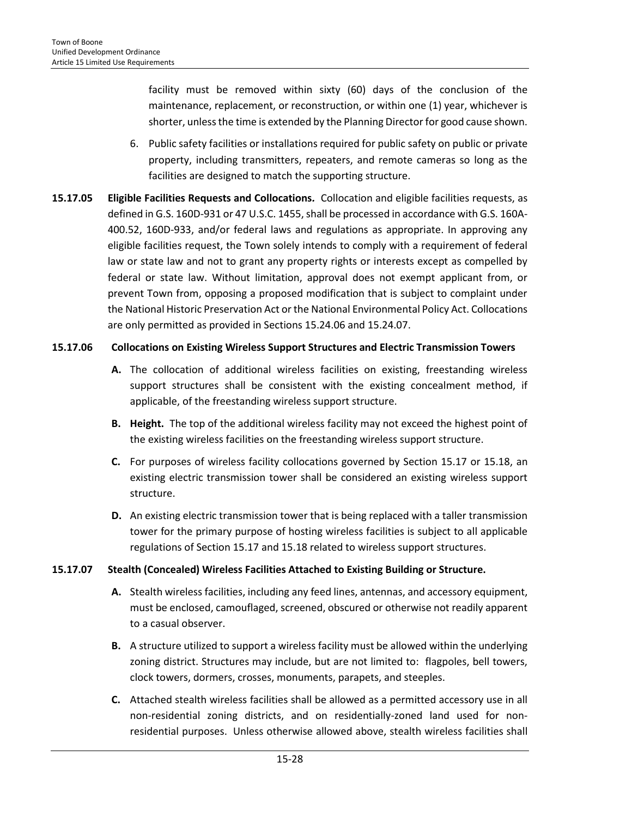facility must be removed within sixty (60) days of the conclusion of the maintenance, replacement, or reconstruction, or within one (1) year, whichever is shorter, unless the time is extended by the Planning Director for good cause shown.

- 6. Public safety facilities or installations required for public safety on public or private property, including transmitters, repeaters, and remote cameras so long as the facilities are designed to match the supporting structure.
- **15.17.05 Eligible Facilities Requests and Collocations***.* Collocation and eligible facilities requests, as defined in G.S. 160D-931 or 47 U.S.C. 1455, shall be processed in accordance with G.S. 160A-400.52, 160D-933, and/or federal laws and regulations as appropriate. In approving any eligible facilities request, the Town solely intends to comply with a requirement of federal law or state law and not to grant any property rights or interests except as compelled by federal or state law. Without limitation, approval does not exempt applicant from, or prevent Town from, opposing a proposed modification that is subject to complaint under the National Historic Preservation Act or the National Environmental Policy Act. Collocations are only permitted as provided in Sections 15.24.06 and 15.24.07.

#### **15.17.06 Collocations on Existing Wireless Support Structures and Electric Transmission Towers**

- **A.** The collocation of additional wireless facilities on existing, freestanding wireless support structures shall be consistent with the existing concealment method, if applicable, of the freestanding wireless support structure.
- **B. Height.** The top of the additional wireless facility may not exceed the highest point of the existing wireless facilities on the freestanding wireless support structure.
- **C.** For purposes of wireless facility collocations governed by Section 15.17 or 15.18, an existing electric transmission tower shall be considered an existing wireless support structure.
- **D.** An existing electric transmission tower that is being replaced with a taller transmission tower for the primary purpose of hosting wireless facilities is subject to all applicable regulations of Section 15.17 and 15.18 related to wireless support structures.

## **15.17.07 Stealth (Concealed) Wireless Facilities Attached to Existing Building or Structure.**

- **A.** Stealth wireless facilities, including any feed lines, antennas, and accessory equipment, must be enclosed, camouflaged, screened, obscured or otherwise not readily apparent to a casual observer.
- **B.** A structure utilized to support a wireless facility must be allowed within the underlying zoning district. Structures may include, but are not limited to: flagpoles, bell towers, clock towers, dormers, crosses, monuments, parapets, and steeples.
- **C.** Attached stealth wireless facilities shall be allowed as a permitted accessory use in all non-residential zoning districts, and on residentially-zoned land used for nonresidential purposes. Unless otherwise allowed above, stealth wireless facilities shall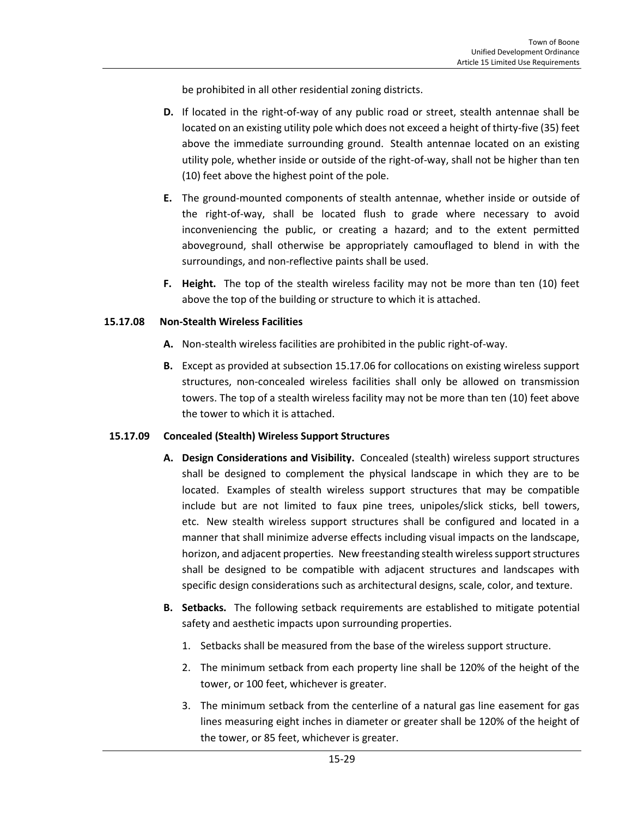be prohibited in all other residential zoning districts.

- **D.** If located in the right-of-way of any public road or street, stealth antennae shall be located on an existing utility pole which does not exceed a height of thirty-five (35) feet above the immediate surrounding ground. Stealth antennae located on an existing utility pole, whether inside or outside of the right-of-way, shall not be higher than ten (10) feet above the highest point of the pole.
- **E.** The ground-mounted components of stealth antennae, whether inside or outside of the right-of-way, shall be located flush to grade where necessary to avoid inconveniencing the public, or creating a hazard; and to the extent permitted aboveground, shall otherwise be appropriately camouflaged to blend in with the surroundings, and non-reflective paints shall be used.
- **F. Height.** The top of the stealth wireless facility may not be more than ten (10) feet above the top of the building or structure to which it is attached.

#### **15.17.08 Non-Stealth Wireless Facilities**

- **A.** Non-stealth wireless facilities are prohibited in the public right-of-way.
- **B.** Except as provided at subsection 15.17.06 for collocations on existing wireless support structures, non-concealed wireless facilities shall only be allowed on transmission towers. The top of a stealth wireless facility may not be more than ten (10) feet above the tower to which it is attached.

#### **15.17.09 Concealed (Stealth) Wireless Support Structures**

- **A. Design Considerations and Visibility.** Concealed (stealth) wireless support structures shall be designed to complement the physical landscape in which they are to be located. Examples of stealth wireless support structures that may be compatible include but are not limited to faux pine trees, unipoles/slick sticks, bell towers, etc. New stealth wireless support structures shall be configured and located in a manner that shall minimize adverse effects including visual impacts on the landscape, horizon, and adjacent properties. New freestanding stealth wireless support structures shall be designed to be compatible with adjacent structures and landscapes with specific design considerations such as architectural designs, scale, color, and texture.
- **B. Setbacks.** The following setback requirements are established to mitigate potential safety and aesthetic impacts upon surrounding properties.
	- 1. Setbacks shall be measured from the base of the wireless support structure.
	- 2. The minimum setback from each property line shall be 120% of the height of the tower, or 100 feet, whichever is greater.
	- 3. The minimum setback from the centerline of a natural gas line easement for gas lines measuring eight inches in diameter or greater shall be 120% of the height of the tower, or 85 feet, whichever is greater.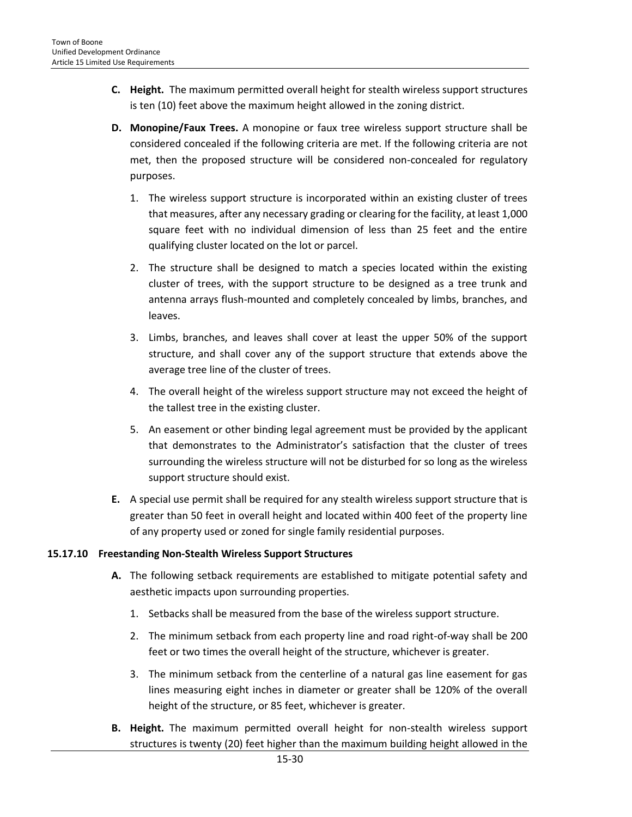- **C. Height.** The maximum permitted overall height for stealth wireless support structures is ten (10) feet above the maximum height allowed in the zoning district.
- **D. Monopine/Faux Trees.** A monopine or faux tree wireless support structure shall be considered concealed if the following criteria are met. If the following criteria are not met, then the proposed structure will be considered non-concealed for regulatory purposes.
	- 1. The wireless support structure is incorporated within an existing cluster of trees that measures, after any necessary grading or clearing for the facility, at least 1,000 square feet with no individual dimension of less than 25 feet and the entire qualifying cluster located on the lot or parcel.
	- 2. The structure shall be designed to match a species located within the existing cluster of trees, with the support structure to be designed as a tree trunk and antenna arrays flush-mounted and completely concealed by limbs, branches, and leaves.
	- 3. Limbs, branches, and leaves shall cover at least the upper 50% of the support structure, and shall cover any of the support structure that extends above the average tree line of the cluster of trees.
	- 4. The overall height of the wireless support structure may not exceed the height of the tallest tree in the existing cluster.
	- 5. An easement or other binding legal agreement must be provided by the applicant that demonstrates to the Administrator's satisfaction that the cluster of trees surrounding the wireless structure will not be disturbed for so long as the wireless support structure should exist.
- **E.** A special use permit shall be required for any stealth wireless support structure that is greater than 50 feet in overall height and located within 400 feet of the property line of any property used or zoned for single family residential purposes.

# **15.17.10 Freestanding Non-Stealth Wireless Support Structures**

- **A.** The following setback requirements are established to mitigate potential safety and aesthetic impacts upon surrounding properties.
	- 1. Setbacks shall be measured from the base of the wireless support structure.
	- 2. The minimum setback from each property line and road right-of-way shall be 200 feet or two times the overall height of the structure, whichever is greater.
	- 3. The minimum setback from the centerline of a natural gas line easement for gas lines measuring eight inches in diameter or greater shall be 120% of the overall height of the structure, or 85 feet, whichever is greater.
- **B. Height.** The maximum permitted overall height for non-stealth wireless support structures is twenty (20) feet higher than the maximum building height allowed in the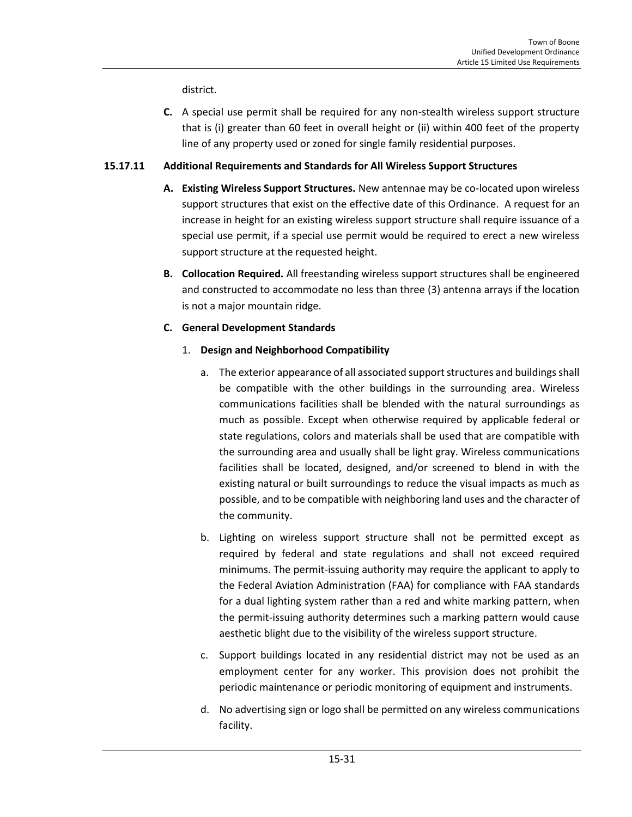district.

**C.** A special use permit shall be required for any non-stealth wireless support structure that is (i) greater than 60 feet in overall height or (ii) within 400 feet of the property line of any property used or zoned for single family residential purposes.

## **15.17.11 Additional Requirements and Standards for All Wireless Support Structures**

- **A. Existing Wireless Support Structures.** New antennae may be co-located upon wireless support structures that exist on the effective date of this Ordinance. A request for an increase in height for an existing wireless support structure shall require issuance of a special use permit, if a special use permit would be required to erect a new wireless support structure at the requested height.
- **B. Collocation Required.** All freestanding wireless support structures shall be engineered and constructed to accommodate no less than three (3) antenna arrays if the location is not a major mountain ridge.

## **C. General Development Standards**

## 1. **Design and Neighborhood Compatibility**

- a. The exterior appearance of all associated support structures and buildings shall be compatible with the other buildings in the surrounding area. Wireless communications facilities shall be blended with the natural surroundings as much as possible. Except when otherwise required by applicable federal or state regulations, colors and materials shall be used that are compatible with the surrounding area and usually shall be light gray. Wireless communications facilities shall be located, designed, and/or screened to blend in with the existing natural or built surroundings to reduce the visual impacts as much as possible, and to be compatible with neighboring land uses and the character of the community.
- b. Lighting on wireless support structure shall not be permitted except as required by federal and state regulations and shall not exceed required minimums. The permit-issuing authority may require the applicant to apply to the Federal Aviation Administration (FAA) for compliance with FAA standards for a dual lighting system rather than a red and white marking pattern, when the permit-issuing authority determines such a marking pattern would cause aesthetic blight due to the visibility of the wireless support structure.
- c. Support buildings located in any residential district may not be used as an employment center for any worker. This provision does not prohibit the periodic maintenance or periodic monitoring of equipment and instruments.
- d. No advertising sign or logo shall be permitted on any wireless communications facility.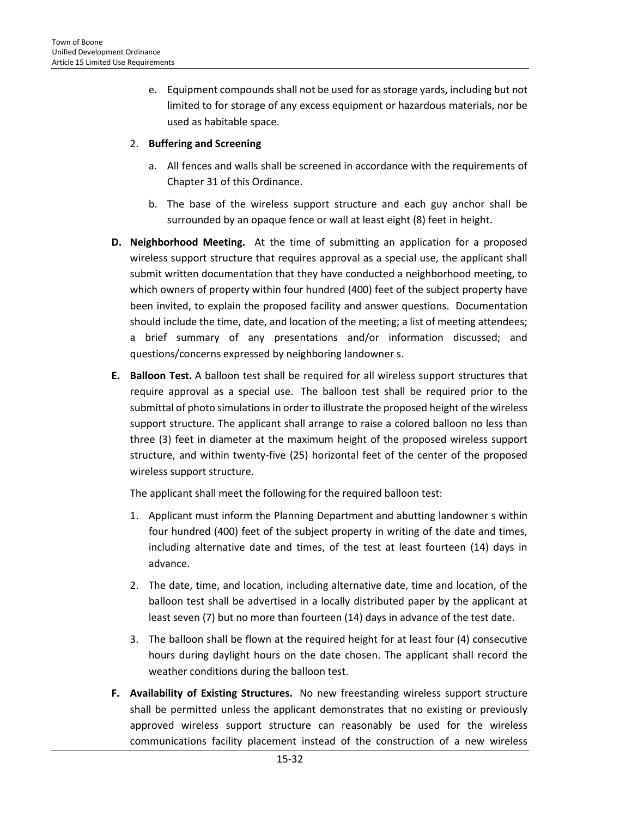e. Equipment compounds shall not be used for as storage yards, including but not limited to for storage of any excess equipment or hazardous materials, nor be used as habitable space.

## 2. **Buffering and Screening**

- a. All fences and walls shall be screened in accordance with the requirements of Chapter 31 of this Ordinance.
- b. The base of the wireless support structure and each guy anchor shall be surrounded by an opaque fence or wall at least eight (8) feet in height.
- **D. Neighborhood Meeting.** At the time of submitting an application for a proposed wireless support structure that requires approval as a special use, the applicant shall submit written documentation that they have conducted a neighborhood meeting, to which owners of property within four hundred (400) feet of the subject property have been invited, to explain the proposed facility and answer questions. Documentation should include the time, date, and location of the meeting; a list of meeting attendees; a brief summary of any presentations and/or information discussed; and questions/concerns expressed by neighboring landowner s.
- **E. Balloon Test.** A balloon test shall be required for all wireless support structures that require approval as a special use. The balloon test shall be required prior to the submittal of photo simulations in order to illustrate the proposed height of the wireless support structure. The applicant shall arrange to raise a colored balloon no less than three (3) feet in diameter at the maximum height of the proposed wireless support structure, and within twenty-five (25) horizontal feet of the center of the proposed wireless support structure.

The applicant shall meet the following for the required balloon test:

- 1. Applicant must inform the Planning Department and abutting landowner s within four hundred (400) feet of the subject property in writing of the date and times, including alternative date and times, of the test at least fourteen (14) days in advance.
- 2. The date, time, and location, including alternative date, time and location, of the balloon test shall be advertised in a locally distributed paper by the applicant at least seven (7) but no more than fourteen (14) days in advance of the test date.
- 3. The balloon shall be flown at the required height for at least four (4) consecutive hours during daylight hours on the date chosen. The applicant shall record the weather conditions during the balloon test.
- **F. Availability of Existing Structures.** No new freestanding wireless support structure shall be permitted unless the applicant demonstrates that no existing or previously approved wireless support structure can reasonably be used for the wireless communications facility placement instead of the construction of a new wireless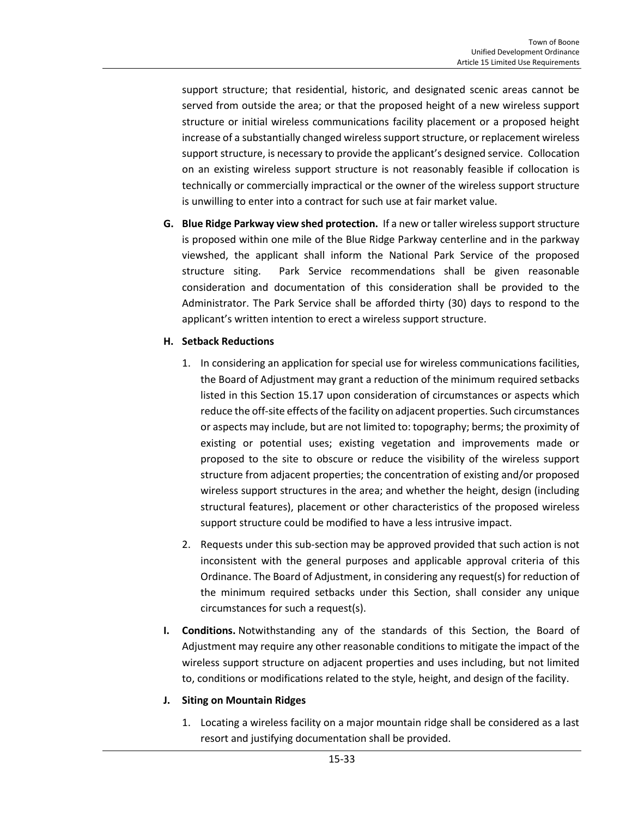support structure; that residential, historic, and designated scenic areas cannot be served from outside the area; or that the proposed height of a new wireless support structure or initial wireless communications facility placement or a proposed height increase of a substantially changed wireless support structure, or replacement wireless support structure, is necessary to provide the applicant's designed service. Collocation on an existing wireless support structure is not reasonably feasible if collocation is technically or commercially impractical or the owner of the wireless support structure is unwilling to enter into a contract for such use at fair market value.

**G. Blue Ridge Parkway view shed protection.** If a new or taller wireless support structure is proposed within one mile of the Blue Ridge Parkway centerline and in the parkway viewshed, the applicant shall inform the National Park Service of the proposed structure siting. Park Service recommendations shall be given reasonable consideration and documentation of this consideration shall be provided to the Administrator. The Park Service shall be afforded thirty (30) days to respond to the applicant's written intention to erect a wireless support structure.

## **H. Setback Reductions**

- 1. In considering an application for special use for wireless communications facilities, the Board of Adjustment may grant a reduction of the minimum required setbacks listed in this Section 15.17 upon consideration of circumstances or aspects which reduce the off-site effects of the facility on adjacent properties. Such circumstances or aspects may include, but are not limited to: topography; berms; the proximity of existing or potential uses; existing vegetation and improvements made or proposed to the site to obscure or reduce the visibility of the wireless support structure from adjacent properties; the concentration of existing and/or proposed wireless support structures in the area; and whether the height, design (including structural features), placement or other characteristics of the proposed wireless support structure could be modified to have a less intrusive impact.
- 2. Requests under this sub-section may be approved provided that such action is not inconsistent with the general purposes and applicable approval criteria of this Ordinance. The Board of Adjustment, in considering any request(s) for reduction of the minimum required setbacks under this Section, shall consider any unique circumstances for such a request(s).
- **I. Conditions.** Notwithstanding any of the standards of this Section, the Board of Adjustment may require any other reasonable conditions to mitigate the impact of the wireless support structure on adjacent properties and uses including, but not limited to, conditions or modifications related to the style, height, and design of the facility.

#### **J. Siting on Mountain Ridges**

1. Locating a wireless facility on a major mountain ridge shall be considered as a last resort and justifying documentation shall be provided.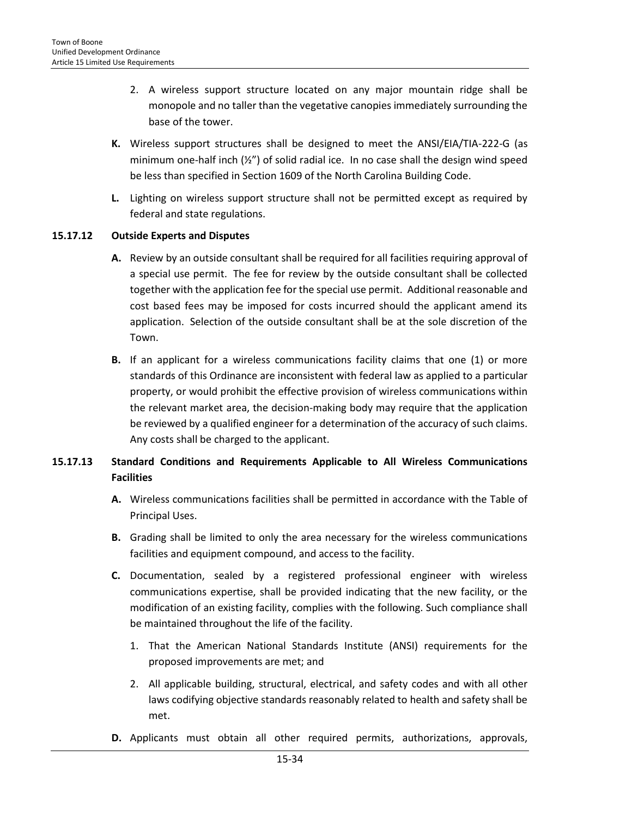- 2. A wireless support structure located on any major mountain ridge shall be monopole and no taller than the vegetative canopies immediately surrounding the base of the tower.
- **K.** Wireless support structures shall be designed to meet the ANSI/EIA/TIA-222-G (as minimum one-half inch (½") of solid radial ice. In no case shall the design wind speed be less than specified in Section 1609 of the North Carolina Building Code.
- **L.** Lighting on wireless support structure shall not be permitted except as required by federal and state regulations.

## **15.17.12 Outside Experts and Disputes**

- **A.** Review by an outside consultant shall be required for all facilities requiring approval of a special use permit. The fee for review by the outside consultant shall be collected together with the application fee for the special use permit. Additional reasonable and cost based fees may be imposed for costs incurred should the applicant amend its application. Selection of the outside consultant shall be at the sole discretion of the Town.
- **B.** If an applicant for a wireless communications facility claims that one (1) or more standards of this Ordinance are inconsistent with federal law as applied to a particular property, or would prohibit the effective provision of wireless communications within the relevant market area, the decision-making body may require that the application be reviewed by a qualified engineer for a determination of the accuracy of such claims. Any costs shall be charged to the applicant.

# **15.17.13 Standard Conditions and Requirements Applicable to All Wireless Communications Facilities**

- **A.** Wireless communications facilities shall be permitted in accordance with the Table of Principal Uses.
- **B.** Grading shall be limited to only the area necessary for the wireless communications facilities and equipment compound, and access to the facility.
- **C.** Documentation, sealed by a registered professional engineer with wireless communications expertise, shall be provided indicating that the new facility, or the modification of an existing facility, complies with the following. Such compliance shall be maintained throughout the life of the facility.
	- 1. That the American National Standards Institute (ANSI) requirements for the proposed improvements are met; and
	- 2. All applicable building, structural, electrical, and safety codes and with all other laws codifying objective standards reasonably related to health and safety shall be met.
- **D.** Applicants must obtain all other required permits, authorizations, approvals,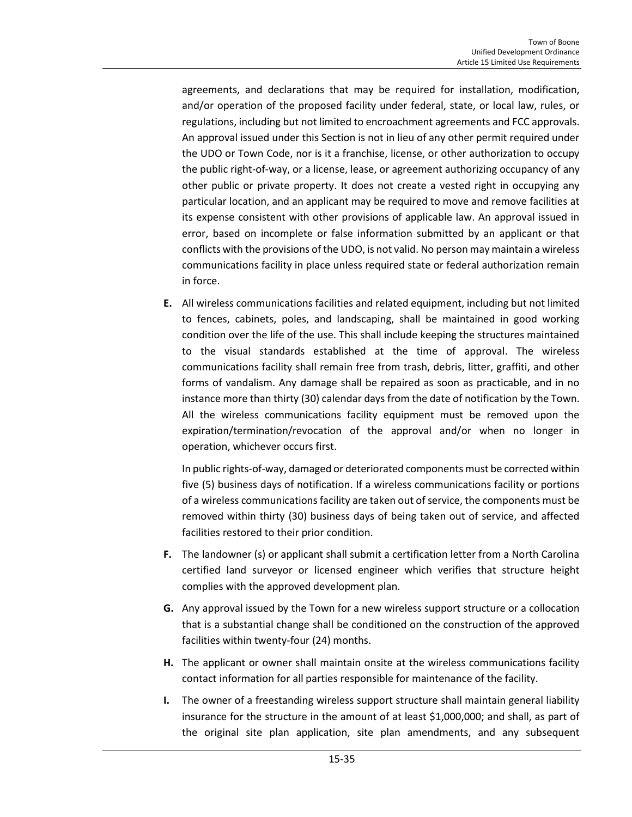agreements, and declarations that may be required for installation, modification, and/or operation of the proposed facility under federal, state, or local law, rules, or regulations, including but not limited to encroachment agreements and FCC approvals. An approval issued under this Section is not in lieu of any other permit required under the UDO or Town Code, nor is it a franchise, license, or other authorization to occupy the public right-of-way, or a license, lease, or agreement authorizing occupancy of any other public or private property. It does not create a vested right in occupying any particular location, and an applicant may be required to move and remove facilities at its expense consistent with other provisions of applicable law. An approval issued in error, based on incomplete or false information submitted by an applicant or that conflicts with the provisions of the UDO, is not valid. No person may maintain a wireless communications facility in place unless required state or federal authorization remain in force.

**E.** All wireless communications facilities and related equipment, including but not limited to fences, cabinets, poles, and landscaping, shall be maintained in good working condition over the life of the use. This shall include keeping the structures maintained to the visual standards established at the time of approval. The wireless communications facility shall remain free from trash, debris, litter, graffiti, and other forms of vandalism. Any damage shall be repaired as soon as practicable, and in no instance more than thirty (30) calendar days from the date of notification by the Town. All the wireless communications facility equipment must be removed upon the expiration/termination/revocation of the approval and/or when no longer in operation, whichever occurs first.

In public rights-of-way, damaged or deteriorated components must be corrected within five (5) business days of notification. If a wireless communications facility or portions of a wireless communications facility are taken out of service, the components must be removed within thirty (30) business days of being taken out of service, and affected facilities restored to their prior condition.

- **F.** The landowner (s) or applicant shall submit a certification letter from a North Carolina certified land surveyor or licensed engineer which verifies that structure height complies with the approved development plan.
- **G.** Any approval issued by the Town for a new wireless support structure or a collocation that is a substantial change shall be conditioned on the construction of the approved facilities within twenty-four (24) months.
- **H.** The applicant or owner shall maintain onsite at the wireless communications facility contact information for all parties responsible for maintenance of the facility.
- **I.** The owner of a freestanding wireless support structure shall maintain general liability insurance for the structure in the amount of at least \$1,000,000; and shall, as part of the original site plan application, site plan amendments, and any subsequent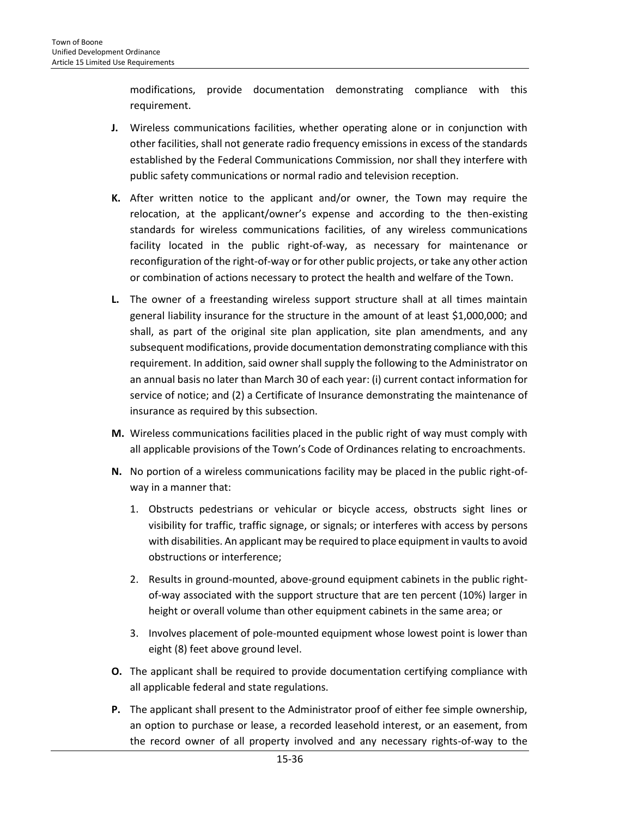modifications, provide documentation demonstrating compliance with this requirement.

- **J.** Wireless communications facilities, whether operating alone or in conjunction with other facilities, shall not generate radio frequency emissions in excess of the standards established by the Federal Communications Commission, nor shall they interfere with public safety communications or normal radio and television reception.
- **K.** After written notice to the applicant and/or owner, the Town may require the relocation, at the applicant/owner's expense and according to the then-existing standards for wireless communications facilities, of any wireless communications facility located in the public right-of-way, as necessary for maintenance or reconfiguration of the right-of-way or for other public projects, or take any other action or combination of actions necessary to protect the health and welfare of the Town.
- **L.** The owner of a freestanding wireless support structure shall at all times maintain general liability insurance for the structure in the amount of at least \$1,000,000; and shall, as part of the original site plan application, site plan amendments, and any subsequent modifications, provide documentation demonstrating compliance with this requirement. In addition, said owner shall supply the following to the Administrator on an annual basis no later than March 30 of each year: (i) current contact information for service of notice; and (2) a Certificate of Insurance demonstrating the maintenance of insurance as required by this subsection.
- **M.** Wireless communications facilities placed in the public right of way must comply with all applicable provisions of the Town's Code of Ordinances relating to encroachments.
- **N.** No portion of a wireless communications facility may be placed in the public right-ofway in a manner that:
	- 1. Obstructs pedestrians or vehicular or bicycle access, obstructs sight lines or visibility for traffic, traffic signage, or signals; or interferes with access by persons with disabilities. An applicant may be required to place equipment in vaults to avoid obstructions or interference;
	- 2. Results in ground-mounted, above-ground equipment cabinets in the public rightof-way associated with the support structure that are ten percent (10%) larger in height or overall volume than other equipment cabinets in the same area; or
	- 3. Involves placement of pole-mounted equipment whose lowest point is lower than eight (8) feet above ground level.
- **O.** The applicant shall be required to provide documentation certifying compliance with all applicable federal and state regulations.
- **P.** The applicant shall present to the Administrator proof of either fee simple ownership, an option to purchase or lease, a recorded leasehold interest, or an easement, from the record owner of all property involved and any necessary rights-of-way to the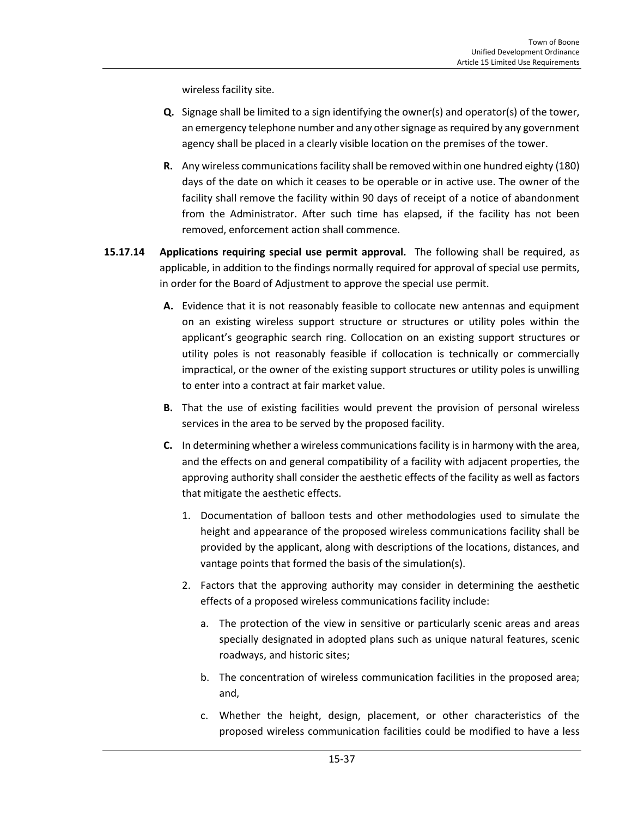wireless facility site.

- **Q.** Signage shall be limited to a sign identifying the owner(s) and operator(s) of the tower, an emergency telephone number and any other signage as required by any government agency shall be placed in a clearly visible location on the premises of the tower.
- **R.** Any wireless communications facility shall be removed within one hundred eighty (180) days of the date on which it ceases to be operable or in active use. The owner of the facility shall remove the facility within 90 days of receipt of a notice of abandonment from the Administrator. After such time has elapsed, if the facility has not been removed, enforcement action shall commence.
- **15.17.14 Applications requiring special use permit approval.** The following shall be required, as applicable, in addition to the findings normally required for approval of special use permits, in order for the Board of Adjustment to approve the special use permit.
	- **A.** Evidence that it is not reasonably feasible to collocate new antennas and equipment on an existing wireless support structure or structures or utility poles within the applicant's geographic search ring. Collocation on an existing support structures or utility poles is not reasonably feasible if collocation is technically or commercially impractical, or the owner of the existing support structures or utility poles is unwilling to enter into a contract at fair market value.
	- **B.** That the use of existing facilities would prevent the provision of personal wireless services in the area to be served by the proposed facility.
	- **C.** In determining whether a wireless communications facility is in harmony with the area, and the effects on and general compatibility of a facility with adjacent properties, the approving authority shall consider the aesthetic effects of the facility as well as factors that mitigate the aesthetic effects.
		- 1. Documentation of balloon tests and other methodologies used to simulate the height and appearance of the proposed wireless communications facility shall be provided by the applicant, along with descriptions of the locations, distances, and vantage points that formed the basis of the simulation(s).
		- 2. Factors that the approving authority may consider in determining the aesthetic effects of a proposed wireless communications facility include:
			- a. The protection of the view in sensitive or particularly scenic areas and areas specially designated in adopted plans such as unique natural features, scenic roadways, and historic sites;
			- b. The concentration of wireless communication facilities in the proposed area; and,
			- c. Whether the height, design, placement, or other characteristics of the proposed wireless communication facilities could be modified to have a less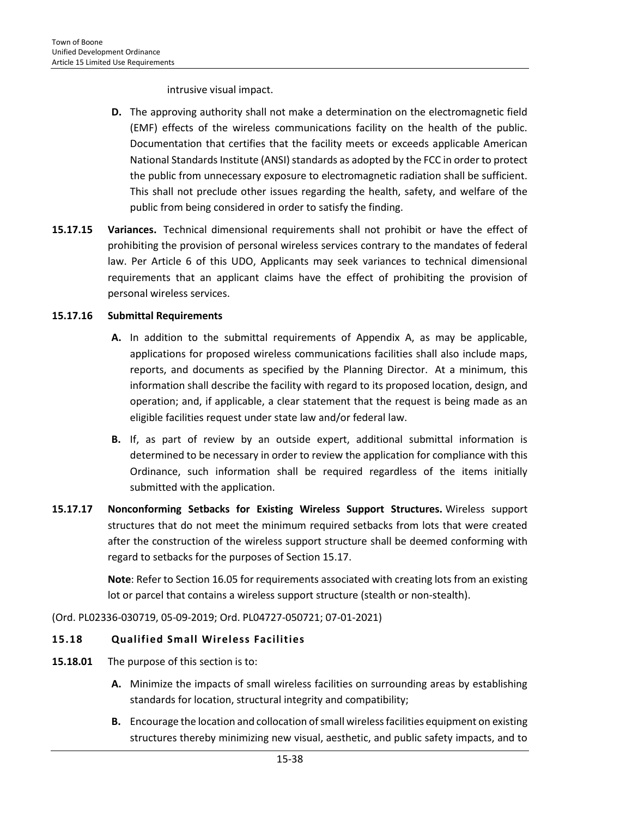intrusive visual impact.

- **D.** The approving authority shall not make a determination on the electromagnetic field (EMF) effects of the wireless communications facility on the health of the public. Documentation that certifies that the facility meets or exceeds applicable American National Standards Institute (ANSI) standards as adopted by the FCC in order to protect the public from unnecessary exposure to electromagnetic radiation shall be sufficient. This shall not preclude other issues regarding the health, safety, and welfare of the public from being considered in order to satisfy the finding.
- **15.17.15 Variances.** Technical dimensional requirements shall not prohibit or have the effect of prohibiting the provision of personal wireless services contrary to the mandates of federal law. Per Article 6 of this UDO, Applicants may seek variances to technical dimensional requirements that an applicant claims have the effect of prohibiting the provision of personal wireless services.

## **15.17.16 Submittal Requirements**

- **A.** In addition to the submittal requirements of Appendix A, as may be applicable, applications for proposed wireless communications facilities shall also include maps, reports, and documents as specified by the Planning Director. At a minimum, this information shall describe the facility with regard to its proposed location, design, and operation; and, if applicable, a clear statement that the request is being made as an eligible facilities request under state law and/or federal law.
- **B.** If, as part of review by an outside expert, additional submittal information is determined to be necessary in order to review the application for compliance with this Ordinance, such information shall be required regardless of the items initially submitted with the application.
- **15.17.17 Nonconforming Setbacks for Existing Wireless Support Structures.** Wireless support structures that do not meet the minimum required setbacks from lots that were created after the construction of the wireless support structure shall be deemed conforming with regard to setbacks for the purposes of Section 15.17.

**Note**: Refer to Section 16.05 for requirements associated with creating lots from an existing lot or parcel that contains a wireless support structure (stealth or non-stealth).

(Ord. PL02336-030719, 05-09-2019; Ord. PL04727-050721; 07-01-2021)

## **15.18 Qualified Small Wireless Facilities**

- **15.18.01** The purpose of this section is to:
	- **A.** Minimize the impacts of small wireless facilities on surrounding areas by establishing standards for location, structural integrity and compatibility;
	- **B.** Encourage the location and collocation of small wireless facilities equipment on existing structures thereby minimizing new visual, aesthetic, and public safety impacts, and to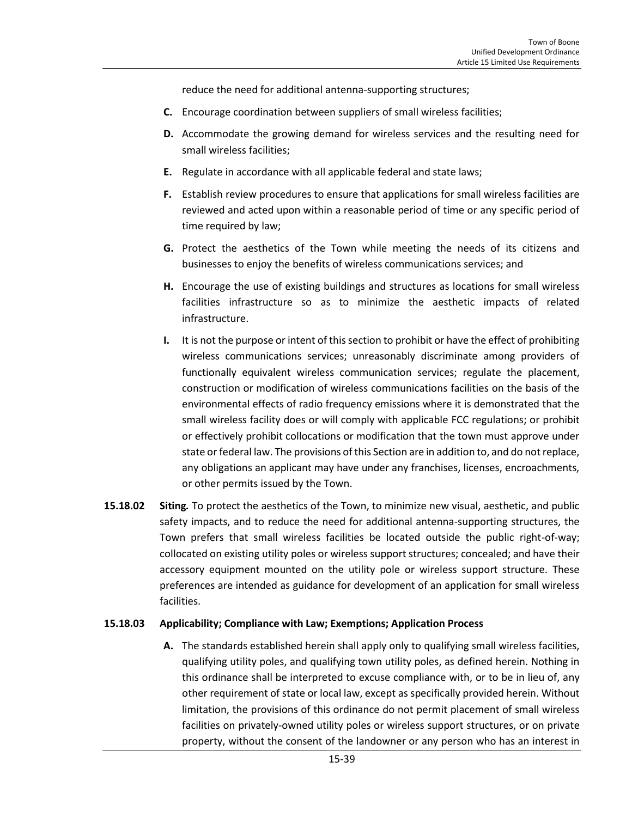reduce the need for additional antenna-supporting structures;

- **C.** Encourage coordination between suppliers of small wireless facilities;
- **D.** Accommodate the growing demand for wireless services and the resulting need for small wireless facilities;
- **E.** Regulate in accordance with all applicable federal and state laws;
- **F.** Establish review procedures to ensure that applications for small wireless facilities are reviewed and acted upon within a reasonable period of time or any specific period of time required by law;
- **G.** Protect the aesthetics of the Town while meeting the needs of its citizens and businesses to enjoy the benefits of wireless communications services; and
- **H.** Encourage the use of existing buildings and structures as locations for small wireless facilities infrastructure so as to minimize the aesthetic impacts of related infrastructure.
- **I.** It is not the purpose or intent of this section to prohibit or have the effect of prohibiting wireless communications services; unreasonably discriminate among providers of functionally equivalent wireless communication services; regulate the placement, construction or modification of wireless communications facilities on the basis of the environmental effects of radio frequency emissions where it is demonstrated that the small wireless facility does or will comply with applicable FCC regulations; or prohibit or effectively prohibit collocations or modification that the town must approve under state or federal law. The provisions of this Section are in addition to, and do not replace, any obligations an applicant may have under any franchises, licenses, encroachments, or other permits issued by the Town.
- **15.18.02 Siting***.* To protect the aesthetics of the Town, to minimize new visual, aesthetic, and public safety impacts, and to reduce the need for additional antenna-supporting structures, the Town prefers that small wireless facilities be located outside the public right-of-way; collocated on existing utility poles or wireless support structures; concealed; and have their accessory equipment mounted on the utility pole or wireless support structure. These preferences are intended as guidance for development of an application for small wireless facilities.

#### **15.18.03 Applicability; Compliance with Law; Exemptions; Application Process**

**A.** The standards established herein shall apply only to qualifying small wireless facilities, qualifying utility poles, and qualifying town utility poles, as defined herein. Nothing in this ordinance shall be interpreted to excuse compliance with, or to be in lieu of, any other requirement of state or local law, except as specifically provided herein. Without limitation, the provisions of this ordinance do not permit placement of small wireless facilities on privately-owned utility poles or wireless support structures, or on private property, without the consent of the landowner or any person who has an interest in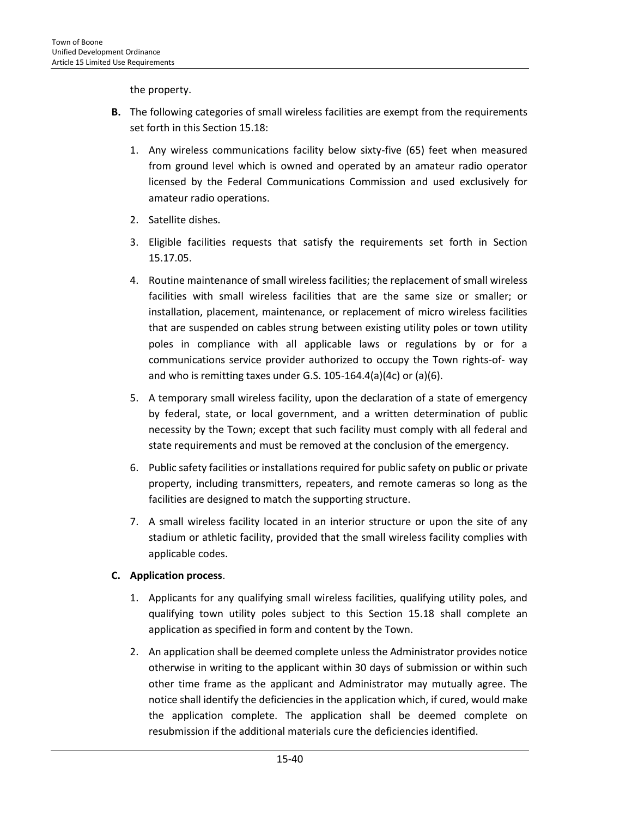the property.

- **B.** The following categories of small wireless facilities are exempt from the requirements set forth in this Section 15.18:
	- 1. Any wireless communications facility below sixty-five (65) feet when measured from ground level which is owned and operated by an amateur radio operator licensed by the Federal Communications Commission and used exclusively for amateur radio operations.
	- 2. Satellite dishes.
	- 3. Eligible facilities requests that satisfy the requirements set forth in Section 15.17.05.
	- 4. Routine maintenance of small wireless facilities; the replacement of small wireless facilities with small wireless facilities that are the same size or smaller; or installation, placement, maintenance, or replacement of micro wireless facilities that are suspended on cables strung between existing utility poles or town utility poles in compliance with all applicable laws or regulations by or for a communications service provider authorized to occupy the Town rights-of- way and who is remitting taxes under G.S. 105-164.4(a)(4c) or (a)(6).
	- 5. A temporary small wireless facility, upon the declaration of a state of emergency by federal, state, or local government, and a written determination of public necessity by the Town; except that such facility must comply with all federal and state requirements and must be removed at the conclusion of the emergency.
	- 6. Public safety facilities or installations required for public safety on public or private property, including transmitters, repeaters, and remote cameras so long as the facilities are designed to match the supporting structure.
	- 7. A small wireless facility located in an interior structure or upon the site of any stadium or athletic facility, provided that the small wireless facility complies with applicable codes.

# **C. Application process**.

- 1. Applicants for any qualifying small wireless facilities, qualifying utility poles, and qualifying town utility poles subject to this Section 15.18 shall complete an application as specified in form and content by the Town.
- 2. An application shall be deemed complete unless the Administrator provides notice otherwise in writing to the applicant within 30 days of submission or within such other time frame as the applicant and Administrator may mutually agree. The notice shall identify the deficiencies in the application which, if cured, would make the application complete. The application shall be deemed complete on resubmission if the additional materials cure the deficiencies identified.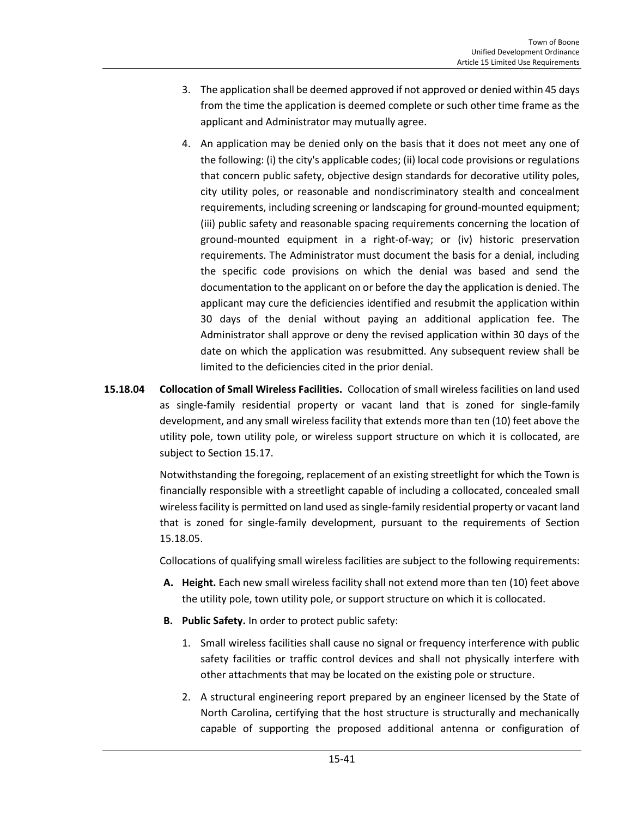- 3. The application shall be deemed approved if not approved or denied within 45 days from the time the application is deemed complete or such other time frame as the applicant and Administrator may mutually agree.
- 4. An application may be denied only on the basis that it does not meet any one of the following: (i) the city's applicable codes; (ii) local code provisions or regulations that concern public safety, objective design standards for decorative utility poles, city utility poles, or reasonable and nondiscriminatory stealth and concealment requirements, including screening or landscaping for ground-mounted equipment; (iii) public safety and reasonable spacing requirements concerning the location of ground-mounted equipment in a right-of-way; or (iv) historic preservation requirements. The Administrator must document the basis for a denial, including the specific code provisions on which the denial was based and send the documentation to the applicant on or before the day the application is denied. The applicant may cure the deficiencies identified and resubmit the application within 30 days of the denial without paying an additional application fee. The Administrator shall approve or deny the revised application within 30 days of the date on which the application was resubmitted. Any subsequent review shall be limited to the deficiencies cited in the prior denial.
- **15.18.04 Collocation of Small Wireless Facilities.**Collocation of small wireless facilities on land used as single-family residential property or vacant land that is zoned for single-family development, and any small wireless facility that extends more than ten (10) feet above the utility pole, town utility pole, or wireless support structure on which it is collocated, are subject to Section 15.17.

Notwithstanding the foregoing, replacement of an existing streetlight for which the Town is financially responsible with a streetlight capable of including a collocated, concealed small wireless facility is permitted on land used as single-family residential property or vacant land that is zoned for single-family development, pursuant to the requirements of Section 15.18.05.

Collocations of qualifying small wireless facilities are subject to the following requirements:

- **A. Height.** Each new small wireless facility shall not extend more than ten (10) feet above the utility pole, town utility pole, or support structure on which it is collocated.
- **B. Public Safety.** In order to protect public safety:
	- 1. Small wireless facilities shall cause no signal or frequency interference with public safety facilities or traffic control devices and shall not physically interfere with other attachments that may be located on the existing pole or structure.
	- 2. A structural engineering report prepared by an engineer licensed by the State of North Carolina, certifying that the host structure is structurally and mechanically capable of supporting the proposed additional antenna or configuration of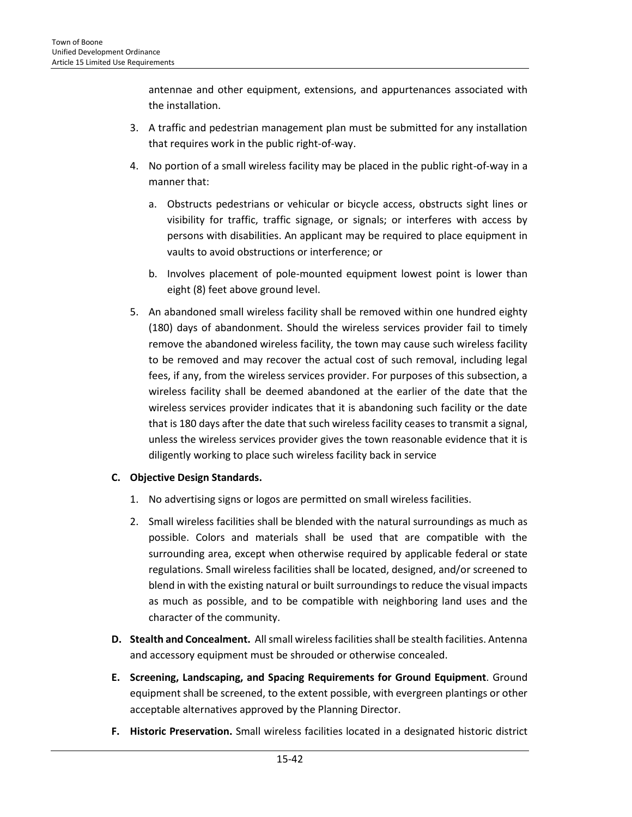antennae and other equipment, extensions, and appurtenances associated with the installation.

- 3. A traffic and pedestrian management plan must be submitted for any installation that requires work in the public right-of-way.
- 4. No portion of a small wireless facility may be placed in the public right-of-way in a manner that:
	- a. Obstructs pedestrians or vehicular or bicycle access, obstructs sight lines or visibility for traffic, traffic signage, or signals; or interferes with access by persons with disabilities. An applicant may be required to place equipment in vaults to avoid obstructions or interference; or
	- b. Involves placement of pole-mounted equipment lowest point is lower than eight (8) feet above ground level.
- 5. An abandoned small wireless facility shall be removed within one hundred eighty (180) days of abandonment. Should the wireless services provider fail to timely remove the abandoned wireless facility, the town may cause such wireless facility to be removed and may recover the actual cost of such removal, including legal fees, if any, from the wireless services provider. For purposes of this subsection, a wireless facility shall be deemed abandoned at the earlier of the date that the wireless services provider indicates that it is abandoning such facility or the date that is 180 days after the date that such wireless facility ceases to transmit a signal, unless the wireless services provider gives the town reasonable evidence that it is diligently working to place such wireless facility back in service

# **C. Objective Design Standards.**

- 1. No advertising signs or logos are permitted on small wireless facilities.
- 2. Small wireless facilities shall be blended with the natural surroundings as much as possible. Colors and materials shall be used that are compatible with the surrounding area, except when otherwise required by applicable federal or state regulations. Small wireless facilities shall be located, designed, and/or screened to blend in with the existing natural or built surroundings to reduce the visual impacts as much as possible, and to be compatible with neighboring land uses and the character of the community.
- **D. Stealth and Concealment.** All small wireless facilities shall be stealth facilities. Antenna and accessory equipment must be shrouded or otherwise concealed.
- **E. Screening, Landscaping, and Spacing Requirements for Ground Equipment**. Ground equipment shall be screened, to the extent possible, with evergreen plantings or other acceptable alternatives approved by the Planning Director.
- **F. Historic Preservation.** Small wireless facilities located in a designated historic district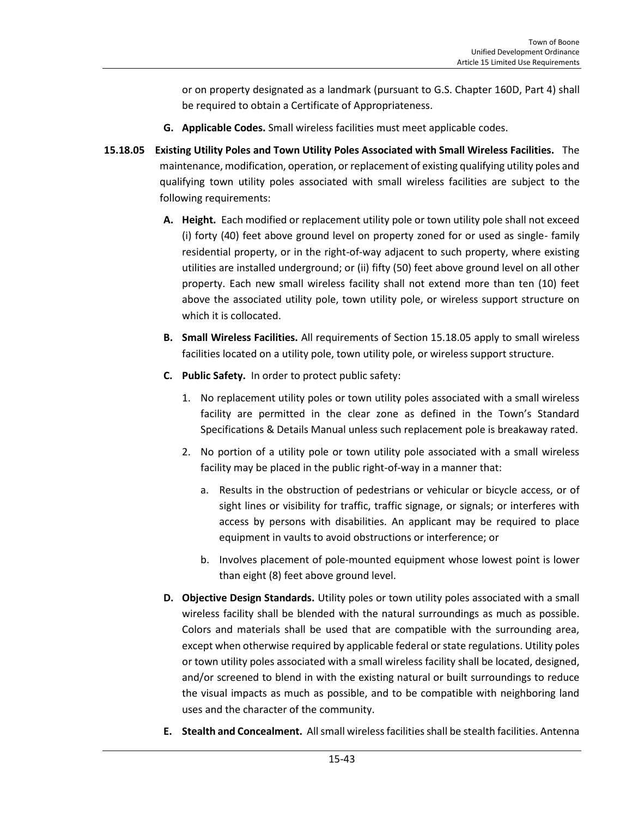or on property designated as a landmark (pursuant to G.S. Chapter 160D, Part 4) shall be required to obtain a Certificate of Appropriateness.

- **G. Applicable Codes.** Small wireless facilities must meet applicable codes.
- **15.18.05 Existing Utility Poles and Town Utility Poles Associated with Small Wireless Facilities.**The maintenance, modification, operation, or replacement of existing qualifying utility poles and qualifying town utility poles associated with small wireless facilities are subject to the following requirements:
	- **A. Height.** Each modified or replacement utility pole or town utility pole shall not exceed (i) forty (40) feet above ground level on property zoned for or used as single- family residential property, or in the right-of-way adjacent to such property, where existing utilities are installed underground; or (ii) fifty (50) feet above ground level on all other property. Each new small wireless facility shall not extend more than ten (10) feet above the associated utility pole, town utility pole, or wireless support structure on which it is collocated.
	- **B. Small Wireless Facilities.** All requirements of Section 15.18.05 apply to small wireless facilities located on a utility pole, town utility pole, or wireless support structure.
	- **C. Public Safety.** In order to protect public safety:
		- 1. No replacement utility poles or town utility poles associated with a small wireless facility are permitted in the clear zone as defined in the Town's Standard Specifications & Details Manual unless such replacement pole is breakaway rated.
		- 2. No portion of a utility pole or town utility pole associated with a small wireless facility may be placed in the public right-of-way in a manner that:
			- a. Results in the obstruction of pedestrians or vehicular or bicycle access, or of sight lines or visibility for traffic, traffic signage, or signals; or interferes with access by persons with disabilities. An applicant may be required to place equipment in vaults to avoid obstructions or interference; or
			- b. Involves placement of pole-mounted equipment whose lowest point is lower than eight (8) feet above ground level.
	- **D. Objective Design Standards.** Utility poles or town utility poles associated with a small wireless facility shall be blended with the natural surroundings as much as possible. Colors and materials shall be used that are compatible with the surrounding area, except when otherwise required by applicable federal or state regulations. Utility poles or town utility poles associated with a small wireless facility shall be located, designed, and/or screened to blend in with the existing natural or built surroundings to reduce the visual impacts as much as possible, and to be compatible with neighboring land uses and the character of the community.
	- **E. Stealth and Concealment.** All small wireless facilities shall be stealth facilities. Antenna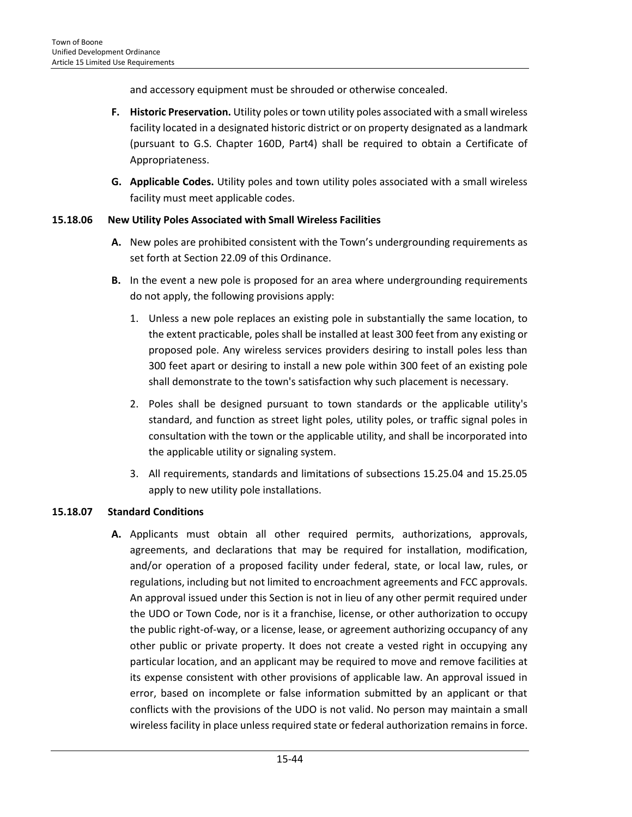and accessory equipment must be shrouded or otherwise concealed.

- **F. Historic Preservation.** Utility poles or town utility poles associated with a small wireless facility located in a designated historic district or on property designated as a landmark (pursuant to G.S. Chapter 160D, Part4) shall be required to obtain a Certificate of Appropriateness.
- **G. Applicable Codes.** Utility poles and town utility poles associated with a small wireless facility must meet applicable codes.

## **15.18.06 New Utility Poles Associated with Small Wireless Facilities**

- **A.** New poles are prohibited consistent with the Town's undergrounding requirements as set forth at Section 22.09 of this Ordinance.
- **B.** In the event a new pole is proposed for an area where undergrounding requirements do not apply, the following provisions apply:
	- 1. Unless a new pole replaces an existing pole in substantially the same location, to the extent practicable, poles shall be installed at least 300 feet from any existing or proposed pole. Any wireless services providers desiring to install poles less than 300 feet apart or desiring to install a new pole within 300 feet of an existing pole shall demonstrate to the town's satisfaction why such placement is necessary.
	- 2. Poles shall be designed pursuant to town standards or the applicable utility's standard, and function as street light poles, utility poles, or traffic signal poles in consultation with the town or the applicable utility, and shall be incorporated into the applicable utility or signaling system.
	- 3. All requirements, standards and limitations of subsections 15.25.04 and 15.25.05 apply to new utility pole installations.

## **15.18.07 Standard Conditions**

**A.** Applicants must obtain all other required permits, authorizations, approvals, agreements, and declarations that may be required for installation, modification, and/or operation of a proposed facility under federal, state, or local law, rules, or regulations, including but not limited to encroachment agreements and FCC approvals. An approval issued under this Section is not in lieu of any other permit required under the UDO or Town Code, nor is it a franchise, license, or other authorization to occupy the public right-of-way, or a license, lease, or agreement authorizing occupancy of any other public or private property. It does not create a vested right in occupying any particular location, and an applicant may be required to move and remove facilities at its expense consistent with other provisions of applicable law. An approval issued in error, based on incomplete or false information submitted by an applicant or that conflicts with the provisions of the UDO is not valid. No person may maintain a small wireless facility in place unless required state or federal authorization remains in force.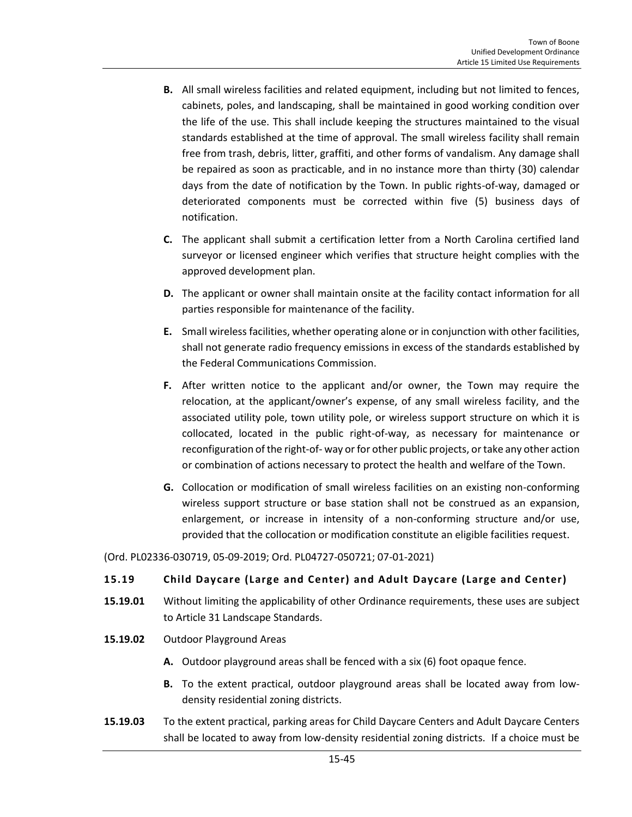- **B.** All small wireless facilities and related equipment, including but not limited to fences, cabinets, poles, and landscaping, shall be maintained in good working condition over the life of the use. This shall include keeping the structures maintained to the visual standards established at the time of approval. The small wireless facility shall remain free from trash, debris, litter, graffiti, and other forms of vandalism. Any damage shall be repaired as soon as practicable, and in no instance more than thirty (30) calendar days from the date of notification by the Town. In public rights-of-way, damaged or deteriorated components must be corrected within five (5) business days of notification.
- **C.** The applicant shall submit a certification letter from a North Carolina certified land surveyor or licensed engineer which verifies that structure height complies with the approved development plan.
- **D.** The applicant or owner shall maintain onsite at the facility contact information for all parties responsible for maintenance of the facility.
- **E.** Small wireless facilities, whether operating alone or in conjunction with other facilities, shall not generate radio frequency emissions in excess of the standards established by the Federal Communications Commission.
- **F.** After written notice to the applicant and/or owner, the Town may require the relocation, at the applicant/owner's expense, of any small wireless facility, and the associated utility pole, town utility pole, or wireless support structure on which it is collocated, located in the public right-of-way, as necessary for maintenance or reconfiguration of the right-of- way or for other public projects, or take any other action or combination of actions necessary to protect the health and welfare of the Town.
- **G.** Collocation or modification of small wireless facilities on an existing non-conforming wireless support structure or base station shall not be construed as an expansion, enlargement, or increase in intensity of a non-conforming structure and/or use, provided that the collocation or modification constitute an eligible facilities request.

(Ord. PL02336-030719, 05-09-2019; Ord. PL04727-050721; 07-01-2021)

#### **15.19 Child Daycare (Large and Center) and Adult Daycare (Large and Center)**

- **15.19.01** Without limiting the applicability of other Ordinance requirements, these uses are subject to Article 31 Landscape Standards.
- **15.19.02** Outdoor Playground Areas
	- **A.** Outdoor playground areas shall be fenced with a six (6) foot opaque fence.
	- **B.** To the extent practical, outdoor playground areas shall be located away from lowdensity residential zoning districts.
- **15.19.03** To the extent practical, parking areas for Child Daycare Centers and Adult Daycare Centers shall be located to away from low-density residential zoning districts. If a choice must be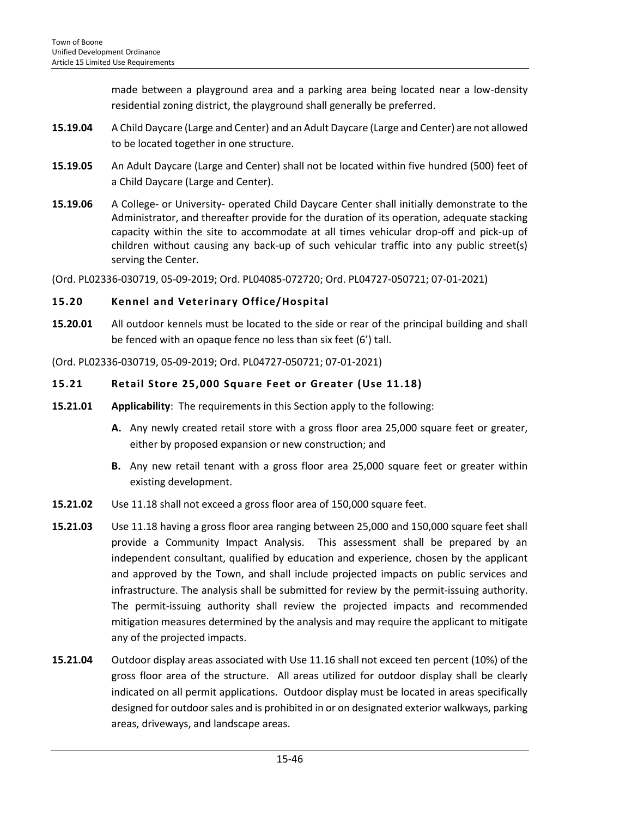made between a playground area and a parking area being located near a low-density residential zoning district, the playground shall generally be preferred.

- **15.19.04** A Child Daycare (Large and Center) and an Adult Daycare (Large and Center) are not allowed to be located together in one structure.
- **15.19.05** An Adult Daycare (Large and Center) shall not be located within five hundred (500) feet of a Child Daycare (Large and Center).
- **15.19.06** A College- or University- operated Child Daycare Center shall initially demonstrate to the Administrator, and thereafter provide for the duration of its operation, adequate stacking capacity within the site to accommodate at all times vehicular drop-off and pick-up of children without causing any back-up of such vehicular traffic into any public street(s) serving the Center.

(Ord. PL02336-030719, 05-09-2019; Ord. PL04085-072720; Ord. PL04727-050721; 07-01-2021)

## **15.20 Kennel and Veterinary Office/Hospital**

**15.20.01** All outdoor kennels must be located to the side or rear of the principal building and shall be fenced with an opaque fence no less than six feet (6') tall.

(Ord. PL02336-030719, 05-09-2019; Ord. PL04727-050721; 07-01-2021)

## **15.21 Retail Store 25,000 Square Feet or Greater (Use 11.18)**

- **15.21.01 Applicability**: The requirements in this Section apply to the following:
	- **A.** Any newly created retail store with a gross floor area 25,000 square feet or greater, either by proposed expansion or new construction; and
	- **B.** Any new retail tenant with a gross floor area 25,000 square feet or greater within existing development.
- **15.21.02** Use 11.18 shall not exceed a gross floor area of 150,000 square feet.
- **15.21.03** Use 11.18 having a gross floor area ranging between 25,000 and 150,000 square feet shall provide a Community Impact Analysis. This assessment shall be prepared by an independent consultant, qualified by education and experience, chosen by the applicant and approved by the Town, and shall include projected impacts on public services and infrastructure. The analysis shall be submitted for review by the permit-issuing authority. The permit-issuing authority shall review the projected impacts and recommended mitigation measures determined by the analysis and may require the applicant to mitigate any of the projected impacts.
- **15.21.04** Outdoor display areas associated with Use 11.16 shall not exceed ten percent (10%) of the gross floor area of the structure. All areas utilized for outdoor display shall be clearly indicated on all permit applications. Outdoor display must be located in areas specifically designed for outdoor sales and is prohibited in or on designated exterior walkways, parking areas, driveways, and landscape areas.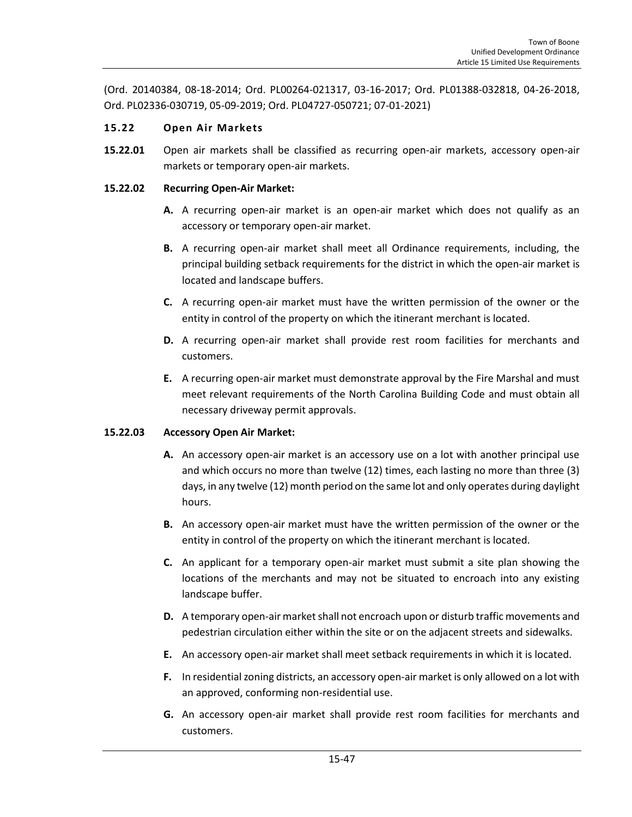(Ord. 20140384, 08-18-2014; Ord. PL00264-021317, 03-16-2017; Ord. PL01388-032818, 04-26-2018, Ord. PL02336-030719, 05-09-2019; Ord. PL04727-050721; 07-01-2021)

## **15.22 Open Air Markets**

**15.22.01** Open air markets shall be classified as recurring open-air markets, accessory open-air markets or temporary open-air markets.

### **15.22.02 Recurring Open-Air Market:**

- **A.** A recurring open-air market is an open-air market which does not qualify as an accessory or temporary open-air market.
- **B.** A recurring open-air market shall meet all Ordinance requirements, including, the principal building setback requirements for the district in which the open-air market is located and landscape buffers.
- **C.** A recurring open-air market must have the written permission of the owner or the entity in control of the property on which the itinerant merchant is located.
- **D.** A recurring open-air market shall provide rest room facilities for merchants and customers.
- **E.** A recurring open-air market must demonstrate approval by the Fire Marshal and must meet relevant requirements of the North Carolina Building Code and must obtain all necessary driveway permit approvals.

## **15.22.03 Accessory Open Air Market:**

- **A.** An accessory open-air market is an accessory use on a lot with another principal use and which occurs no more than twelve (12) times, each lasting no more than three (3) days, in any twelve (12) month period on the same lot and only operates during daylight hours.
- **B.** An accessory open-air market must have the written permission of the owner or the entity in control of the property on which the itinerant merchant is located.
- **C.** An applicant for a temporary open-air market must submit a site plan showing the locations of the merchants and may not be situated to encroach into any existing landscape buffer.
- **D.** A temporary open-air market shall not encroach upon or disturb traffic movements and pedestrian circulation either within the site or on the adjacent streets and sidewalks.
- **E.** An accessory open-air market shall meet setback requirements in which it is located.
- **F.** In residential zoning districts, an accessory open-air market is only allowed on a lot with an approved, conforming non-residential use.
- **G.** An accessory open-air market shall provide rest room facilities for merchants and customers.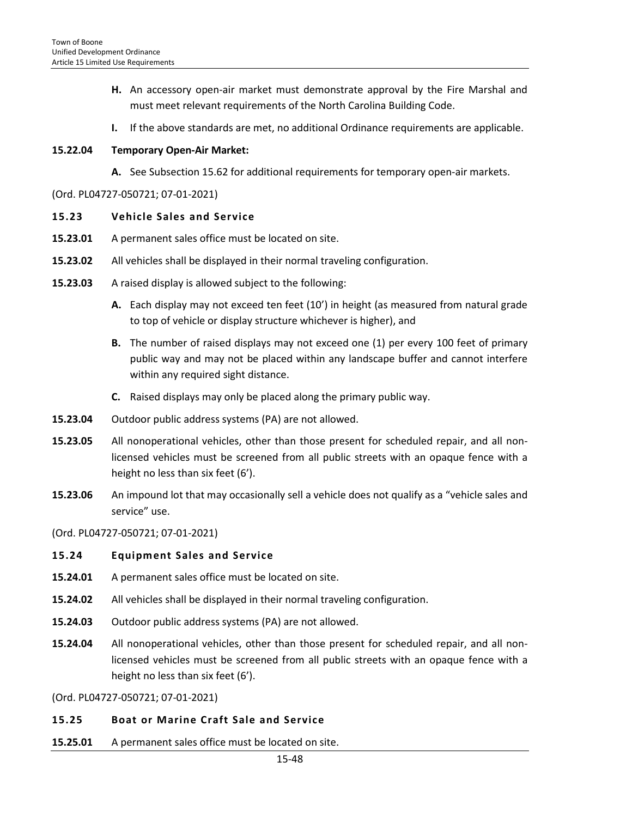- **H.** An accessory open-air market must demonstrate approval by the Fire Marshal and must meet relevant requirements of the North Carolina Building Code.
- **I.** If the above standards are met, no additional Ordinance requirements are applicable.

#### **15.22.04 Temporary Open-Air Market:**

**A.** See Subsection 15.62 for additional requirements for temporary open-air markets.

(Ord. PL04727-050721; 07-01-2021)

#### **15.23 Vehicle Sales and Service**

- **15.23.01** A permanent sales office must be located on site.
- **15.23.02** All vehicles shall be displayed in their normal traveling configuration.
- **15.23.03** A raised display is allowed subject to the following:
	- **A.** Each display may not exceed ten feet (10') in height (as measured from natural grade to top of vehicle or display structure whichever is higher), and
	- **B.** The number of raised displays may not exceed one (1) per every 100 feet of primary public way and may not be placed within any landscape buffer and cannot interfere within any required sight distance.
	- **C.** Raised displays may only be placed along the primary public way.
- **15.23.04** Outdoor public address systems (PA) are not allowed.
- **15.23.05** All nonoperational vehicles, other than those present for scheduled repair, and all nonlicensed vehicles must be screened from all public streets with an opaque fence with a height no less than six feet (6').
- **15.23.06** An impound lot that may occasionally sell a vehicle does not qualify as a "vehicle sales and service" use.

(Ord. PL04727-050721; 07-01-2021)

#### **15.24 Equipment Sales and Service**

- **15.24.01** A permanent sales office must be located on site.
- **15.24.02** All vehicles shall be displayed in their normal traveling configuration.
- **15.24.03** Outdoor public address systems (PA) are not allowed.
- **15.24.04** All nonoperational vehicles, other than those present for scheduled repair, and all nonlicensed vehicles must be screened from all public streets with an opaque fence with a height no less than six feet (6').

(Ord. PL04727-050721; 07-01-2021)

#### **15.25 Boat or Marine Craft Sale and Service**

**15.25.01** A permanent sales office must be located on site.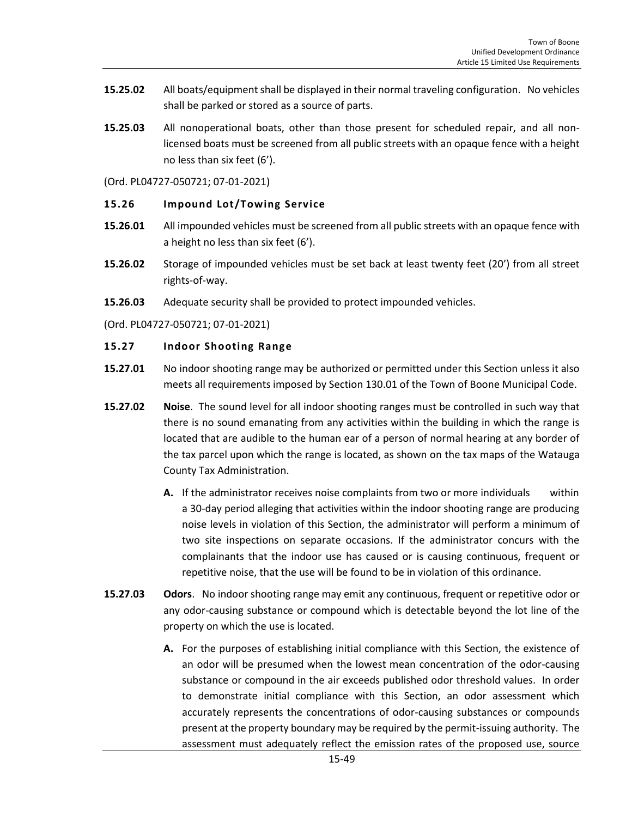- **15.25.02** All boats/equipment shall be displayed in their normal traveling configuration. No vehicles shall be parked or stored as a source of parts.
- **15.25.03** All nonoperational boats, other than those present for scheduled repair, and all nonlicensed boats must be screened from all public streets with an opaque fence with a height no less than six feet (6').

(Ord. PL04727-050721; 07-01-2021)

#### **15.26 Impound Lot/Towing Service**

- **15.26.01** All impounded vehicles must be screened from all public streets with an opaque fence with a height no less than six feet (6').
- **15.26.02** Storage of impounded vehicles must be set back at least twenty feet (20') from all street rights-of-way.
- **15.26.03** Adequate security shall be provided to protect impounded vehicles.

(Ord. PL04727-050721; 07-01-2021)

#### **15.27 Indoor Shooting Range**

- **15.27.01** No indoor shooting range may be authorized or permitted under this Section unless it also meets all requirements imposed by Section 130.01 of the Town of Boone Municipal Code.
- **15.27.02 Noise**. The sound level for all indoor shooting ranges must be controlled in such way that there is no sound emanating from any activities within the building in which the range is located that are audible to the human ear of a person of normal hearing at any border of the tax parcel upon which the range is located, as shown on the tax maps of the Watauga County Tax Administration.
	- **A.** If the administrator receives noise complaints from two or more individuals within a 30-day period alleging that activities within the indoor shooting range are producing noise levels in violation of this Section, the administrator will perform a minimum of two site inspections on separate occasions. If the administrator concurs with the complainants that the indoor use has caused or is causing continuous, frequent or repetitive noise, that the use will be found to be in violation of this ordinance.
- **15.27.03 Odors**. No indoor shooting range may emit any continuous, frequent or repetitive odor or any odor-causing substance or compound which is detectable beyond the lot line of the property on which the use is located.
	- **A.** For the purposes of establishing initial compliance with this Section, the existence of an odor will be presumed when the lowest mean concentration of the odor-causing substance or compound in the air exceeds published odor threshold values. In order to demonstrate initial compliance with this Section, an odor assessment which accurately represents the concentrations of odor-causing substances or compounds present at the property boundary may be required by the permit-issuing authority. The assessment must adequately reflect the emission rates of the proposed use, source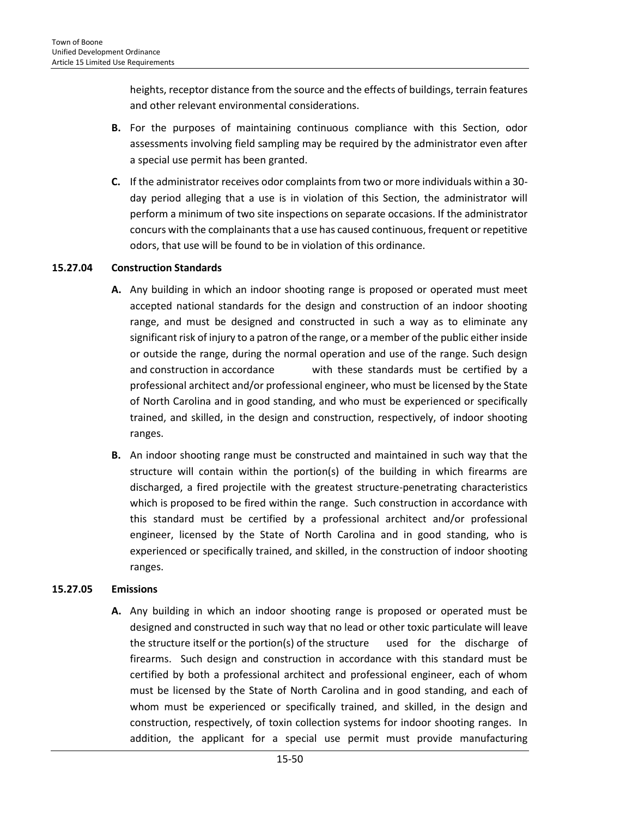heights, receptor distance from the source and the effects of buildings, terrain features and other relevant environmental considerations.

- **B.** For the purposes of maintaining continuous compliance with this Section, odor assessments involving field sampling may be required by the administrator even after a special use permit has been granted.
- **C.** If the administrator receives odor complaints from two or more individuals within a 30 day period alleging that a use is in violation of this Section, the administrator will perform a minimum of two site inspections on separate occasions. If the administrator concurs with the complainants that a use has caused continuous, frequent or repetitive odors, that use will be found to be in violation of this ordinance.

#### **15.27.04 Construction Standards**

- **A.** Any building in which an indoor shooting range is proposed or operated must meet accepted national standards for the design and construction of an indoor shooting range, and must be designed and constructed in such a way as to eliminate any significant risk of injury to a patron of the range, or a member of the public either inside or outside the range, during the normal operation and use of the range. Such design and construction in accordance with these standards must be certified by a professional architect and/or professional engineer, who must be licensed by the State of North Carolina and in good standing, and who must be experienced or specifically trained, and skilled, in the design and construction, respectively, of indoor shooting ranges.
- **B.** An indoor shooting range must be constructed and maintained in such way that the structure will contain within the portion(s) of the building in which firearms are discharged, a fired projectile with the greatest structure-penetrating characteristics which is proposed to be fired within the range. Such construction in accordance with this standard must be certified by a professional architect and/or professional engineer, licensed by the State of North Carolina and in good standing, who is experienced or specifically trained, and skilled, in the construction of indoor shooting ranges.

## **15.27.05 Emissions**

**A.** Any building in which an indoor shooting range is proposed or operated must be designed and constructed in such way that no lead or other toxic particulate will leave the structure itself or the portion(s) of the structure used for the discharge of firearms. Such design and construction in accordance with this standard must be certified by both a professional architect and professional engineer, each of whom must be licensed by the State of North Carolina and in good standing, and each of whom must be experienced or specifically trained, and skilled, in the design and construction, respectively, of toxin collection systems for indoor shooting ranges. In addition, the applicant for a special use permit must provide manufacturing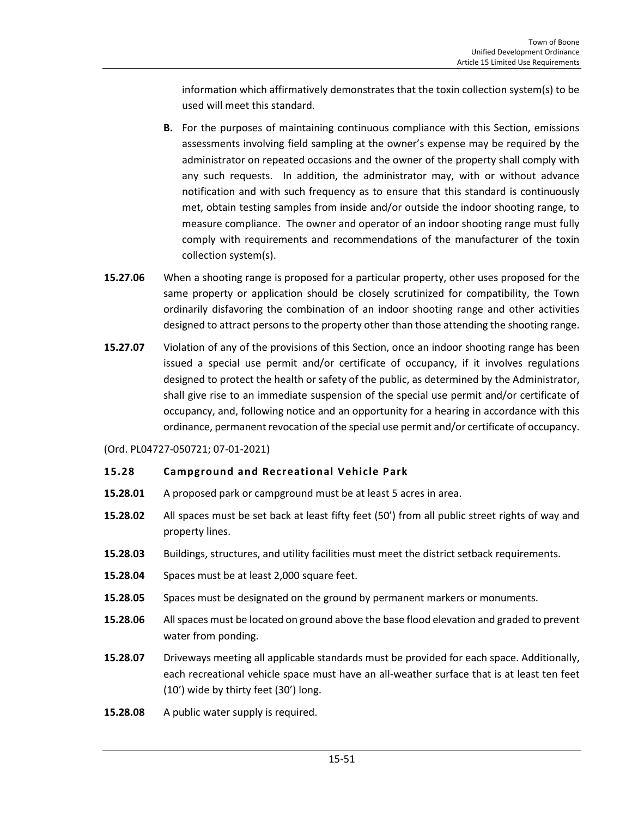information which affirmatively demonstrates that the toxin collection system(s) to be used will meet this standard.

- **B.** For the purposes of maintaining continuous compliance with this Section, emissions assessments involving field sampling at the owner's expense may be required by the administrator on repeated occasions and the owner of the property shall comply with any such requests. In addition, the administrator may, with or without advance notification and with such frequency as to ensure that this standard is continuously met, obtain testing samples from inside and/or outside the indoor shooting range, to measure compliance. The owner and operator of an indoor shooting range must fully comply with requirements and recommendations of the manufacturer of the toxin collection system(s).
- **15.27.06** When a shooting range is proposed for a particular property, other uses proposed for the same property or application should be closely scrutinized for compatibility, the Town ordinarily disfavoring the combination of an indoor shooting range and other activities designed to attract persons to the property other than those attending the shooting range.
- **15.27.07** Violation of any of the provisions of this Section, once an indoor shooting range has been issued a special use permit and/or certificate of occupancy, if it involves regulations designed to protect the health or safety of the public, as determined by the Administrator, shall give rise to an immediate suspension of the special use permit and/or certificate of occupancy, and, following notice and an opportunity for a hearing in accordance with this ordinance, permanent revocation of the special use permit and/or certificate of occupancy.

(Ord. PL04727-050721; 07-01-2021)

#### **15.28 Campground and Recreational Vehicle Park**

- **15.28.01** A proposed park or campground must be at least 5 acres in area.
- **15.28.02** All spaces must be set back at least fifty feet (50') from all public street rights of way and property lines.
- **15.28.03** [Buildings,](http://www.zoningplus.com/regs/greensboro/codetext.aspx?mode=2&xRef=1&index=513) [structures,](http://www.zoningplus.com/regs/greensboro/codetext.aspx?mode=2&xRef=1&index=859) and utility facilities must meet the district [setback](http://www.zoningplus.com/regs/greensboro/codetext.aspx?mode=2&xRef=1&index=779) requirements.
- **15.28.04** Spaces must be at least 2,000 square feet.
- **15.28.05** Spaces must be designated on the ground by permanent markers or monuments.
- **15.28.06** All spaces must be located on ground above th[e base flood elevation](http://www.zoningplus.com/regs/greensboro/codetext.aspx?mode=2&xRef=1&index=497) and graded to prevent water from ponding.
- **15.28.07** Driveways meeting all applicable standards must be provided for each space. Additionally, each recreational vehicle space must have an all-weather surface that is at least ten feet (10') wide by thirty feet (30') long.
- **15.28.08** A [public water](http://www.zoningplus.com/regs/greensboro/codetext.aspx?mode=2&xRef=1&index=745) supply is required.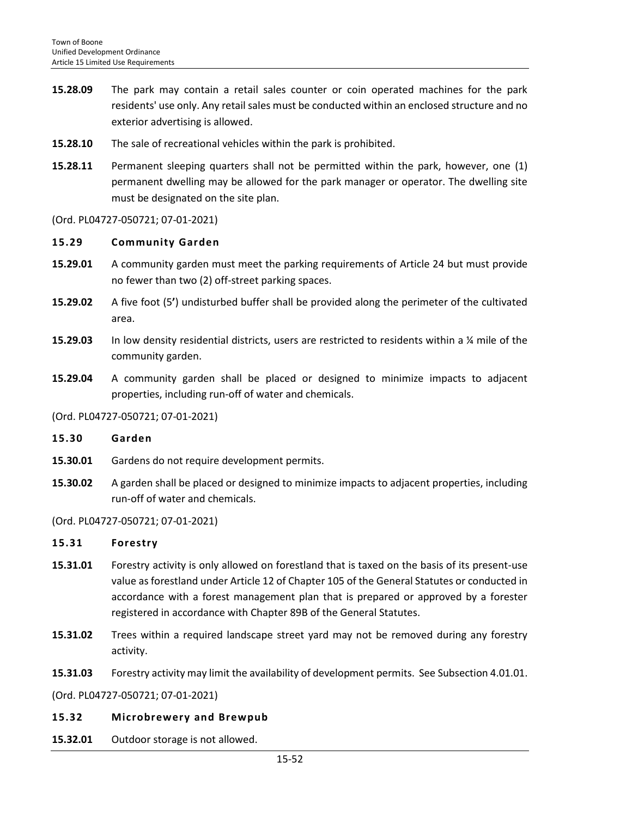- **15.28.09** The park may contain a retail sales counter or coin operated machines for the park residents' use only. Any retail sales must be conducted within an enclose[d structure](http://www.zoningplus.com/regs/greensboro/codetext.aspx?mode=2&xRef=1&index=859) and no exterior advertising is allowed.
- **15.28.10** The sale of recreational vehicles within the park is prohibited.
- **15.28.11** Permanent sleeping quarters shall not be permitted within the park, however, one (1) permanent [dwelling](http://www.zoningplus.com/regs/greensboro/codetext.aspx?mode=2&xRef=1&index=569) may be allowed for the park manager or operator. The dwelling site must be designated on the site plan.

(Ord. PL04727-050721; 07-01-2021)

#### **15.29 Community Garden**

- **15.29.01** A community garden must meet the parking requirements of Article 24 but must provide no fewer than two (2) off-street parking spaces.
- **15.29.02** A five foot (5**'**) undisturbed buffer shall be provided along the perimeter of the cultivated area.
- **15.29.03** In low density residential districts, users are restricted to residents within a ¼ mile of the community garden.
- **15.29.04** A community garden shall be placed or designed to minimize impacts to adjacent properties, including run-off of water and chemicals.

#### (Ord. PL04727-050721; 07-01-2021)

**15.30 Garden** 

- **15.30.01** Gardens do not require development permits.
- **15.30.02** A garden shall be placed or designed to minimize impacts to adjacent properties, including run-off of water and chemicals.

#### (Ord. PL04727-050721; 07-01-2021)

## **15.31 Forestry**

- **15.31.01** Forestry activity is only allowed on forestland that is taxed on the basis of its present-use value as forestland under Article 12 of Chapter 105 of the General Statutes or conducted in accordance with a forest management plan that is prepared or approved by a forester registered in accordance with Chapter 89B of the General Statutes.
- **15.31.02** Trees within a required landscape street yard may not be removed during any forestry activity.
- **15.31.03** Forestry activity may limit the availability of development permits. See Subsection 4.01.01.

(Ord. PL04727-050721; 07-01-2021)

## **15.32 Microbrewery and Brewpub**

**15.32.01** Outdoor storage is not allowed.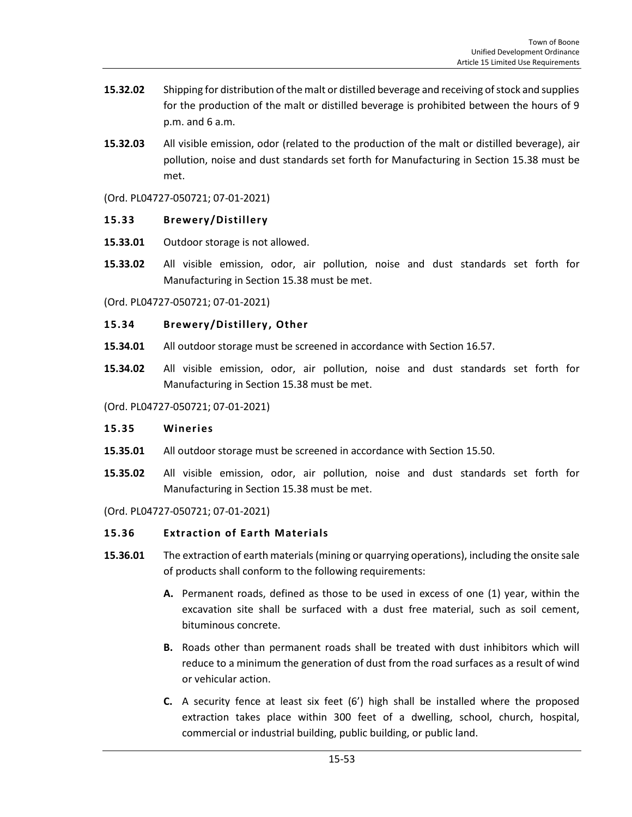- **15.32.02** Shipping for distribution of the malt or distilled beverage and receiving of stock and supplies for the production of the malt or distilled beverage is prohibited between the hours of 9 p.m. and 6 a.m.
- **15.32.03** All visible emission, odor (related to the production of the malt or distilled beverage), air pollution, noise and dust standards set forth for Manufacturing in Section 15.38 must be met.

#### (Ord. PL04727-050721; 07-01-2021)

#### **15.33 Brewery/Distillery**

- **15.33.01** Outdoor storage is not allowed.
- **15.33.02** All visible emission, odor, air pollution, noise and dust standards set forth for Manufacturing in Section 15.38 must be met.

(Ord. PL04727-050721; 07-01-2021)

#### **15.34 Brewery/Distillery, Other**

- **15.34.01** All outdoor storage must be screened in accordance with Section 16.57.
- **15.34.02** All visible emission, odor, air pollution, noise and dust standards set forth for Manufacturing in Section 15.38 must be met.

(Ord. PL04727-050721; 07-01-2021)

#### **15.35 Wineries**

- **15.35.01** All outdoor storage must be screened in accordance with Section 15.50.
- **15.35.02** All visible emission, odor, air pollution, noise and dust standards set forth for Manufacturing in Section 15.38 must be met.

(Ord. PL04727-050721; 07-01-2021)

## **15.36 Extraction of Earth Materials**

- **15.36.01** The extraction of earth materials (mining or quarrying operations), including the onsite sale of products shall conform to the following requirements:
	- **A.** Permanent roads, defined as those to be used in excess of one (1) year, within the excavation site shall be surfaced with a dust free material, such as soil cement, bituminous concrete.
	- **B.** Roads other than permanent roads shall be treated with dust inhibitors which will reduce to a minimum the generation of dust from the road surfaces as a result of wind or vehicular action.
	- **C.** A security fence at least six feet (6') high shall be installed where the proposed extraction takes place within 300 feet of a dwelling, school, church, hospital, commercial or industrial building, public building, or public land.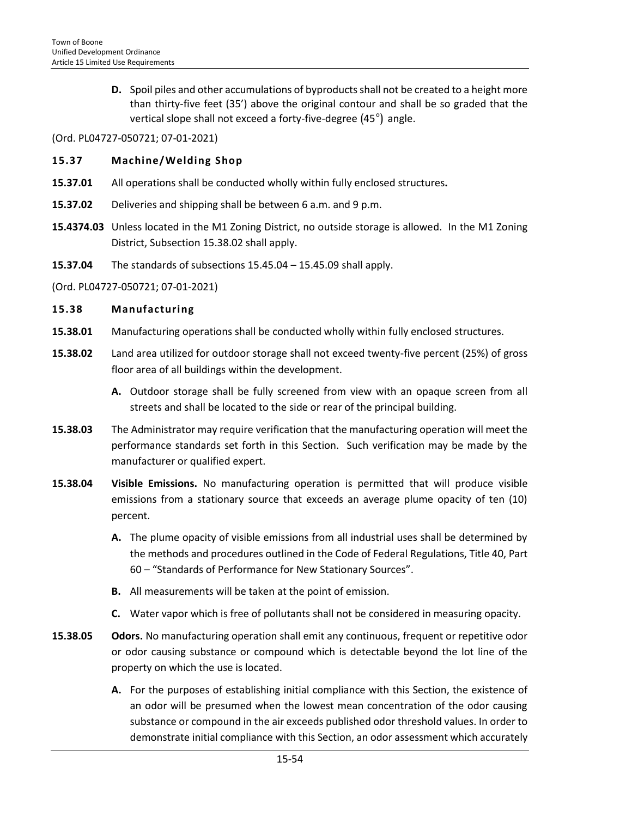**D.** Spoil piles and other accumulations of byproducts shall not be created to a height more than thirty-five feet (35') above the original contour and shall be so graded that the vertical slope shall not exceed a forty-five-degree (45°) angle.

(Ord. PL04727-050721; 07-01-2021)

#### **15.37 Machine/Welding Shop**

- **15.37.01** All operations shall be conducted wholly within fully enclosed structures**.**
- **15.37.02** Deliveries and shipping shall be between 6 a.m. and 9 p.m.
- **15.4374.03** Unless located in the M1 Zoning District, no outside storage is allowed. In the M1 Zoning District, Subsection 15.38.02 shall apply.
- **15.37.04** The standards of subsections 15.45.04 15.45.09 shall apply.

#### (Ord. PL04727-050721; 07-01-2021)

#### **15.38 Manufacturing**

- **15.38.01** Manufacturing operations shall be conducted wholly within fully enclosed structures.
- **15.38.02** Land area utilized for outdoor storage shall not exceed twenty-five percent (25%) of gross floor area of all buildings within the development.
	- **A.** Outdoor storage shall be fully screened from view with an opaque screen from all streets and shall be located to the side or rear of the principal building.
- **15.38.03** The Administrator may require verification that the manufacturing operation will meet the performance standards set forth in this Section. Such verification may be made by the manufacturer or qualified expert.
- **15.38.04 Visible Emissions.** No manufacturing operation is permitted that will produce visible emissions from a stationary source that exceeds an average plume opacity of ten (10) percent.
	- **A.** The plume opacity of visible emissions from all industrial uses shall be determined by the methods and procedures outlined in the Code of Federal Regulations, Title 40, Part 60 – "Standards of Performance for New Stationary Sources".
	- **B.** All measurements will be taken at the point of emission.
	- **C.** Water vapor which is free of pollutants shall not be considered in measuring opacity.
- **15.38.05 Odors.** No manufacturing operation shall emit any continuous, frequent or repetitive odor or odor causing substance or compound which is detectable beyond the lot line of the property on which the use is located.
	- **A.** For the purposes of establishing initial compliance with this Section, the existence of an odor will be presumed when the lowest mean concentration of the odor causing substance or compound in the air exceeds published odor threshold values. In order to demonstrate initial compliance with this Section, an odor assessment which accurately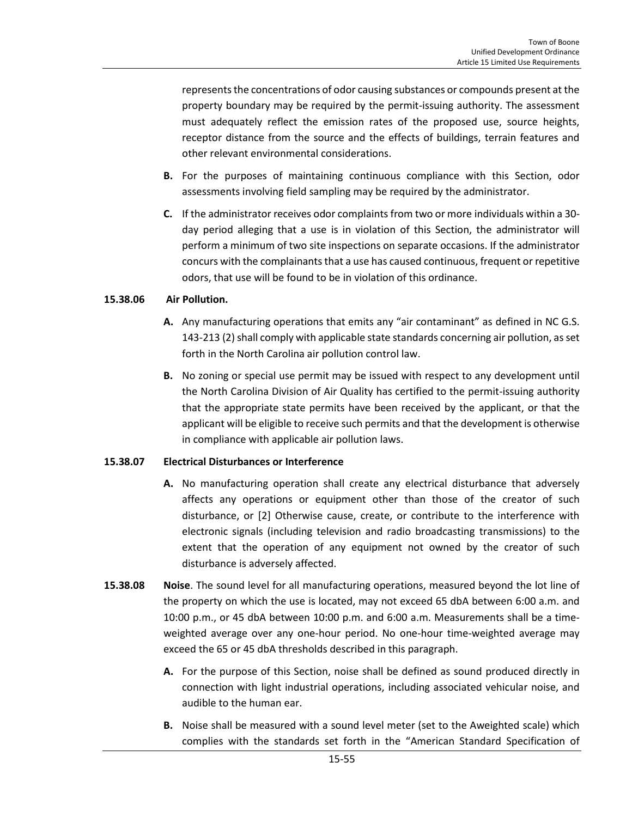represents the concentrations of odor causing substances or compounds present at the property boundary may be required by the permit-issuing authority. The assessment must adequately reflect the emission rates of the proposed use, source heights, receptor distance from the source and the effects of buildings, terrain features and other relevant environmental considerations.

- **B.** For the purposes of maintaining continuous compliance with this Section, odor assessments involving field sampling may be required by the administrator.
- **C.** If the administrator receives odor complaints from two or more individuals within a 30 day period alleging that a use is in violation of this Section, the administrator will perform a minimum of two site inspections on separate occasions. If the administrator concurs with the complainants that a use has caused continuous, frequent or repetitive odors, that use will be found to be in violation of this ordinance.

#### **15.38.06 Air Pollution.**

- **A.** Any manufacturing operations that emits any "air contaminant" as defined in NC G.S. 143-213 (2) shall comply with applicable state standards concerning air pollution, as set forth in the North Carolina air pollution control law.
- **B.** No zoning or special use permit may be issued with respect to any development until the North Carolina Division of Air Quality has certified to the permit-issuing authority that the appropriate state permits have been received by the applicant, or that the applicant will be eligible to receive such permits and that the development is otherwise in compliance with applicable air pollution laws.

#### **15.38.07 Electrical Disturbances or Interference**

- **A.** No manufacturing operation shall create any electrical disturbance that adversely affects any operations or equipment other than those of the creator of such disturbance, or [2] Otherwise cause, create, or contribute to the interference with electronic signals (including television and radio broadcasting transmissions) to the extent that the operation of any equipment not owned by the creator of such disturbance is adversely affected.
- **15.38.08 Noise**. The sound level for all manufacturing operations, measured beyond the lot line of the property on which the use is located, may not exceed 65 dbA between 6:00 a.m. and 10:00 p.m., or 45 dbA between 10:00 p.m. and 6:00 a.m. Measurements shall be a timeweighted average over any one-hour period. No one-hour time-weighted average may exceed the 65 or 45 dbA thresholds described in this paragraph.
	- **A.** For the purpose of this Section, noise shall be defined as sound produced directly in connection with light industrial operations, including associated vehicular noise, and audible to the human ear.
	- **B.** Noise shall be measured with a sound level meter (set to the Aweighted scale) which complies with the standards set forth in the "American Standard Specification of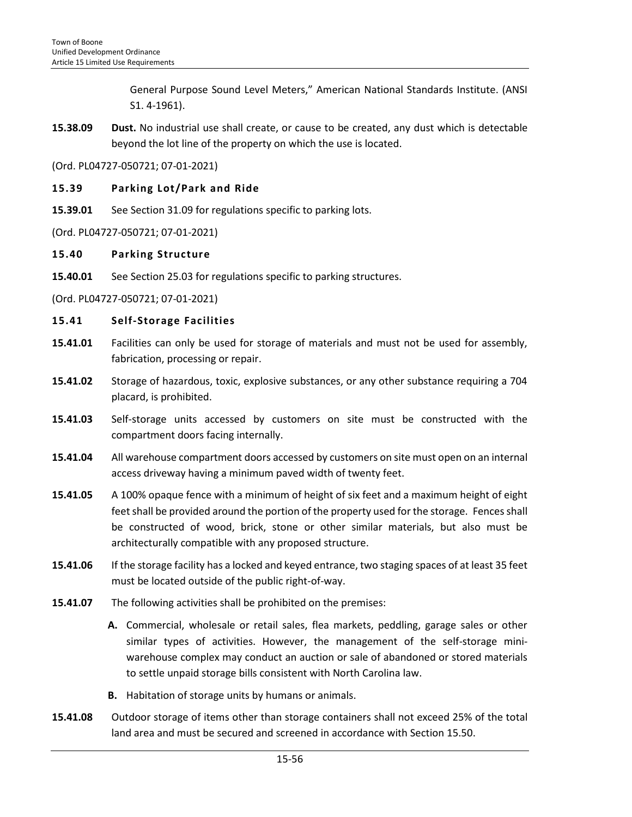General Purpose Sound Level Meters," American National Standards Institute. (ANSI S1. 4-1961).

**15.38.09 Dust.** No industrial use shall create, or cause to be created, any dust which is detectable beyond the lot line of the property on which the use is located.

(Ord. PL04727-050721; 07-01-2021)

### **15.39 Parking Lot/Park and Ride**

**15.39.01** See Section 31.09 for regulations specific to parking lots.

(Ord. PL04727-050721; 07-01-2021)

#### **15.40 Parking Structure**

**15.40.01** See Section 25.03 for regulations specific to parking structures.

(Ord. PL04727-050721; 07-01-2021)

#### **15.41 Self-Storage Facilities**

- **15.41.01** Facilities can only be used for storage of materials and must not be used for assembly, fabrication, processing or repair.
- **15.41.02** Storage of hazardous, toxic, explosive substances, or any other substance requiring a 704 placard, is prohibited.
- **15.41.03** Self-storage units accessed by customers on site must be constructed with the compartment doors facing internally.
- **15.41.04** All warehouse compartment doors accessed by customers on site must open on an internal access driveway having a minimum paved width of twenty feet.
- **15.41.05** A 100% opaque fence with a minimum of height of six feet and a maximum height of eight feet shall be provided around the portion of the property used for the storage. Fences shall be constructed of wood, brick, stone or other similar materials, but also must be architecturally compatible with any proposed structure.
- **15.41.06** If the storage facility has a locked and keyed entrance, two staging spaces of at least 35 feet must be located outside of the public right-of-way.
- **15.41.07** The following activities shall be prohibited on the premises:
	- **A.** Commercial, wholesale or retail sales, flea markets, peddling, garage sales or other similar types of activities. However, the management of the self-storage miniwarehouse complex may conduct an auction or sale of abandoned or stored materials to settle unpaid storage bills consistent with North Carolina law.
	- **B.** Habitation of storage units by humans or animals.
- **15.41.08** Outdoor storage of items other than storage containers shall not exceed 25% of the total land area and must be secured and screened in accordance with Section 15.50.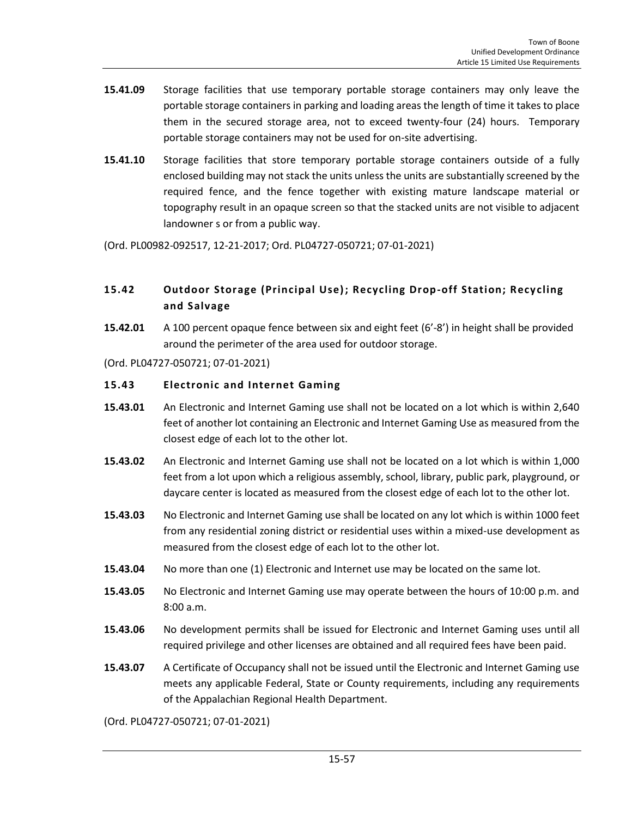- **15.41.09** Storage facilities that use temporary portable storage containers may only leave the portable storage containers in parking and loading areas the length of time it takes to place them in the secured storage area, not to exceed twenty-four (24) hours. Temporary portable storage containers may not be used for on-site advertising.
- **15.41.10** Storage facilities that store temporary portable storage containers outside of a fully enclosed building may not stack the units unless the units are substantially screened by the required fence, and the fence together with existing mature landscape material or topography result in an opaque screen so that the stacked units are not visible to adjacent landowner s or from a public way.

(Ord. PL00982-092517, 12-21-2017; Ord. PL04727-050721; 07-01-2021)

# **15.42 Outdoor Storage (Principal Use); Recycling Drop-off Station; Recycling and Salvage**

**15.42.01** A 100 percent opaque fence between six and eight feet (6'-8') in height shall be provided around the perimeter of the area used for outdoor storage.

(Ord. PL04727-050721; 07-01-2021)

#### **15.43 Electronic and Internet Gaming**

- **15.43.01** An Electronic and Internet Gaming use shall not be located on a lot which is within 2,640 feet of another lot containing an Electronic and Internet Gaming Use as measured from the closest edge of each lot to the other lot.
- **15.43.02** An Electronic and Internet Gaming use shall not be located on a lot which is within 1,000 feet from a lot upon which a religious assembly, school, library, public park, playground, or daycare center is located as measured from the closest edge of each lot to the other lot.
- **15.43.03** No Electronic and Internet Gaming use shall be located on any lot which is within 1000 feet from any residential zoning district or residential uses within a mixed-use development as measured from the closest edge of each lot to the other lot.
- **15.43.04** No more than one (1) Electronic and Internet use may be located on the same lot.
- **15.43.05** No Electronic and Internet Gaming use may operate between the hours of 10:00 p.m. and 8:00 a.m.
- **15.43.06** No development permits shall be issued for Electronic and Internet Gaming uses until all required privilege and other licenses are obtained and all required fees have been paid.
- **15.43.07** A Certificate of Occupancy shall not be issued until the Electronic and Internet Gaming use meets any applicable Federal, State or County requirements, including any requirements of the Appalachian Regional Health Department.

(Ord. PL04727-050721; 07-01-2021)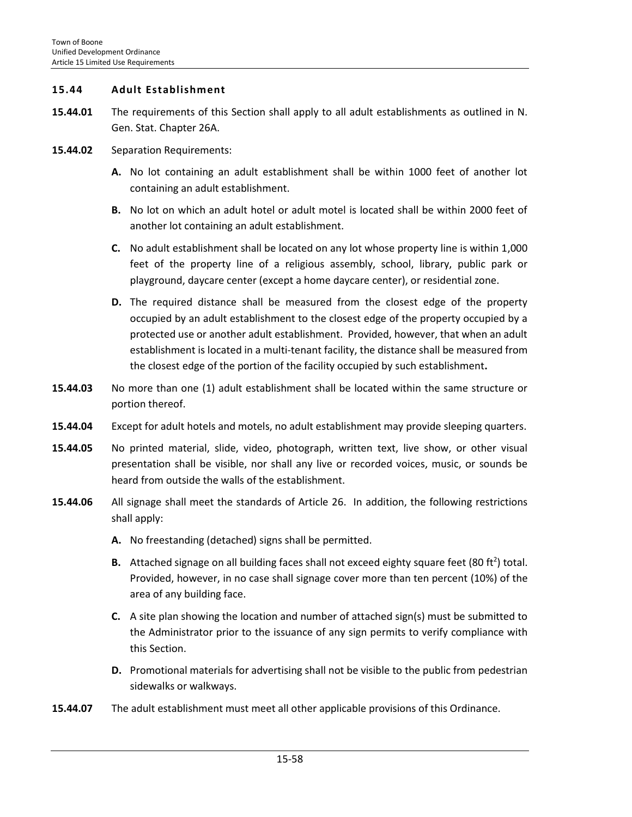#### **15.44 Adult Establishment**

- **15.44.01** The requirements of this Section shall apply to all adult establishments as outlined in N. Gen. Stat. Chapter 26A.
- **15.44.02** Separation Requirements:
	- **A.** No lot containing an adult establishment shall be within 1000 feet of another lot containing an adult establishment.
	- **B.** No lot on which an adult hotel or adult motel is located shall be within 2000 feet of another lot containing an adult establishment.
	- **C.** No adult establishment shall be located on any lot whose property line is within 1,000 feet of the property line of a religious assembly, school, library, public park or playground, daycare center (except a home daycare center), or residential zone.
	- **D.** The required distance shall be measured from the closest edge of the property occupied by an adult establishment to the closest edge of the property occupied by a protected use or another adult establishment. Provided, however, that when an adult establishment is located in a multi-tenant facility, the distance shall be measured from the closest edge of the portion of the facility occupied by such establishment**.**
- **15.44.03** No more than one (1) adult establishment shall be located within the same structure or portion thereof.
- **15.44.04** Except for adult hotels and motels, no adult establishment may provide sleeping quarters.
- **15.44.05** No printed material, slide, video, photograph, written text, live show, or other visual presentation shall be visible, nor shall any live or recorded voices, music, or sounds be heard from outside the walls of the establishment.
- **15.44.06** All signage shall meet the standards of Article 26. In addition, the following restrictions shall apply:
	- **A.** No freestanding (detached) signs shall be permitted.
	- B. Attached signage on all building faces shall not exceed eighty square feet (80 ft<sup>2</sup>) total. Provided, however, in no case shall signage cover more than ten percent (10%) of the area of any building face.
	- **C.** A site plan showing the location and number of attached sign(s) must be submitted to the Administrator prior to the issuance of any sign permits to verify compliance with this Section.
	- **D.** Promotional materials for advertising shall not be visible to the public from pedestrian sidewalks or walkways.
- **15.44.07** The adult establishment must meet all other applicable provisions of this Ordinance.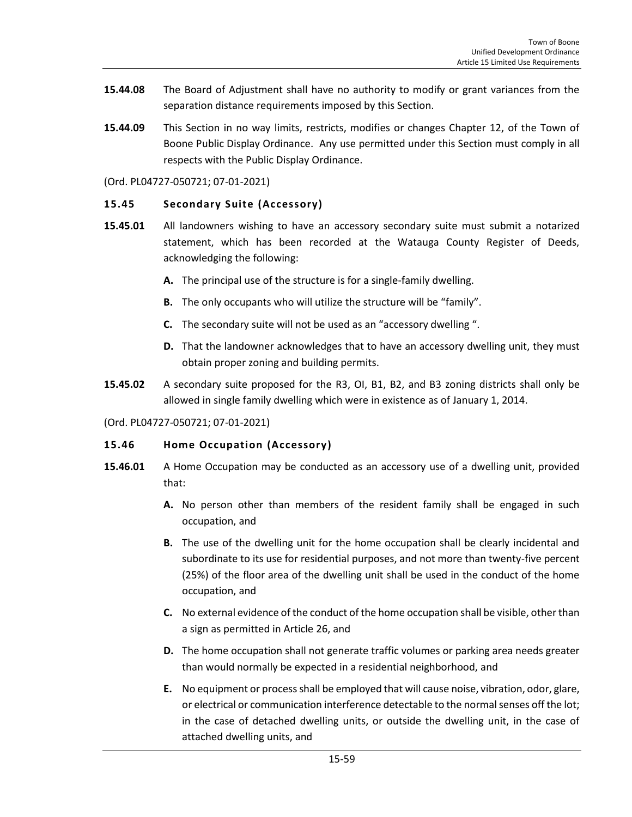- **15.44.08** The Board of Adjustment shall have no authority to modify or grant variances from the separation distance requirements imposed by this Section.
- **15.44.09** This Section in no way limits, restricts, modifies or changes Chapter 12, of the Town of Boone Public Display Ordinance. Any use permitted under this Section must comply in all respects with the Public Display Ordinance.

(Ord. PL04727-050721; 07-01-2021)

### **15.45 Secondary Suite (Accessory)**

- **15.45.01** All landowners wishing to have an accessory secondary suite must submit a notarized statement, which has been recorded at the Watauga County Register of Deeds, acknowledging the following:
	- **A.** The principal use of the structure is for a single-family dwelling.
	- **B.** The only occupants who will utilize the structure will be "family".
	- **C.** The secondary suite will not be used as an "accessory dwelling ".
	- **D.** That the landowner acknowledges that to have an accessory dwelling unit, they must obtain proper zoning and building permits.
- **15.45.02** A secondary suite proposed for the R3, OI, B1, B2, and B3 zoning districts shall only be allowed in single family dwelling which were in existence as of January 1, 2014.

(Ord. PL04727-050721; 07-01-2021)

## **15.46 Home Occupation (Accessory)**

- **15.46.01** A Home Occupation may be conducted as an accessory use of a dwelling unit, provided that:
	- **A.** No person other than members of the resident family shall be engaged in such occupation, and
	- **B.** The use of the dwelling unit for the home occupation shall be clearly incidental and subordinate to its use for residential purposes, and not more than twenty-five percent (25%) of the floor area of the dwelling unit shall be used in the conduct of the home occupation, and
	- **C.** No external evidence of the conduct of the home occupation shall be visible, other than a sign as permitted in Article 26, and
	- **D.** The home occupation shall not generate traffic volumes or parking area needs greater than would normally be expected in a residential neighborhood, and
	- **E.** No equipment or process shall be employed that will cause noise, vibration, odor, glare, or electrical or communication interference detectable to the normal senses off the lot; in the case of detached dwelling units, or outside the dwelling unit, in the case of attached dwelling units, and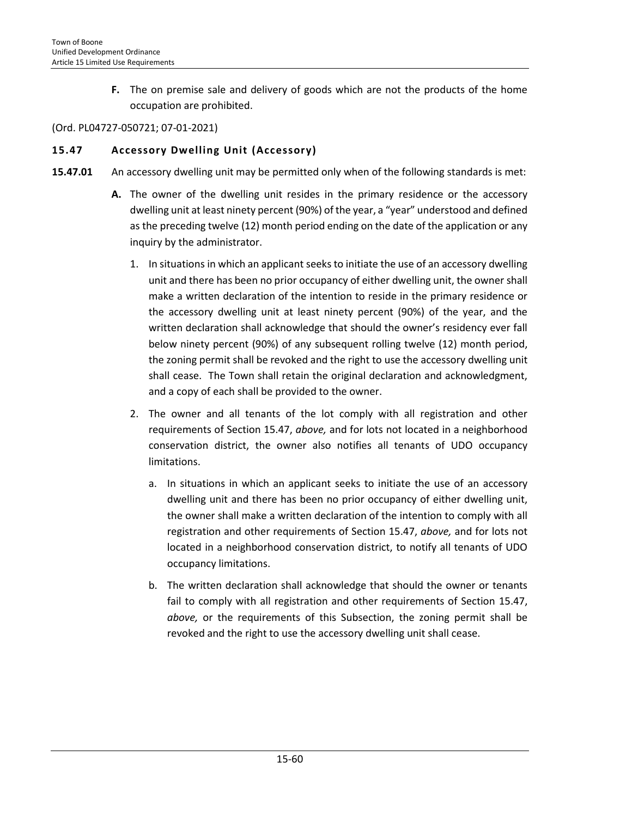**F.** The on premise sale and delivery of goods which are not the products of the home occupation are prohibited.

#### (Ord. PL04727-050721; 07-01-2021)

### **15.47 Accessory Dwelling Unit (Accessory)**

- **15.47.01** An accessory dwelling unit may be permitted only when of the following standards is met:
	- **A.** The owner of the dwelling unit resides in the primary residence or the accessory dwelling unit at least ninety percent (90%) of the year, a "year" understood and defined as the preceding twelve (12) month period ending on the date of the application or any inquiry by the administrator.
		- 1. In situations in which an applicant seeks to initiate the use of an accessory dwelling unit and there has been no prior occupancy of either dwelling unit, the owner shall make a written declaration of the intention to reside in the primary residence or the accessory dwelling unit at least ninety percent (90%) of the year, and the written declaration shall acknowledge that should the owner's residency ever fall below ninety percent (90%) of any subsequent rolling twelve (12) month period, the zoning permit shall be revoked and the right to use the accessory dwelling unit shall cease. The Town shall retain the original declaration and acknowledgment, and a copy of each shall be provided to the owner.
		- 2. The owner and all tenants of the lot comply with all registration and other requirements of Section 15.47, *above,* and for lots not located in a neighborhood conservation district, the owner also notifies all tenants of UDO occupancy limitations.
			- a. In situations in which an applicant seeks to initiate the use of an accessory dwelling unit and there has been no prior occupancy of either dwelling unit, the owner shall make a written declaration of the intention to comply with all registration and other requirements of Section 15.47, *above,* and for lots not located in a neighborhood conservation district, to notify all tenants of UDO occupancy limitations.
			- b. The written declaration shall acknowledge that should the owner or tenants fail to comply with all registration and other requirements of Section 15.47, *above,* or the requirements of this Subsection, the zoning permit shall be revoked and the right to use the accessory dwelling unit shall cease.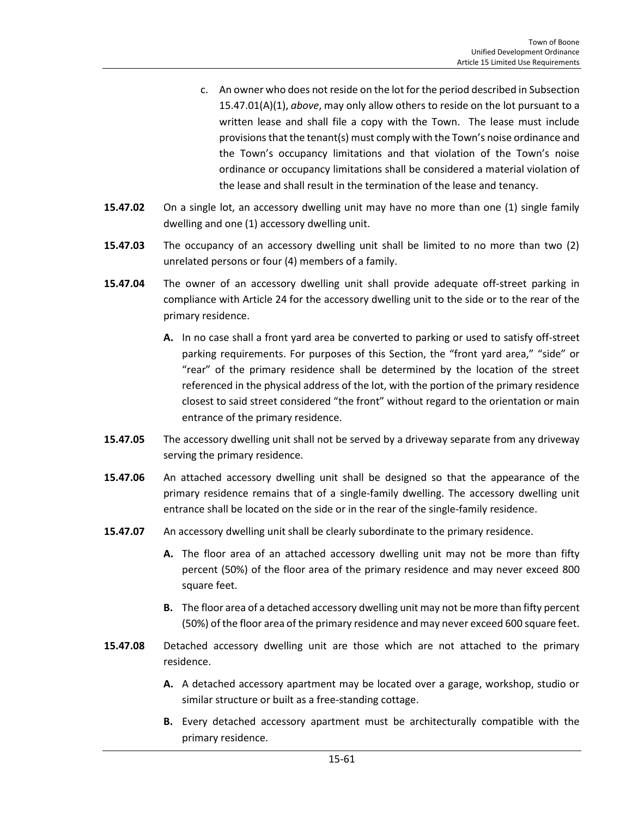- c. An owner who does not reside on the lot for the period described in Subsection 15.47.01(A)(1), *above*, may only allow others to reside on the lot pursuant to a written lease and shall file a copy with the Town. The lease must include provisions that the tenant(s) must comply with the Town's noise ordinance and the Town's occupancy limitations and that violation of the Town's noise ordinance or occupancy limitations shall be considered a material violation of the lease and shall result in the termination of the lease and tenancy.
- **15.47.02** On a single lot, an accessory dwelling unit may have no more than one (1) single family dwelling and one (1) accessory dwelling unit.
- **15.47.03** The occupancy of an accessory dwelling unit shall be limited to no more than two (2) unrelated persons or four (4) members of a family.
- **15.47.04** The owner of an accessory dwelling unit shall provide adequate off-street parking in compliance with Article 24 for the accessory dwelling unit to the side or to the rear of the primary residence.
	- **A.** In no case shall a front yard area be converted to parking or used to satisfy off-street parking requirements. For purposes of this Section, the "front yard area," "side" or "rear" of the primary residence shall be determined by the location of the street referenced in the physical address of the lot, with the portion of the primary residence closest to said street considered "the front" without regard to the orientation or main entrance of the primary residence.
- **15.47.05** The accessory dwelling unit shall not be served by a driveway separate from any driveway serving the primary residence.
- **15.47.06** An attached accessory dwelling unit shall be designed so that the appearance of the primary residence remains that of a single-family dwelling. The accessory dwelling unit entrance shall be located on the side or in the rear of the single-family residence.
- 15.47.07 An accessory dwelling unit shall be clearly subordinate to the primary residence.
	- **A.** The floor area of an attached accessory dwelling unit may not be more than fifty percent (50%) of the floor area of the primary residence and may never exceed 800 square feet.
	- **B.** The floor area of a detached accessory dwelling unit may not be more than fifty percent (50%) of the floor area of the primary residence and may never exceed 600 square feet.
- **15.47.08** Detached accessory dwelling unit are those which are not attached to the primary residence.
	- **A.** A detached accessory apartment may be located over a garage, workshop, studio or similar structure or built as a free-standing cottage.
	- **B.** Every detached accessory apartment must be architecturally compatible with the primary residence.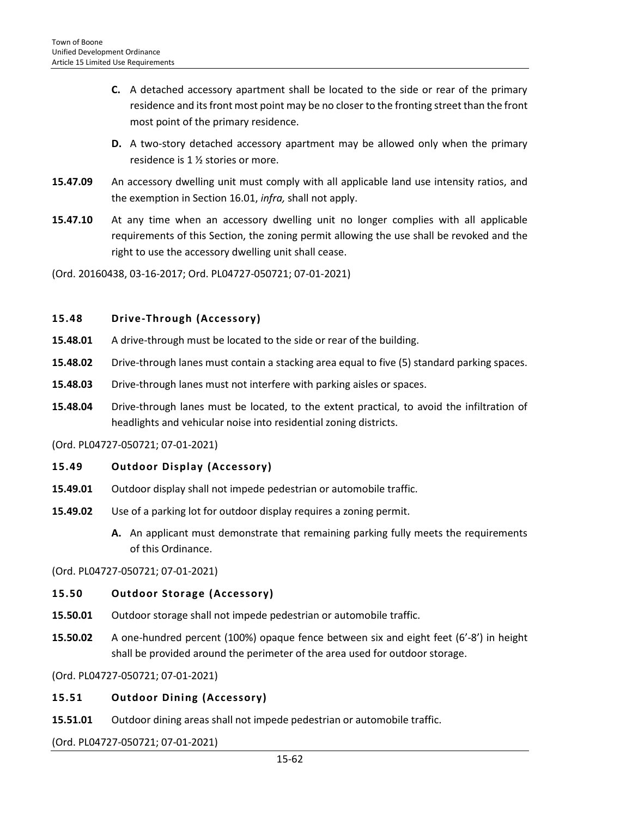- **C.** A detached accessory apartment shall be located to the side or rear of the primary residence and its front most point may be no closer to the fronting street than the front most point of the primary residence.
- **D.** A two-story detached accessory apartment may be allowed only when the primary residence is 1 ½ stories or more.
- **15.47.09** An accessory dwelling unit must comply with all applicable land use intensity ratios, and the exemption in Section 16.01, *infra,* shall not apply.
- **15.47.10** At any time when an accessory dwelling unit no longer complies with all applicable requirements of this Section, the zoning permit allowing the use shall be revoked and the right to use the accessory dwelling unit shall cease.
- (Ord. 20160438, 03-16-2017; Ord. PL04727-050721; 07-01-2021)

## **15.48 Drive-Through (Accessory)**

- **15.48.01** A drive-through must be located to the side or rear of the building.
- **15.48.02** Drive-through lanes must contain a stacking area equal to five (5) standard parking spaces.
- **15.48.03** Drive-through lanes must not interfere with parking aisles or spaces.
- **15.48.04** Drive-through lanes must be located, to the extent practical, to avoid the infiltration of headlights and vehicular noise into residential zoning districts.

(Ord. PL04727-050721; 07-01-2021)

## **15.49 Outdoor Display (Accessory)**

- **15.49.01** Outdoor display shall not impede pedestrian or automobile traffic.
- **15.49.02** Use of a parking lot for outdoor display requires a zoning permit.
	- **A.** An applicant must demonstrate that remaining parking fully meets the requirements of this Ordinance.

(Ord. PL04727-050721; 07-01-2021)

## **15.50 Outdoor Storage (Accessory)**

- **15.50.01** Outdoor storage shall not impede pedestrian or automobile traffic.
- **15.50.02** A one-hundred percent (100%) opaque fence between six and eight feet (6'-8') in height shall be provided around the perimeter of the area used for outdoor storage.

(Ord. PL04727-050721; 07-01-2021)

## **15.51 Outdoor Dining (Accessory)**

**15.51.01** Outdoor dining areas shall not impede pedestrian or automobile traffic.

(Ord. PL04727-050721; 07-01-2021)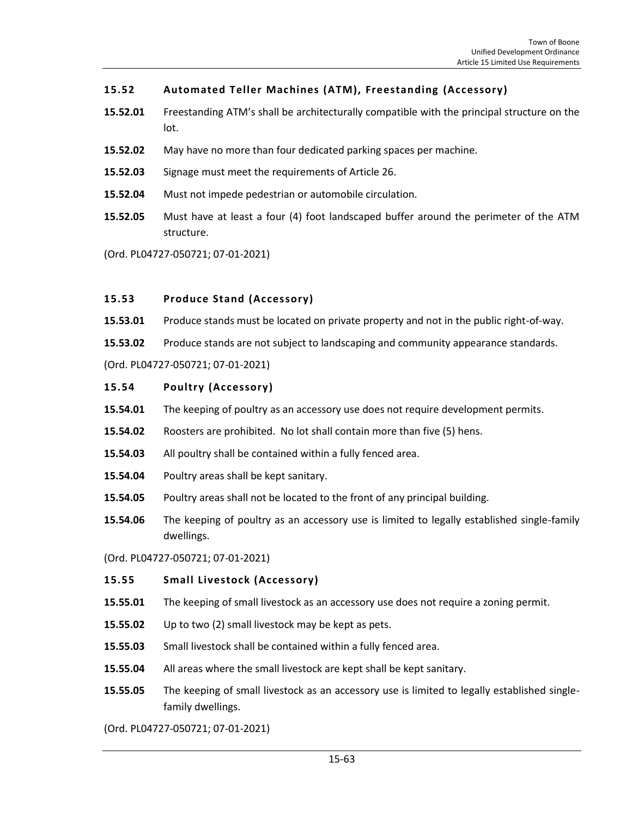## **15.52 Automated Teller Machines (ATM), Freestanding (Accessory)**

- **15.52.01** Freestanding ATM's shall be architecturally compatible with the principal structure on the lot.
- **15.52.02** May have no more than four dedicated parking spaces per machine.
- **15.52.03** Signage must meet the requirements of Article 26.
- **15.52.04** Must not impede pedestrian or automobile circulation.
- **15.52.05** Must have at least a four (4) foot landscaped buffer around the perimeter of the ATM structure.
- (Ord. PL04727-050721; 07-01-2021)

#### **15.53 Produce Stand (Accessory)**

- **15.53.01** Produce stands must be located on private property and not in the public right-of-way.
- **15.53.02** Produce stands are not subject to landscaping and community appearance standards.

(Ord. PL04727-050721; 07-01-2021)

#### **15.54 Poultry (Accessory)**

- **15.54.01** The keeping of poultry as an accessory use does not require development permits.
- **15.54.02** Roosters are prohibited. No lot shall contain more than five (5) hens.
- **15.54.03** All poultry shall be contained within a fully fenced area.
- **15.54.04** Poultry areas shall be kept sanitary.
- **15.54.05** Poultry areas shall not be located to the front of any principal building.
- **15.54.06** The keeping of poultry as an accessory use is limited to legally established single-family dwellings.

(Ord. PL04727-050721; 07-01-2021)

#### **15.55 Small Livestock (Accessory)**

- **15.55.01** The keeping of small livestock as an accessory use does not require a zoning permit.
- **15.55.02** Up to two (2) small livestock may be kept as pets.
- **15.55.03** Small livestock shall be contained within a fully fenced area.
- **15.55.04** All areas where the small livestock are kept shall be kept sanitary.
- **15.55.05** The keeping of small livestock as an accessory use is limited to legally established singlefamily dwellings.

(Ord. PL04727-050721; 07-01-2021)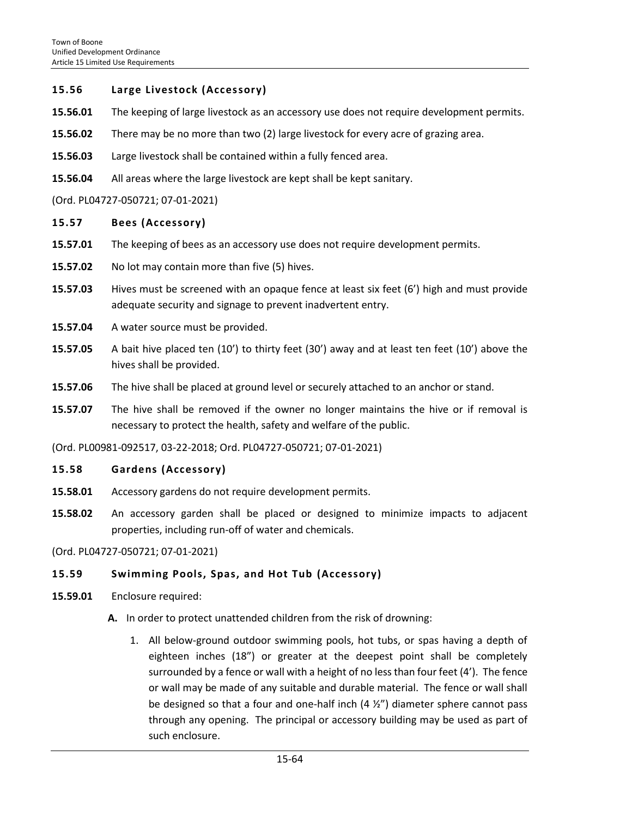#### **15.56 Large Livestock (Accessory)**

- **15.56.01** The keeping of large livestock as an accessory use does not require development permits.
- **15.56.02** There may be no more than two (2) large livestock for every acre of grazing area.
- **15.56.03** Large livestock shall be contained within a fully fenced area.
- **15.56.04** All areas where the large livestock are kept shall be kept sanitary.

#### (Ord. PL04727-050721; 07-01-2021)

#### **15.57 Bees (Accessory)**

- **15.57.01** The keeping of bees as an accessory use does not require development permits.
- **15.57.02** No lot may contain more than five (5) hives.
- **15.57.03** Hives must be screened with an opaque fence at least six feet (6') high and must provide adequate security and signage to prevent inadvertent entry.
- **15.57.04** A water source must be provided.
- **15.57.05** A bait hive placed ten (10') to thirty feet (30') away and at least ten feet (10') above the hives shall be provided.
- **15.57.06** The hive shall be placed at ground level or securely attached to an anchor or stand.
- **15.57.07** The hive shall be removed if the owner no longer maintains the hive or if removal is necessary to protect the health, safety and welfare of the public.

(Ord. PL00981-092517, 03-22-2018; Ord. PL04727-050721; 07-01-2021)

#### **15.58 Gardens (Accessory)**

- **15.58.01** Accessory gardens do not require development permits.
- **15.58.02** An accessory garden shall be placed or designed to minimize impacts to adjacent properties, including run-off of water and chemicals.

(Ord. PL04727-050721; 07-01-2021)

#### **15.59 Swimming Pools, Spas, and Hot Tub (Accessory)**

- **15.59.01** Enclosure required:
	- **A.** In order to protect unattended children from the risk of drowning:
		- 1. All below-ground outdoor swimming pools, hot tubs, or spas having a depth of eighteen inches (18") or greater at the deepest point shall be completely surrounded by a fence or wall with a height of no less than four feet (4'). The fence or wall may be made of any suitable and durable material. The fence or wall shall be designed so that a four and one-half inch (4 ½") diameter sphere cannot pass through any opening. The principal or accessory building may be used as part of such enclosure.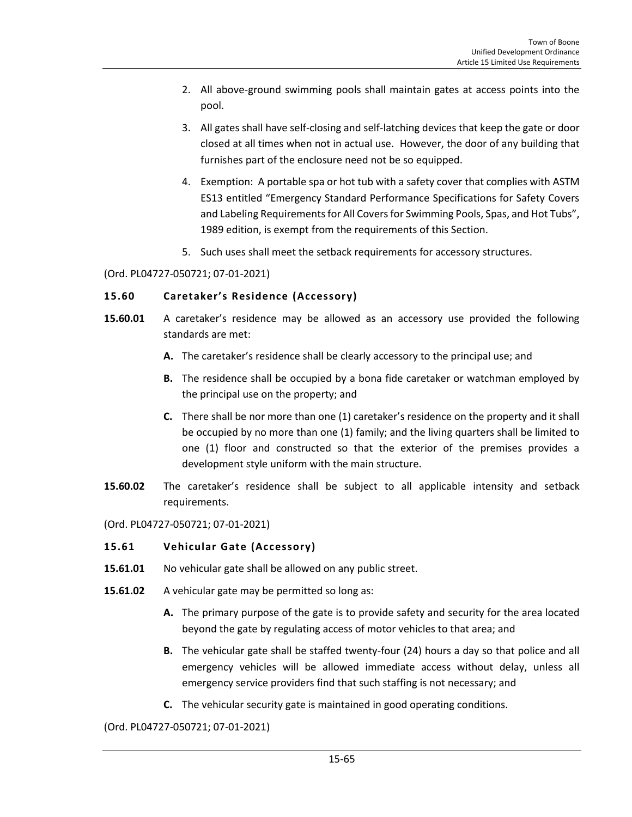- 2. All above-ground swimming pools shall maintain gates at access points into the pool.
- 3. All gates shall have self-closing and self-latching devices that keep the gate or door closed at all times when not in actual use. However, the door of any building that furnishes part of the enclosure need not be so equipped.
- 4. Exemption: A portable spa or hot tub with a safety cover that complies with ASTM ES13 entitled "Emergency Standard Performance Specifications for Safety Covers and Labeling Requirements for All Covers for Swimming Pools, Spas, and Hot Tubs", 1989 edition, is exempt from the requirements of this Section.
- 5. Such uses shall meet the setback requirements for accessory structures.

#### (Ord. PL04727-050721; 07-01-2021)

## **15.60 Caretaker's Residence (Accessory)**

- **15.60.01** A caretaker's residence may be allowed as an accessory use provided the following standards are met:
	- **A.** The caretaker's residence shall be clearly accessory to the principal use; and
	- **B.** The residence shall be occupied by a bona fide caretaker or watchman employed by the principal use on the property; and
	- **C.** There shall be nor more than one (1) caretaker's residence on the property and it shall be occupied by no more than one (1) family; and the living quarters shall be limited to one (1) floor and constructed so that the exterior of the premises provides a development style uniform with the main structure.
- **15.60.02** The caretaker's residence shall be subject to all applicable intensity and setback requirements.
- (Ord. PL04727-050721; 07-01-2021)

## **15.61 Vehicular Gate (Accessory)**

- **15.61.01** No vehicular gate shall be allowed on any public street.
- **15.61.02** A vehicular gate may be permitted so long as:
	- **A.** The primary purpose of the gate is to provide safety and security for the area located beyond the gate by regulating access of motor vehicles to that area; and
	- **B.** The vehicular gate shall be staffed twenty-four (24) hours a day so that police and all emergency vehicles will be allowed immediate access without delay, unless all emergency service providers find that such staffing is not necessary; and
	- **C.** The vehicular security gate is maintained in good operating conditions.

(Ord. PL04727-050721; 07-01-2021)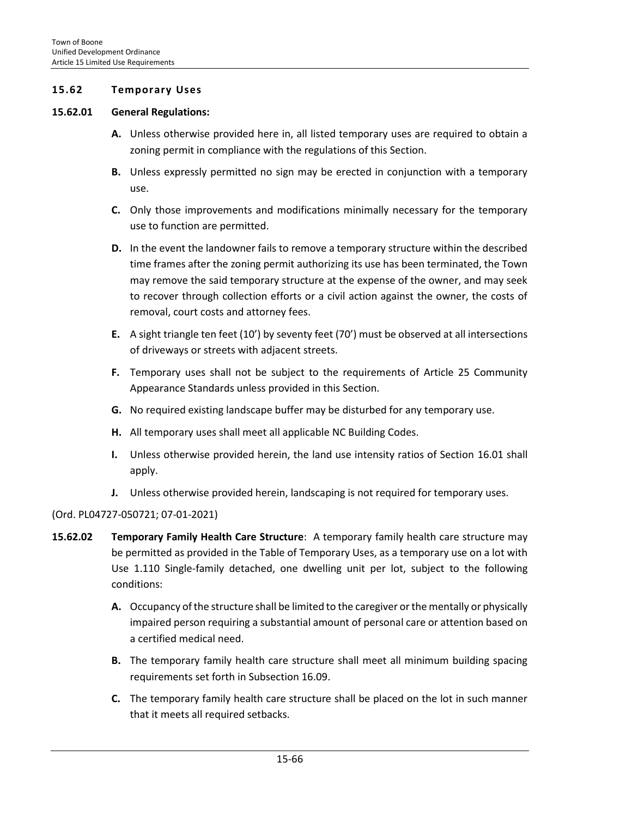### **15.62 Temporary Uses**

#### **15.62.01 General Regulations:**

- **A.** Unless otherwise provided here in, all listed temporary uses are required to obtain a zoning permit in compliance with the regulations of this Section.
- **B.** Unless expressly permitted no sign may be erected in conjunction with a temporary use.
- **C.** Only those improvements and modifications minimally necessary for the temporary use to function are permitted.
- **D.** In the event the landowner fails to remove a temporary structure within the described time frames after the zoning permit authorizing its use has been terminated, the Town may remove the said temporary structure at the expense of the owner, and may seek to recover through collection efforts or a civil action against the owner, the costs of removal, court costs and attorney fees.
- **E.** A sight triangle ten feet (10') by seventy feet (70') must be observed at all intersections of driveways or streets with adjacent streets.
- **F.** Temporary uses shall not be subject to the requirements of Article 25 Community Appearance Standards unless provided in this Section.
- **G.** No required existing landscape buffer may be disturbed for any temporary use.
- **H.** All temporary uses shall meet all applicable NC Building Codes.
- **I.** Unless otherwise provided herein, the land use intensity ratios of Section 16.01 shall apply.
- **J.** Unless otherwise provided herein, landscaping is not required for temporary uses.

#### (Ord. PL04727-050721; 07-01-2021)

- **15.62.02 Temporary Family Health Care Structure**: A temporary family health care structure may be permitted as provided in the Table of Temporary Uses, as a temporary use on a lot with Use 1.110 Single-family detached, one dwelling unit per lot, subject to the following conditions:
	- **A.** Occupancy of the structure shall be limited to the caregiver or the mentally or physically impaired person requiring a substantial amount of personal care or attention based on a certified medical need.
	- **B.** The temporary family health care structure shall meet all minimum building spacing requirements set forth in Subsection 16.09.
	- **C.** The temporary family health care structure shall be placed on the lot in such manner that it meets all required setbacks.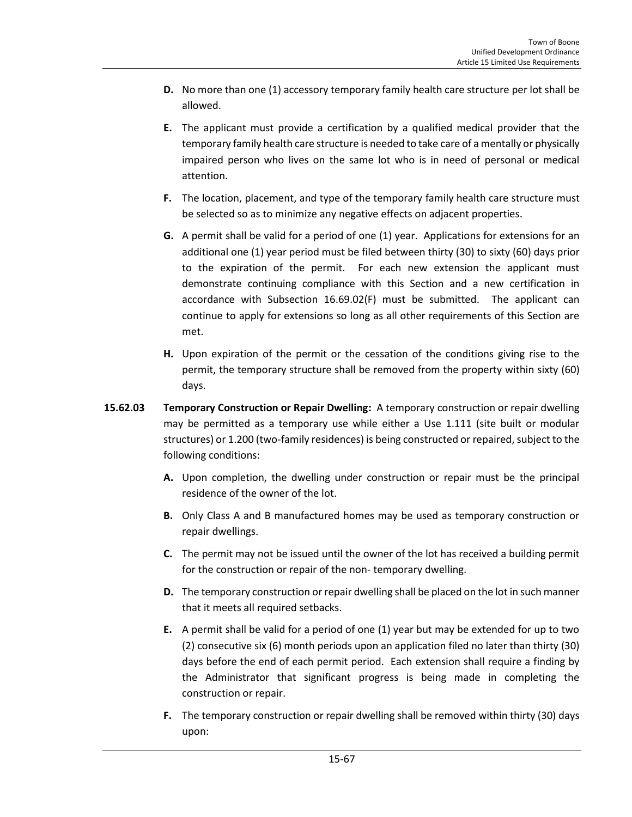- **D.** No more than one (1) accessory temporary family health care structure per lot shall be allowed.
- **E.** The applicant must provide a certification by a qualified medical provider that the temporary family health care structure is needed to take care of a mentally or physically impaired person who lives on the same lot who is in need of personal or medical attention.
- **F.** The location, placement, and type of the temporary family health care structure must be selected so as to minimize any negative effects on adjacent properties.
- **G.** A permit shall be valid for a period of one (1) year. Applications for extensions for an additional one (1) year period must be filed between thirty (30) to sixty (60) days prior to the expiration of the permit. For each new extension the applicant must demonstrate continuing compliance with this Section and a new certification in accordance with Subsection 16.69.02(F) must be submitted. The applicant can continue to apply for extensions so long as all other requirements of this Section are met.
- **H.** Upon expiration of the permit or the cessation of the conditions giving rise to the permit, the temporary structure shall be removed from the property within sixty (60) days.
- **15.62.03 Temporary Construction or Repair Dwelling:** A temporary construction or repair dwelling may be permitted as a temporary use while either a Use 1.111 (site built or modular structures) or 1.200 (two-family residences) is being constructed or repaired, subject to the following conditions:
	- **A.** Upon completion, the dwelling under construction or repair must be the principal residence of the owner of the lot.
	- **B.** Only Class A and B manufactured homes may be used as temporary construction or repair dwellings.
	- **C.** The permit may not be issued until the owner of the lot has received a building permit for the construction or repair of the non- temporary dwelling.
	- **D.** The temporary construction or repair dwelling shall be placed on the lot in such manner that it meets all required setbacks.
	- **E.** A permit shall be valid for a period of one (1) year but may be extended for up to two (2) consecutive six (6) month periods upon an application filed no later than thirty (30) days before the end of each permit period. Each extension shall require a finding by the Administrator that significant progress is being made in completing the construction or repair.
	- **F.** The temporary construction or repair dwelling shall be removed within thirty (30) days upon: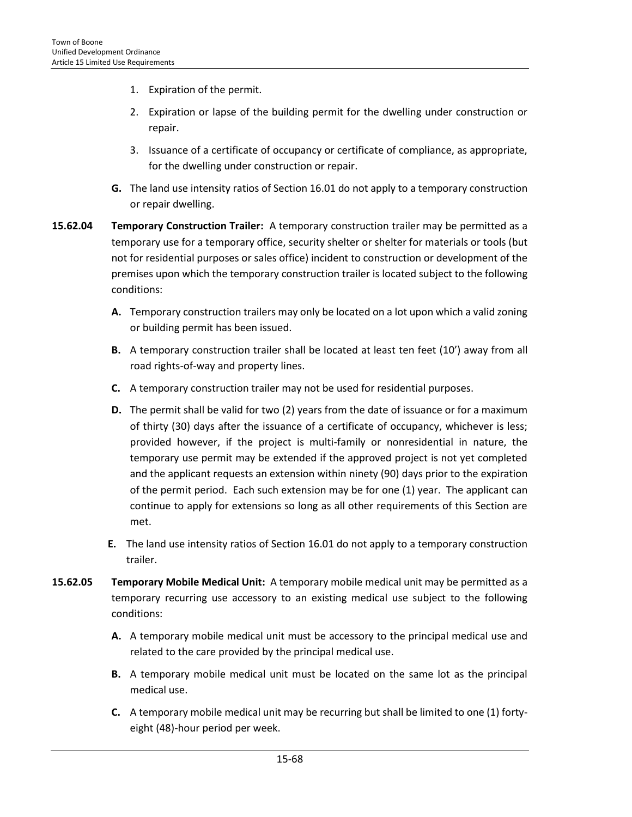- 1. Expiration of the permit.
- 2. Expiration or lapse of the building permit for the dwelling under construction or repair.
- 3. Issuance of a certificate of occupancy or certificate of compliance, as appropriate, for the dwelling under construction or repair.
- **G.** The land use intensity ratios of Section 16.01 do not apply to a temporary construction or repair dwelling.
- **15.62.04 Temporary Construction Trailer:** A temporary construction trailer may be permitted as a temporary use for a temporary office, security shelter or shelter for materials or tools (but not for residential purposes or sales office) incident to construction or development of the premises upon which the temporary construction trailer is located subject to the following conditions:
	- **A.** Temporary construction trailers may only be located on a lot upon which a valid zoning or building permit has been issued.
	- **B.** A temporary construction trailer shall be located at least ten feet (10') away from all road rights-of-way and property lines.
	- **C.** A temporary construction trailer may not be used for residential purposes.
	- **D.** The permit shall be valid for two (2) years from the date of issuance or for a maximum of thirty (30) days after the issuance of a certificate of occupancy, whichever is less; provided however, if the project is multi-family or nonresidential in nature, the temporary use permit may be extended if the approved project is not yet completed and the applicant requests an extension within ninety (90) days prior to the expiration of the permit period. Each such extension may be for one (1) year. The applicant can continue to apply for extensions so long as all other requirements of this Section are met.
	- **E.** The land use intensity ratios of Section 16.01 do not apply to a temporary construction trailer.
- **15.62.05 Temporary Mobile Medical Unit:** A temporary mobile medical unit may be permitted as a temporary recurring use accessory to an existing medical use subject to the following conditions:
	- **A.** A temporary mobile medical unit must be accessory to the principal medical use and related to the care provided by the principal medical use.
	- **B.** A temporary mobile medical unit must be located on the same lot as the principal medical use.
	- **C.** A temporary mobile medical unit may be recurring but shall be limited to one (1) fortyeight (48)-hour period per week.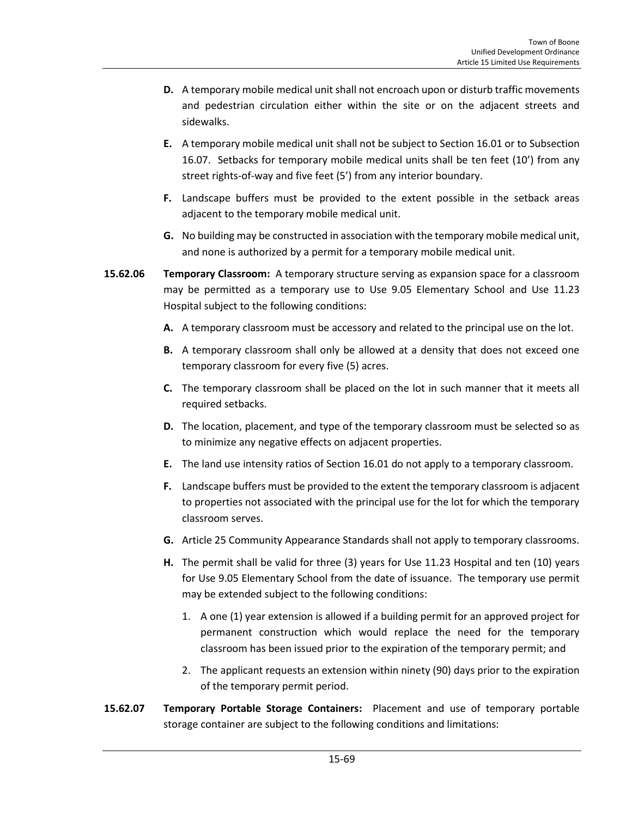- **D.** A temporary mobile medical unit shall not encroach upon or disturb traffic movements and pedestrian circulation either within the site or on the adjacent streets and sidewalks.
- **E.** A temporary mobile medical unit shall not be subject to Section 16.01 or to Subsection 16.07. Setbacks for temporary mobile medical units shall be ten feet (10') from any street rights-of-way and five feet (5') from any interior boundary.
- **F.** Landscape buffers must be provided to the extent possible in the setback areas adjacent to the temporary mobile medical unit.
- **G.** No building may be constructed in association with the temporary mobile medical unit, and none is authorized by a permit for a temporary mobile medical unit.
- **15.62.06 Temporary Classroom:** A temporary structure serving as expansion space for a classroom may be permitted as a temporary use to Use 9.05 Elementary School and Use 11.23 Hospital subject to the following conditions:
	- **A.** A temporary classroom must be accessory and related to the principal use on the lot.
	- **B.** A temporary classroom shall only be allowed at a density that does not exceed one temporary classroom for every five (5) acres.
	- **C.** The temporary classroom shall be placed on the lot in such manner that it meets all required setbacks.
	- **D.** The location, placement, and type of the temporary classroom must be selected so as to minimize any negative effects on adjacent properties.
	- **E.** The land use intensity ratios of Section 16.01 do not apply to a temporary classroom.
	- **F.** Landscape buffers must be provided to the extent the temporary classroom is adjacent to properties not associated with the principal use for the lot for which the temporary classroom serves.
	- **G.** Article 25 Community Appearance Standards shall not apply to temporary classrooms.
	- **H.** The permit shall be valid for three (3) years for Use 11.23 Hospital and ten (10) years for Use 9.05 Elementary School from the date of issuance. The temporary use permit may be extended subject to the following conditions:
		- 1. A one (1) year extension is allowed if a building permit for an approved project for permanent construction which would replace the need for the temporary classroom has been issued prior to the expiration of the temporary permit; and
		- 2. The applicant requests an extension within ninety (90) days prior to the expiration of the temporary permit period.
- **15.62.07 Temporary Portable Storage Containers:** Placement and use of temporary portable storage container are subject to the following conditions and limitations: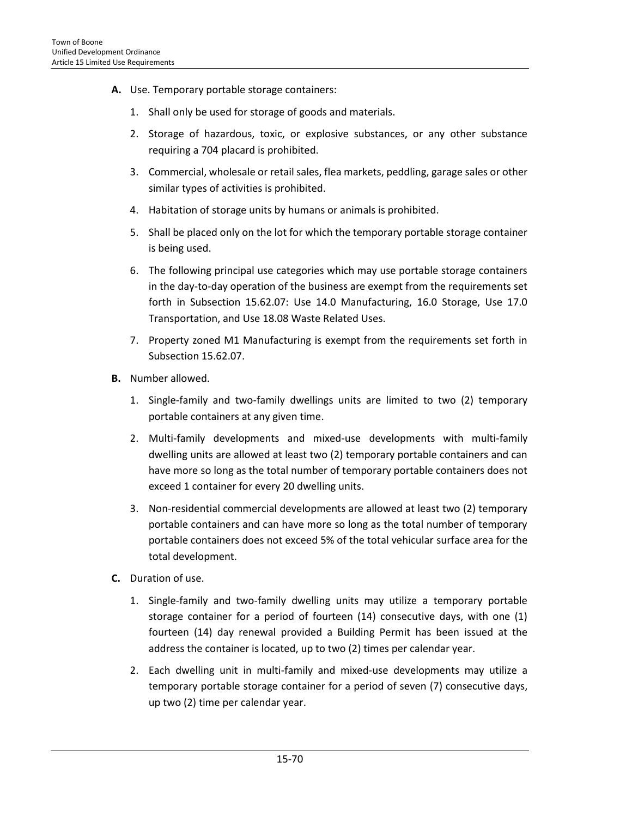- **A.** Use. Temporary portable storage containers:
	- 1. Shall only be used for storage of goods and materials.
	- 2. Storage of hazardous, toxic, or explosive substances, or any other substance requiring a 704 placard is prohibited.
	- 3. Commercial, wholesale or retail sales, flea markets, peddling, garage sales or other similar types of activities is prohibited.
	- 4. Habitation of storage units by humans or animals is prohibited.
	- 5. Shall be placed only on the lot for which the temporary portable storage container is being used.
	- 6. The following principal use categories which may use portable storage containers in the day-to-day operation of the business are exempt from the requirements set forth in Subsection 15.62.07: Use 14.0 Manufacturing, 16.0 Storage, Use 17.0 Transportation, and Use 18.08 Waste Related Uses.
	- 7. Property zoned M1 Manufacturing is exempt from the requirements set forth in Subsection 15.62.07.
- **B.** Number allowed.
	- 1. Single-family and two-family dwellings units are limited to two (2) temporary portable containers at any given time.
	- 2. Multi-family developments and mixed-use developments with multi-family dwelling units are allowed at least two (2) temporary portable containers and can have more so long as the total number of temporary portable containers does not exceed 1 container for every 20 dwelling units.
	- 3. Non-residential commercial developments are allowed at least two (2) temporary portable containers and can have more so long as the total number of temporary portable containers does not exceed 5% of the total vehicular surface area for the total development.
- **C.** Duration of use.
	- 1. Single-family and two-family dwelling units may utilize a temporary portable storage container for a period of fourteen (14) consecutive days, with one (1) fourteen (14) day renewal provided a Building Permit has been issued at the address the container is located, up to two (2) times per calendar year.
	- 2. Each dwelling unit in multi-family and mixed-use developments may utilize a temporary portable storage container for a period of seven (7) consecutive days, up two (2) time per calendar year.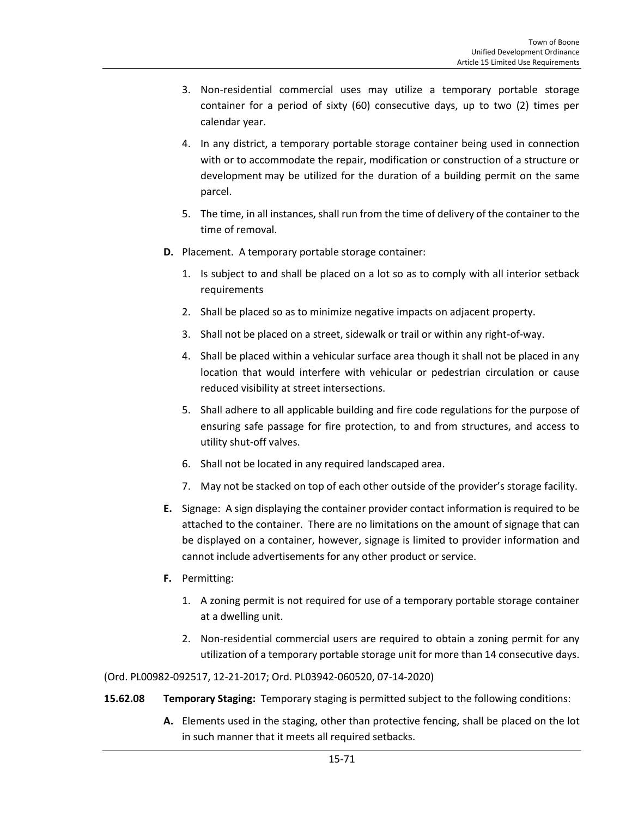- 3. Non-residential commercial uses may utilize a temporary portable storage container for a period of sixty (60) consecutive days, up to two (2) times per calendar year.
- 4. In any district, a temporary portable storage container being used in connection with or to accommodate the repair, modification or construction of a structure or development may be utilized for the duration of a building permit on the same parcel.
- 5. The time, in all instances, shall run from the time of delivery of the container to the time of removal.
- **D.** Placement. A temporary portable storage container:
	- 1. Is subject to and shall be placed on a lot so as to comply with all interior setback requirements
	- 2. Shall be placed so as to minimize negative impacts on adjacent property.
	- 3. Shall not be placed on a street, sidewalk or trail or within any right-of-way.
	- 4. Shall be placed within a vehicular surface area though it shall not be placed in any location that would interfere with vehicular or pedestrian circulation or cause reduced visibility at street intersections.
	- 5. Shall adhere to all applicable building and fire code regulations for the purpose of ensuring safe passage for fire protection, to and from structures, and access to utility shut-off valves.
	- 6. Shall not be located in any required landscaped area.
	- 7. May not be stacked on top of each other outside of the provider's storage facility.
- **E.** Signage: A sign displaying the container provider contact information is required to be attached to the container. There are no limitations on the amount of signage that can be displayed on a container, however, signage is limited to provider information and cannot include advertisements for any other product or service.
- **F.** Permitting:
	- 1. A zoning permit is not required for use of a temporary portable storage container at a dwelling unit.
	- 2. Non-residential commercial users are required to obtain a zoning permit for any utilization of a temporary portable storage unit for more than 14 consecutive days.

(Ord. PL00982-092517, 12-21-2017; Ord. PL03942-060520, 07-14-2020)

- **15.62.08 Temporary Staging:** Temporary staging is permitted subject to the following conditions:
	- **A.** Elements used in the staging, other than protective fencing, shall be placed on the lot in such manner that it meets all required setbacks.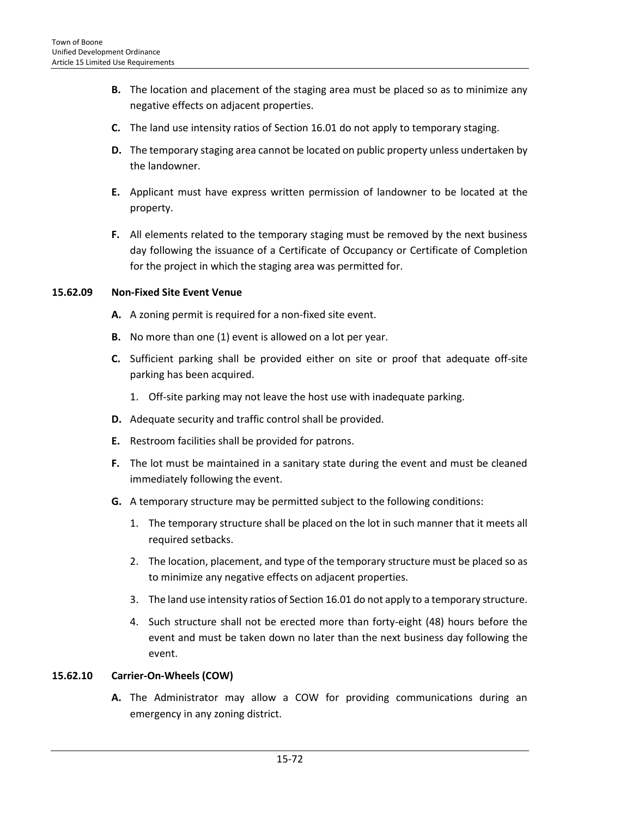- **B.** The location and placement of the staging area must be placed so as to minimize any negative effects on adjacent properties.
- **C.** The land use intensity ratios of Section 16.01 do not apply to temporary staging.
- **D.** The temporary staging area cannot be located on public property unless undertaken by the landowner.
- **E.** Applicant must have express written permission of landowner to be located at the property.
- **F.** All elements related to the temporary staging must be removed by the next business day following the issuance of a Certificate of Occupancy or Certificate of Completion for the project in which the staging area was permitted for.

## **15.62.09 Non-Fixed Site Event Venue**

- **A.** A zoning permit is required for a non-fixed site event.
- **B.** No more than one (1) event is allowed on a lot per year.
- **C.** Sufficient parking shall be provided either on site or proof that adequate off-site parking has been acquired.
	- 1. Off-site parking may not leave the host use with inadequate parking.
- **D.** Adequate security and traffic control shall be provided.
- **E.** Restroom facilities shall be provided for patrons.
- **F.** The lot must be maintained in a sanitary state during the event and must be cleaned immediately following the event.
- **G.** A temporary structure may be permitted subject to the following conditions:
	- 1. The temporary structure shall be placed on the lot in such manner that it meets all required setbacks.
	- 2. The location, placement, and type of the temporary structure must be placed so as to minimize any negative effects on adjacent properties.
	- 3. The land use intensity ratios of Section 16.01 do not apply to a temporary structure.
	- 4. Such structure shall not be erected more than forty-eight (48) hours before the event and must be taken down no later than the next business day following the event.

#### **15.62.10 Carrier-On-Wheels (COW)**

**A.** The Administrator may allow a COW for providing communications during an emergency in any zoning district.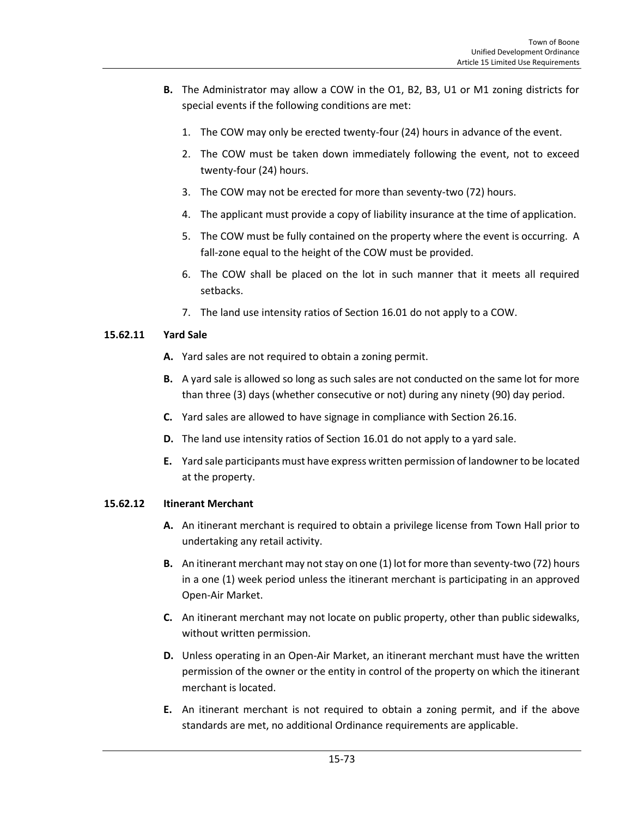- **B.** The Administrator may allow a COW in the O1, B2, B3, U1 or M1 zoning districts for special events if the following conditions are met:
	- 1. The COW may only be erected twenty-four (24) hours in advance of the event.
	- 2. The COW must be taken down immediately following the event, not to exceed twenty-four (24) hours.
	- 3. The COW may not be erected for more than seventy-two (72) hours.
	- 4. The applicant must provide a copy of liability insurance at the time of application.
	- 5. The COW must be fully contained on the property where the event is occurring. A fall-zone equal to the height of the COW must be provided.
	- 6. The COW shall be placed on the lot in such manner that it meets all required setbacks.
	- 7. The land use intensity ratios of Section 16.01 do not apply to a COW.

### **15.62.11 Yard Sale**

- **A.** Yard sales are not required to obtain a zoning permit.
- **B.** A yard sale is allowed so long as such sales are not conducted on the same lot for more than three (3) days (whether consecutive or not) during any ninety (90) day period.
- **C.** Yard sales are allowed to have signage in compliance with Section 26.16.
- **D.** The land use intensity ratios of Section 16.01 do not apply to a yard sale.
- **E.** Yard sale participants must have express written permission of landowner to be located at the property.

#### **15.62.12 Itinerant Merchant**

- **A.** An itinerant merchant is required to obtain a privilege license from Town Hall prior to undertaking any retail activity.
- **B.** An itinerant merchant may not stay on one (1) lot for more than seventy-two (72) hours in a one (1) week period unless the itinerant merchant is participating in an approved Open-Air Market.
- **C.** An itinerant merchant may not locate on public property, other than public sidewalks, without written permission.
- **D.** Unless operating in an Open-Air Market, an itinerant merchant must have the written permission of the owner or the entity in control of the property on which the itinerant merchant is located.
- **E.** An itinerant merchant is not required to obtain a zoning permit, and if the above standards are met, no additional Ordinance requirements are applicable.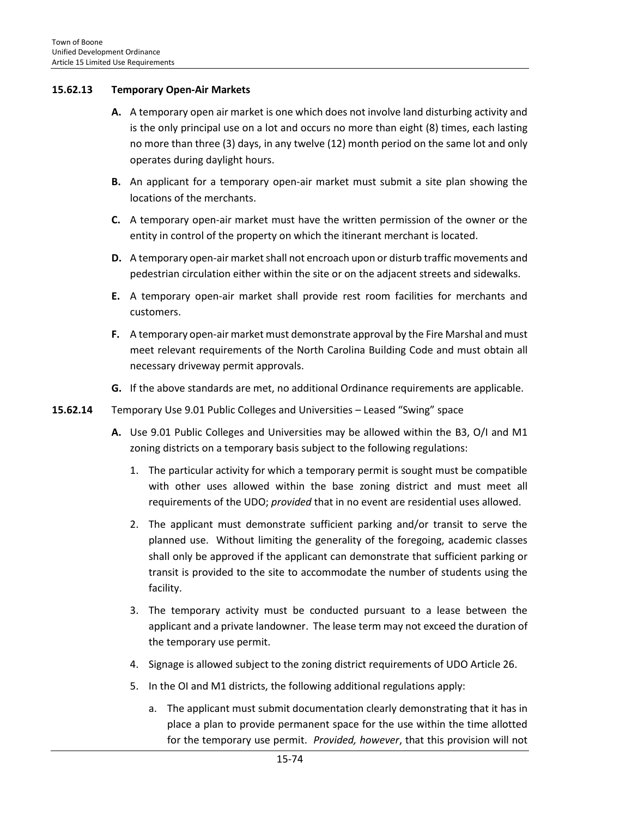### **15.62.13 Temporary Open-Air Markets**

- **A.** A temporary open air market is one which does not involve land disturbing activity and is the only principal use on a lot and occurs no more than eight (8) times, each lasting no more than three (3) days, in any twelve (12) month period on the same lot and only operates during daylight hours.
- **B.** An applicant for a temporary open-air market must submit a site plan showing the locations of the merchants.
- **C.** A temporary open-air market must have the written permission of the owner or the entity in control of the property on which the itinerant merchant is located.
- **D.** A temporary open-air market shall not encroach upon or disturb traffic movements and pedestrian circulation either within the site or on the adjacent streets and sidewalks.
- **E.** A temporary open-air market shall provide rest room facilities for merchants and customers.
- **F.** A temporary open-air market must demonstrate approval by the Fire Marshal and must meet relevant requirements of the North Carolina Building Code and must obtain all necessary driveway permit approvals.
- **G.** If the above standards are met, no additional Ordinance requirements are applicable.
- **15.62.14** Temporary Use 9.01 Public Colleges and Universities Leased "Swing" space
	- **A.** Use 9.01 Public Colleges and Universities may be allowed within the B3, O/I and M1 zoning districts on a temporary basis subject to the following regulations:
		- 1. The particular activity for which a temporary permit is sought must be compatible with other uses allowed within the base zoning district and must meet all requirements of the UDO; *provided* that in no event are residential uses allowed.
		- 2. The applicant must demonstrate sufficient parking and/or transit to serve the planned use. Without limiting the generality of the foregoing, academic classes shall only be approved if the applicant can demonstrate that sufficient parking or transit is provided to the site to accommodate the number of students using the facility.
		- 3. The temporary activity must be conducted pursuant to a lease between the applicant and a private landowner. The lease term may not exceed the duration of the temporary use permit.
		- 4. Signage is allowed subject to the zoning district requirements of UDO Article 26.
		- 5. In the OI and M1 districts, the following additional regulations apply:
			- a. The applicant must submit documentation clearly demonstrating that it has in place a plan to provide permanent space for the use within the time allotted for the temporary use permit. *Provided, however*, that this provision will not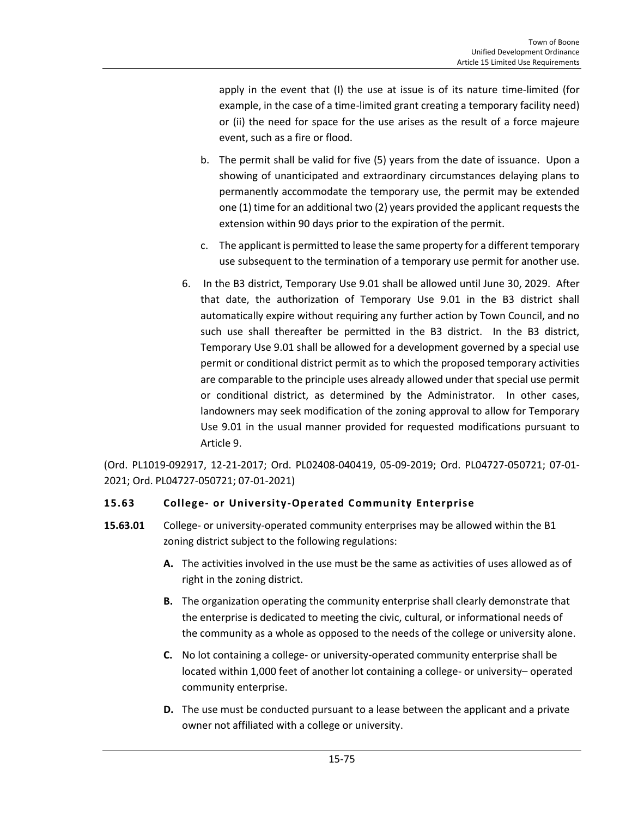apply in the event that (I) the use at issue is of its nature time-limited (for example, in the case of a time-limited grant creating a temporary facility need) or (ii) the need for space for the use arises as the result of a force majeure event, such as a fire or flood.

- b. The permit shall be valid for five (5) years from the date of issuance. Upon a showing of unanticipated and extraordinary circumstances delaying plans to permanently accommodate the temporary use, the permit may be extended one (1) time for an additional two (2) years provided the applicant requests the extension within 90 days prior to the expiration of the permit.
- c. The applicant is permitted to lease the same property for a different temporary use subsequent to the termination of a temporary use permit for another use.
- 6. In the B3 district, Temporary Use 9.01 shall be allowed until June 30, 2029. After that date, the authorization of Temporary Use 9.01 in the B3 district shall automatically expire without requiring any further action by Town Council, and no such use shall thereafter be permitted in the B3 district. In the B3 district, Temporary Use 9.01 shall be allowed for a development governed by a special use permit or conditional district permit as to which the proposed temporary activities are comparable to the principle uses already allowed under that special use permit or conditional district, as determined by the Administrator. In other cases, landowners may seek modification of the zoning approval to allow for Temporary Use 9.01 in the usual manner provided for requested modifications pursuant to Article 9.

(Ord. PL1019-092917, 12-21-2017; Ord. PL02408-040419, 05-09-2019; Ord. PL04727-050721; 07-01- 2021; Ord. PL04727-050721; 07-01-2021)

# **15.63 College- or University-Operated Community Enterprise**

- **15.63.01** College- or university-operated community enterprises may be allowed within the B1 zoning district subject to the following regulations:
	- **A.** The activities involved in the use must be the same as activities of uses allowed as of right in the zoning district.
	- **B.** The organization operating the community enterprise shall clearly demonstrate that the enterprise is dedicated to meeting the civic, cultural, or informational needs of the community as a whole as opposed to the needs of the college or university alone.
	- **C.** No lot containing a college- or university-operated community enterprise shall be located within 1,000 feet of another lot containing a college- or university– operated community enterprise.
	- **D.** The use must be conducted pursuant to a lease between the applicant and a private owner not affiliated with a college or university.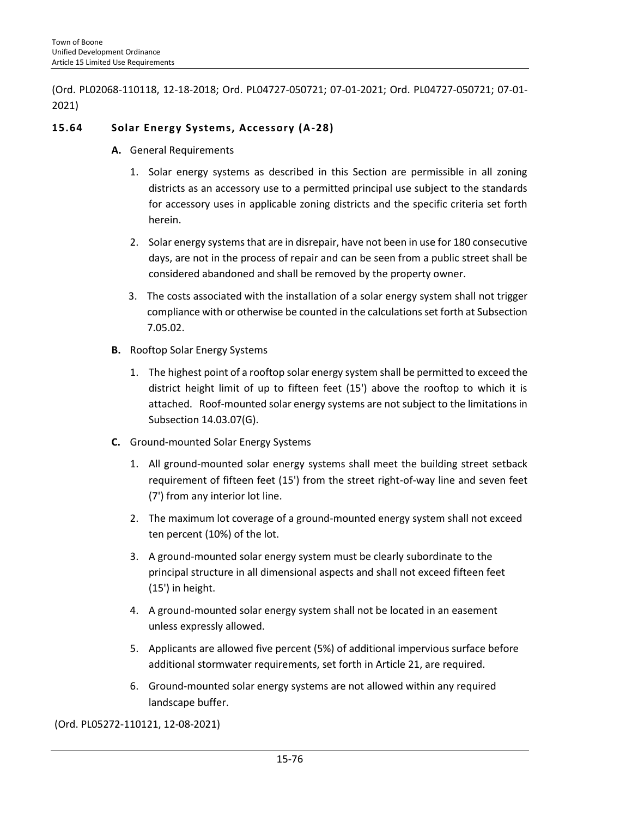(Ord. PL02068-110118, 12-18-2018; Ord. PL04727-050721; 07-01-2021; Ord. PL04727-050721; 07-01- 2021)

## **15.64 Solar Energy Systems, Accessory (A-28)**

- **A.** General Requirements
	- 1. Solar energy systems as described in this Section are permissible in all zoning districts as an accessory use to a permitted principal use subject to the standards for accessory uses in applicable zoning districts and the specific criteria set forth herein.
	- 2. Solar energy systems that are in disrepair, have not been in use for 180 consecutive days, are not in the process of repair and can be seen from a public street shall be considered abandoned and shall be removed by the property owner.
	- 3. The costs associated with the installation of a solar energy system shall not trigger compliance with or otherwise be counted in the calculations set forth at Subsection 7.05.02.
- **B.** Rooftop Solar Energy Systems
	- 1. The highest point of a rooftop solar energy system shall be permitted to exceed the district height limit of up to fifteen feet (15') above the rooftop to which it is attached. Roof-mounted solar energy systems are not subject to the limitations in Subsection 14.03.07(G).
- **C.** Ground-mounted Solar Energy Systems
	- 1. All ground-mounted solar energy systems shall meet the building street setback requirement of fifteen feet (15') from the street right-of-way line and seven feet (7') from any interior lot line.
	- 2. The maximum lot coverage of a ground-mounted energy system shall not exceed ten percent (10%) of the lot.
	- 3. A ground-mounted solar energy system must be clearly subordinate to the principal structure in all dimensional aspects and shall not exceed fifteen feet (15') in height.
	- 4. A ground-mounted solar energy system shall not be located in an easement unless expressly allowed.
	- 5. Applicants are allowed five percent (5%) of additional impervious surface before additional stormwater requirements, set forth in Article 21, are required.
	- 6. Ground-mounted solar energy systems are not allowed within any required landscape buffer.

(Ord. PL05272-110121, 12-08-2021)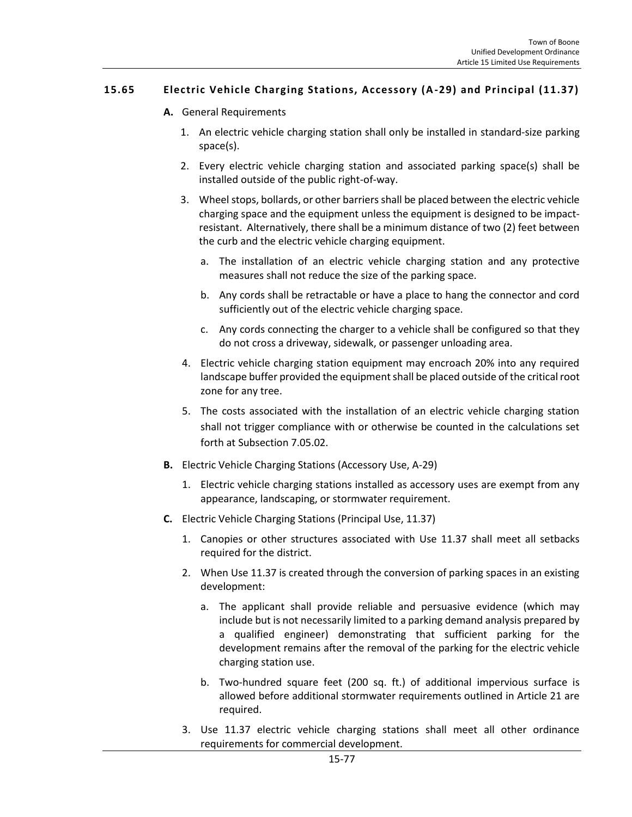## **15.65 Electric Vehicle Charging Stations, Accessory (A-29) and Principal (11.37)**

- **A.** General Requirements
	- 1. An electric vehicle charging station shall only be installed in standard-size parking space(s).
	- 2. Every electric vehicle charging station and associated parking space(s) shall be installed outside of the public right-of-way.
	- 3. Wheel stops, bollards, or other barriers shall be placed between the electric vehicle charging space and the equipment unless the equipment is designed to be impactresistant. Alternatively, there shall be a minimum distance of two (2) feet between the curb and the electric vehicle charging equipment.
		- a. The installation of an electric vehicle charging station and any protective measures shall not reduce the size of the parking space.
		- b. Any cords shall be retractable or have a place to hang the connector and cord sufficiently out of the electric vehicle charging space.
		- c. Any cords connecting the charger to a vehicle shall be configured so that they do not cross a driveway, sidewalk, or passenger unloading area.
	- 4. Electric vehicle charging station equipment may encroach 20% into any required landscape buffer provided the equipment shall be placed outside of the critical root zone for any tree.
	- 5. The costs associated with the installation of an electric vehicle charging station shall not trigger compliance with or otherwise be counted in the calculations set forth at Subsection 7.05.02.
- **B.** Electric Vehicle Charging Stations (Accessory Use, A-29)
	- 1. Electric vehicle charging stations installed as accessory uses are exempt from any appearance, landscaping, or stormwater requirement.
- **C.** Electric Vehicle Charging Stations (Principal Use, 11.37)
	- 1. Canopies or other structures associated with Use 11.37 shall meet all setbacks required for the district.
	- 2. When Use 11.37 is created through the conversion of parking spaces in an existing development:
		- a. The applicant shall provide reliable and persuasive evidence (which may include but is not necessarily limited to a parking demand analysis prepared by a qualified engineer) demonstrating that sufficient parking for the development remains after the removal of the parking for the electric vehicle charging station use.
		- b. Two-hundred square feet (200 sq. ft.) of additional impervious surface is allowed before additional stormwater requirements outlined in Article 21 are required.
	- 3. Use 11.37 electric vehicle charging stations shall meet all other ordinance requirements for commercial development.